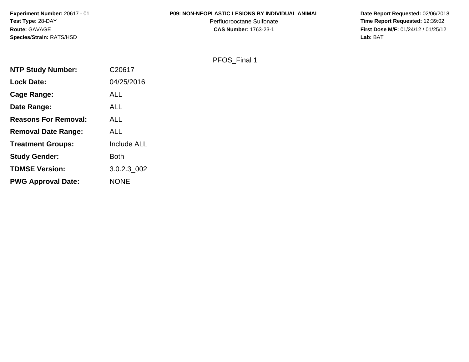#### **P09: NON-NEOPLASTIC LESIONS BY INDIVIDUAL ANIMAL**

Perfluorooctane Sulfonate<br>CAS Number: 1763-23-1

 **Date Report Requested:** 02/06/2018 **Time Report Requested:** 12:39:02 **First Dose M/F:** 01/24/12 / 01/25/12<br>Lab: BAT **Lab:** BAT

# PFOS\_Final 1

| C20617      |
|-------------|
| 04/25/2016  |
| ALL         |
| <b>ALL</b>  |
| <b>ALL</b>  |
| <b>ALL</b>  |
| Include ALL |
| <b>Both</b> |
| 3.0.2.3 002 |
| <b>NONE</b> |
|             |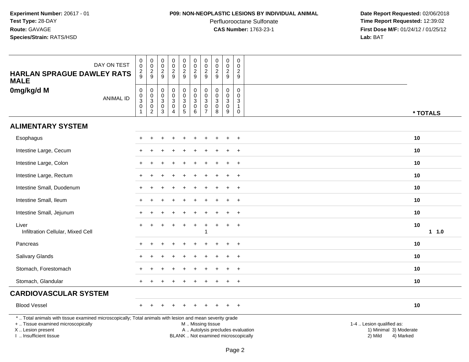### **P09: NON-NEOPLASTIC LESIONS BY INDIVIDUAL ANIMAL**

Perfluorooctane Sulfonate<br>CAS Number: 1763-23-1

| DAY ON TEST<br><b>HARLAN SPRAGUE DAWLEY RATS</b>                                                                                                                                              | 0<br>$\mathbf 0$<br>$\frac{2}{9}$                                  | $\mathbf 0$<br>$\mathbf 0$<br>$\frac{2}{9}$                         | $\pmb{0}$<br>$\pmb{0}$<br>$\frac{2}{9}$                                                   | $\pmb{0}$<br>$\pmb{0}$<br>$\overline{a}$  | $\pmb{0}$<br>$\pmb{0}$<br>$\frac{2}{9}$                                   | $\mathbf 0$<br>$\pmb{0}$<br>$\frac{2}{9}$                     | $\mathbf 0$<br>$\mathbf 0$<br>$\overline{2}$                   | $\pmb{0}$<br>$\pmb{0}$<br>$\boldsymbol{2}$                       | 0<br>$\pmb{0}$<br>$\overline{c}$          | $\mathbf 0$<br>$\mathbf 0$<br>$\overline{c}$                     |                                                                                                                                                         |          |
|-----------------------------------------------------------------------------------------------------------------------------------------------------------------------------------------------|--------------------------------------------------------------------|---------------------------------------------------------------------|-------------------------------------------------------------------------------------------|-------------------------------------------|---------------------------------------------------------------------------|---------------------------------------------------------------|----------------------------------------------------------------|------------------------------------------------------------------|-------------------------------------------|------------------------------------------------------------------|---------------------------------------------------------------------------------------------------------------------------------------------------------|----------|
| <b>MALE</b>                                                                                                                                                                                   |                                                                    |                                                                     |                                                                                           | $\overline{9}$                            |                                                                           |                                                               | 9                                                              | $9\,$                                                            | $\overline{9}$                            | $\overline{9}$                                                   |                                                                                                                                                         |          |
| 0mg/kg/d M<br><b>ANIMAL ID</b>                                                                                                                                                                | 0<br>$\mathbf 0$<br>$\ensuremath{\mathsf{3}}$<br>0<br>$\mathbf{1}$ | 0<br>$\boldsymbol{0}$<br>3<br>$\mathsf{O}\xspace$<br>$\overline{c}$ | $\pmb{0}$<br>$\mathbf 0$<br>$\ensuremath{\mathsf{3}}$<br>$\overline{0}$<br>$\overline{3}$ | 0<br>$\mathbf 0$<br>3<br>$\mathbf 0$<br>4 | 0<br>$\mathbf 0$<br>$\mathbf{3}$<br>$\begin{array}{c} 0 \\ 5 \end{array}$ | $\pmb{0}$<br>$\overline{0}$<br>$\sqrt{3}$<br>$\mathbf 0$<br>6 | 0<br>$\Omega$<br>$\mathbf{3}$<br>$\mathbf 0$<br>$\overline{7}$ | $\mathbf 0$<br>$\mathbf 0$<br>3<br>$\mathbf 0$<br>$\overline{8}$ | 0<br>$\mathbf 0$<br>3<br>$\mathbf 0$<br>9 | 0<br>$\mathbf{0}$<br>$\mathbf{3}$<br>$\mathbf{1}$<br>$\mathbf 0$ |                                                                                                                                                         | * TOTALS |
| <b>ALIMENTARY SYSTEM</b>                                                                                                                                                                      |                                                                    |                                                                     |                                                                                           |                                           |                                                                           |                                                               |                                                                |                                                                  |                                           |                                                                  |                                                                                                                                                         |          |
| Esophagus                                                                                                                                                                                     |                                                                    |                                                                     |                                                                                           |                                           |                                                                           |                                                               |                                                                |                                                                  |                                           | $\overline{+}$                                                   | 10                                                                                                                                                      |          |
| Intestine Large, Cecum                                                                                                                                                                        |                                                                    |                                                                     |                                                                                           |                                           |                                                                           |                                                               |                                                                |                                                                  |                                           | $\ddot{}$                                                        | 10                                                                                                                                                      |          |
| Intestine Large, Colon                                                                                                                                                                        |                                                                    |                                                                     |                                                                                           |                                           |                                                                           |                                                               |                                                                |                                                                  |                                           |                                                                  | 10                                                                                                                                                      |          |
| Intestine Large, Rectum                                                                                                                                                                       |                                                                    |                                                                     |                                                                                           |                                           |                                                                           |                                                               |                                                                |                                                                  |                                           | $\ddot{}$                                                        | 10                                                                                                                                                      |          |
| Intestine Small, Duodenum                                                                                                                                                                     |                                                                    |                                                                     |                                                                                           |                                           |                                                                           |                                                               |                                                                |                                                                  | ÷.                                        | $\ddot{}$                                                        | 10                                                                                                                                                      |          |
| Intestine Small, Ileum                                                                                                                                                                        |                                                                    |                                                                     |                                                                                           |                                           |                                                                           |                                                               |                                                                |                                                                  |                                           |                                                                  | 10                                                                                                                                                      |          |
| Intestine Small, Jejunum                                                                                                                                                                      |                                                                    |                                                                     |                                                                                           |                                           |                                                                           |                                                               |                                                                |                                                                  |                                           |                                                                  | 10                                                                                                                                                      |          |
| Liver<br>Infiltration Cellular, Mixed Cell                                                                                                                                                    |                                                                    |                                                                     |                                                                                           |                                           |                                                                           |                                                               | 1                                                              |                                                                  | $\ddot{}$                                 | $\overline{+}$                                                   | 10                                                                                                                                                      | $1 1.0$  |
| Pancreas                                                                                                                                                                                      |                                                                    |                                                                     |                                                                                           |                                           |                                                                           |                                                               |                                                                |                                                                  |                                           | $\div$                                                           | 10                                                                                                                                                      |          |
| <b>Salivary Glands</b>                                                                                                                                                                        |                                                                    |                                                                     |                                                                                           |                                           |                                                                           |                                                               |                                                                |                                                                  |                                           | $\ddot{}$                                                        | 10                                                                                                                                                      |          |
| Stomach, Forestomach                                                                                                                                                                          |                                                                    |                                                                     |                                                                                           |                                           |                                                                           |                                                               |                                                                |                                                                  |                                           |                                                                  | 10                                                                                                                                                      |          |
| Stomach, Glandular                                                                                                                                                                            |                                                                    |                                                                     |                                                                                           |                                           |                                                                           |                                                               |                                                                |                                                                  |                                           | $\overline{+}$                                                   | 10                                                                                                                                                      |          |
| <b>CARDIOVASCULAR SYSTEM</b>                                                                                                                                                                  |                                                                    |                                                                     |                                                                                           |                                           |                                                                           |                                                               |                                                                |                                                                  |                                           |                                                                  |                                                                                                                                                         |          |
| <b>Blood Vessel</b>                                                                                                                                                                           |                                                                    |                                                                     |                                                                                           |                                           |                                                                           |                                                               |                                                                |                                                                  |                                           | $+$                                                              | 10                                                                                                                                                      |          |
| *  Total animals with tissue examined microscopically; Total animals with lesion and mean severity grade<br>+  Tissue examined microscopically<br>X  Lesion present<br>I  Insufficient tissue |                                                                    |                                                                     |                                                                                           |                                           |                                                                           | M  Missing tissue                                             |                                                                |                                                                  |                                           |                                                                  | 1-4  Lesion qualified as:<br>A  Autolysis precludes evaluation<br>1) Minimal 3) Moderate<br>BLANK  Not examined microscopically<br>2) Mild<br>4) Marked |          |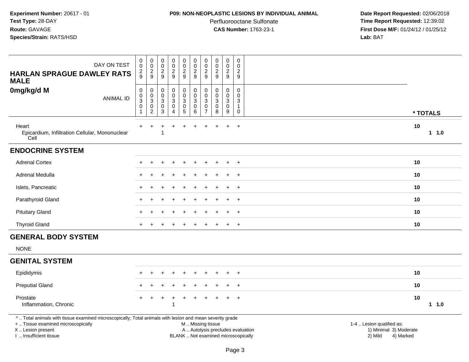#### **P09: NON-NEOPLASTIC LESIONS BY INDIVIDUAL ANIMAL**

Perfluorooctane Sulfonate<br>CAS Number: 1763-23-1

| DAY ON TEST<br><b>HARLAN SPRAGUE DAWLEY RATS</b><br><b>MALE</b>                                                                                                                               | $\mathbf 0$<br>0<br>2<br>9                                 | $\pmb{0}$<br>$\mathbf 0$<br>$\frac{2}{9}$                                 | $\pmb{0}$<br>$\mathbf 0$<br>$\overline{2}$<br>$\boldsymbol{9}$  | $\pmb{0}$<br>$\pmb{0}$<br>$\frac{2}{9}$                | $\mathbf 0$<br>$\mathbf 0$<br>$\overline{c}$<br>9                                | $\pmb{0}$<br>$\pmb{0}$<br>$\overline{2}$<br>$\boldsymbol{9}$                                  | $\mathbf 0$<br>$\mathbf 0$<br>$\frac{2}{9}$                                            | $\pmb{0}$<br>$\mathbf 0$<br>$\overline{c}$<br>9            | $\pmb{0}$<br>$\pmb{0}$<br>$\frac{2}{9}$                               | $\boldsymbol{0}$<br>$\mathbf 0$<br>2<br>9  |                                                                             |         |
|-----------------------------------------------------------------------------------------------------------------------------------------------------------------------------------------------|------------------------------------------------------------|---------------------------------------------------------------------------|-----------------------------------------------------------------|--------------------------------------------------------|----------------------------------------------------------------------------------|-----------------------------------------------------------------------------------------------|----------------------------------------------------------------------------------------|------------------------------------------------------------|-----------------------------------------------------------------------|--------------------------------------------|-----------------------------------------------------------------------------|---------|
| 0mg/kg/d M<br><b>ANIMAL ID</b>                                                                                                                                                                | $\pmb{0}$<br>$\mathbf 0$<br>$\sqrt{3}$<br>$\mathbf 0$<br>1 | $\mathbf 0$<br>$\mathbf 0$<br>$\sqrt{3}$<br>$\mathbf 0$<br>$\overline{c}$ | $\pmb{0}$<br>$\mathbf 0$<br>$\ensuremath{\mathsf{3}}$<br>0<br>3 | 0<br>$\mathbf 0$<br>3<br>$\mathbf 0$<br>$\overline{4}$ | $\pmb{0}$<br>$\mathbf 0$<br>$\mathsf 3$<br>$\mathsf{O}\xspace$<br>$\overline{5}$ | $\pmb{0}$<br>$\pmb{0}$<br>$\sqrt{3}$<br>$\pmb{0}$<br>$\,6\,$                                  | $\mathbf 0$<br>$\mathbf 0$<br>$\ensuremath{\mathsf{3}}$<br>$\pmb{0}$<br>$\overline{7}$ | $\pmb{0}$<br>$\mathbf 0$<br>$\sqrt{3}$<br>$\mathbf 0$<br>8 | $\pmb{0}$<br>$\pmb{0}$<br>$\sqrt{3}$<br>$\pmb{0}$<br>$\boldsymbol{9}$ | 0<br>$\mathbf 0$<br>3<br>$\mathbf{1}$<br>0 | * TOTALS                                                                    |         |
| Heart<br>Epicardium, Infiltration Cellular, Mononuclear<br>Cell                                                                                                                               |                                                            |                                                                           |                                                                 |                                                        | $\ddot{}$                                                                        | $\ddot{}$                                                                                     | $\ddot{}$                                                                              | $\ddot{}$                                                  | $+$                                                                   | $+$                                        | 10                                                                          | $1 1.0$ |
| <b>ENDOCRINE SYSTEM</b>                                                                                                                                                                       |                                                            |                                                                           |                                                                 |                                                        |                                                                                  |                                                                                               |                                                                                        |                                                            |                                                                       |                                            |                                                                             |         |
| <b>Adrenal Cortex</b>                                                                                                                                                                         |                                                            |                                                                           |                                                                 |                                                        |                                                                                  |                                                                                               |                                                                                        |                                                            |                                                                       |                                            | 10                                                                          |         |
| Adrenal Medulla                                                                                                                                                                               |                                                            |                                                                           |                                                                 |                                                        |                                                                                  |                                                                                               |                                                                                        |                                                            |                                                                       | $\overline{+}$                             | 10                                                                          |         |
| Islets, Pancreatic                                                                                                                                                                            |                                                            |                                                                           |                                                                 |                                                        |                                                                                  |                                                                                               |                                                                                        |                                                            | $\ddot{}$                                                             | $+$                                        | 10                                                                          |         |
| Parathyroid Gland                                                                                                                                                                             |                                                            |                                                                           |                                                                 |                                                        |                                                                                  |                                                                                               |                                                                                        |                                                            |                                                                       | $\overline{ }$                             | 10                                                                          |         |
| <b>Pituitary Gland</b>                                                                                                                                                                        |                                                            |                                                                           |                                                                 |                                                        |                                                                                  |                                                                                               |                                                                                        |                                                            |                                                                       | $\ddot{}$                                  | 10                                                                          |         |
| <b>Thyroid Gland</b>                                                                                                                                                                          |                                                            |                                                                           |                                                                 |                                                        |                                                                                  |                                                                                               |                                                                                        |                                                            | $\ddot{}$                                                             | $+$                                        | 10                                                                          |         |
| <b>GENERAL BODY SYSTEM</b>                                                                                                                                                                    |                                                            |                                                                           |                                                                 |                                                        |                                                                                  |                                                                                               |                                                                                        |                                                            |                                                                       |                                            |                                                                             |         |
| <b>NONE</b>                                                                                                                                                                                   |                                                            |                                                                           |                                                                 |                                                        |                                                                                  |                                                                                               |                                                                                        |                                                            |                                                                       |                                            |                                                                             |         |
| <b>GENITAL SYSTEM</b>                                                                                                                                                                         |                                                            |                                                                           |                                                                 |                                                        |                                                                                  |                                                                                               |                                                                                        |                                                            |                                                                       |                                            |                                                                             |         |
| Epididymis                                                                                                                                                                                    |                                                            |                                                                           |                                                                 |                                                        |                                                                                  |                                                                                               |                                                                                        |                                                            |                                                                       |                                            | 10                                                                          |         |
| <b>Preputial Gland</b>                                                                                                                                                                        |                                                            |                                                                           |                                                                 |                                                        |                                                                                  |                                                                                               |                                                                                        |                                                            |                                                                       | $\div$                                     | 10                                                                          |         |
| Prostate<br>Inflammation, Chronic                                                                                                                                                             |                                                            |                                                                           |                                                                 | $\mathbf{1}$                                           |                                                                                  | $\div$                                                                                        |                                                                                        |                                                            |                                                                       | $\ddot{}$                                  | 10                                                                          | 1 1.0   |
| *  Total animals with tissue examined microscopically; Total animals with lesion and mean severity grade<br>+  Tissue examined microscopically<br>X  Lesion present<br>I. Insufficient tissue |                                                            |                                                                           |                                                                 |                                                        |                                                                                  | M  Missing tissue<br>A  Autolysis precludes evaluation<br>BLANK  Not examined microscopically |                                                                                        |                                                            |                                                                       |                                            | 1-4  Lesion qualified as:<br>1) Minimal 3) Moderate<br>2) Mild<br>4) Marked |         |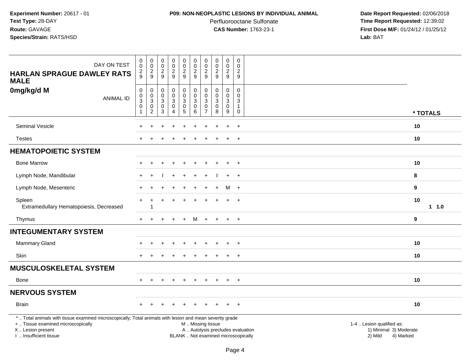#### **P09: NON-NEOPLASTIC LESIONS BY INDIVIDUAL ANIMAL**

Perfluorooctane Sulfonate<br>CAS Number: 1763-23-1

| DAY ON TEST<br><b>HARLAN SPRAGUE DAWLEY RATS</b><br><b>MALE</b>                                                                                                                              | $\mathbf 0$<br>$\mathbf 0$<br>$\overline{\mathbf{c}}$<br>9                               | $\pmb{0}$<br>$\mathbf 0$<br>$\overline{c}$<br>9                                  | $\pmb{0}$<br>$\mathsf{O}\xspace$<br>$\overline{c}$<br>9                                      | $\mathsf{O}\xspace$<br>$\mathbf 0$<br>$\overline{2}$<br>$\overline{9}$ | $\pmb{0}$<br>$\mathbf 0$<br>$\overline{2}$<br>9              | $\pmb{0}$<br>$\mathbf 0$<br>$\sqrt{2}$<br>9                      | $\boldsymbol{0}$<br>$\mathsf{O}\xspace$<br>$\overline{c}$<br>9 | $\pmb{0}$<br>$\mathbf 0$<br>$\overline{2}$<br>9           | $\pmb{0}$<br>$\mathbf 0$<br>$\overline{2}$<br>9   | $\pmb{0}$<br>$\Omega$<br>$\overline{c}$<br>9                  |                                                                                                                  |
|----------------------------------------------------------------------------------------------------------------------------------------------------------------------------------------------|------------------------------------------------------------------------------------------|----------------------------------------------------------------------------------|----------------------------------------------------------------------------------------------|------------------------------------------------------------------------|--------------------------------------------------------------|------------------------------------------------------------------|----------------------------------------------------------------|-----------------------------------------------------------|---------------------------------------------------|---------------------------------------------------------------|------------------------------------------------------------------------------------------------------------------|
| 0mg/kg/d M<br><b>ANIMAL ID</b>                                                                                                                                                               | $\mathsf 0$<br>$\mathsf 0$<br>$\ensuremath{\mathsf{3}}$<br>$\mathbf 0$<br>$\overline{1}$ | $\mathbf 0$<br>$\mathbf 0$<br>$\sqrt{3}$<br>$\boldsymbol{0}$<br>$\boldsymbol{2}$ | $\mathsf{O}\xspace$<br>$\mathbf 0$<br>$\ensuremath{\mathsf{3}}$<br>$\mathbf 0$<br>$\sqrt{3}$ | 0<br>0<br>3<br>$\mathbf 0$<br>4                                        | $\pmb{0}$<br>$\mathbf 0$<br>$\overline{3}$<br>$\pmb{0}$<br>5 | $\mathbf 0$<br>$\mathbf 0$<br>$\sqrt{3}$<br>$\pmb{0}$<br>$\,6\,$ | 0<br>$\mathbf 0$<br>3<br>$\mathbf 0$<br>$\overline{7}$         | $\pmb{0}$<br>$\mathbf 0$<br>$\mathbf 3$<br>$\pmb{0}$<br>8 | $\mathbf 0$<br>$\mathbf 0$<br>3<br>$\pmb{0}$<br>9 | 0<br>$\mathbf 0$<br>$\sqrt{3}$<br>$\mathbf{1}$<br>$\mathbf 0$ | * TOTALS                                                                                                         |
| <b>Seminal Vesicle</b>                                                                                                                                                                       | $\div$                                                                                   | ÷.                                                                               |                                                                                              | $\div$                                                                 | $\ddot{}$                                                    | $\overline{1}$                                                   | $\div$                                                         |                                                           | $\ddot{}$                                         | $+$                                                           | 10                                                                                                               |
| <b>Testes</b>                                                                                                                                                                                |                                                                                          |                                                                                  |                                                                                              |                                                                        |                                                              |                                                                  |                                                                |                                                           |                                                   | $\overline{ }$                                                | 10                                                                                                               |
| <b>HEMATOPOIETIC SYSTEM</b>                                                                                                                                                                  |                                                                                          |                                                                                  |                                                                                              |                                                                        |                                                              |                                                                  |                                                                |                                                           |                                                   |                                                               |                                                                                                                  |
| <b>Bone Marrow</b>                                                                                                                                                                           |                                                                                          |                                                                                  |                                                                                              |                                                                        |                                                              |                                                                  |                                                                |                                                           |                                                   | $\ddot{}$                                                     | 10                                                                                                               |
| Lymph Node, Mandibular                                                                                                                                                                       |                                                                                          |                                                                                  |                                                                                              |                                                                        |                                                              |                                                                  |                                                                |                                                           | ÷.                                                | $+$                                                           | 8                                                                                                                |
| Lymph Node, Mesenteric                                                                                                                                                                       |                                                                                          |                                                                                  |                                                                                              |                                                                        |                                                              |                                                                  |                                                                |                                                           | M                                                 | $+$                                                           | $\boldsymbol{9}$                                                                                                 |
| Spleen<br>Extramedullary Hematopoiesis, Decreased                                                                                                                                            |                                                                                          | 1                                                                                |                                                                                              |                                                                        |                                                              |                                                                  |                                                                |                                                           |                                                   | $\ddot{}$                                                     | 10<br>$1 1.0$                                                                                                    |
| Thymus                                                                                                                                                                                       |                                                                                          |                                                                                  |                                                                                              |                                                                        |                                                              | м                                                                |                                                                |                                                           |                                                   | $\ddot{}$                                                     | 9                                                                                                                |
| <b>INTEGUMENTARY SYSTEM</b>                                                                                                                                                                  |                                                                                          |                                                                                  |                                                                                              |                                                                        |                                                              |                                                                  |                                                                |                                                           |                                                   |                                                               |                                                                                                                  |
| Mammary Gland                                                                                                                                                                                |                                                                                          |                                                                                  |                                                                                              |                                                                        |                                                              |                                                                  |                                                                |                                                           |                                                   | $\overline{+}$                                                | 10                                                                                                               |
| Skin                                                                                                                                                                                         |                                                                                          |                                                                                  |                                                                                              |                                                                        |                                                              |                                                                  |                                                                |                                                           | $\ddot{}$                                         | $+$                                                           | 10                                                                                                               |
| <b>MUSCULOSKELETAL SYSTEM</b>                                                                                                                                                                |                                                                                          |                                                                                  |                                                                                              |                                                                        |                                                              |                                                                  |                                                                |                                                           |                                                   |                                                               |                                                                                                                  |
| Bone                                                                                                                                                                                         |                                                                                          |                                                                                  |                                                                                              |                                                                        |                                                              |                                                                  |                                                                |                                                           |                                                   | $\overline{+}$                                                | 10                                                                                                               |
| <b>NERVOUS SYSTEM</b>                                                                                                                                                                        |                                                                                          |                                                                                  |                                                                                              |                                                                        |                                                              |                                                                  |                                                                |                                                           |                                                   |                                                               |                                                                                                                  |
| <b>Brain</b>                                                                                                                                                                                 |                                                                                          |                                                                                  |                                                                                              |                                                                        |                                                              |                                                                  |                                                                |                                                           |                                                   | $+$                                                           | 10                                                                                                               |
| *  Total animals with tissue examined microscopically; Total animals with lesion and mean severity grade<br>+  Tissue examined microscopically<br>X Lesion present<br>I. Insufficient tissue |                                                                                          |                                                                                  |                                                                                              |                                                                        |                                                              | M  Missing tissue                                                |                                                                | BLANK  Not examined microscopically                       |                                                   |                                                               | 1-4  Lesion qualified as:<br>A  Autolysis precludes evaluation<br>1) Minimal 3) Moderate<br>2) Mild<br>4) Marked |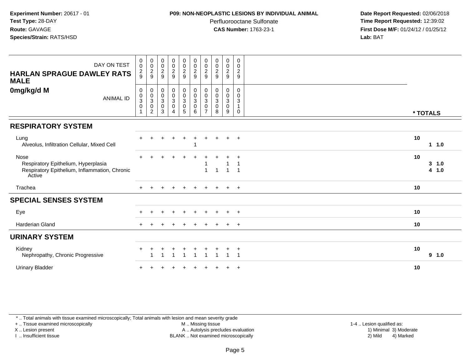#### **P09: NON-NEOPLASTIC LESIONS BY INDIVIDUAL ANIMAL**

Perfluorooctane Sulfonate<br>CAS Number: 1763-23-1

 **Date Report Requested:** 02/06/2018 **Time Report Requested:** 12:39:02 **First Dose M/F:** 01/24/12 / 01/25/12<br>**Lab:** BAT **Lab:** BAT

| DAY ON TEST<br><b>HARLAN SPRAGUE DAWLEY RATS</b><br><b>MALE</b>                                        | $\pmb{0}$<br>$\mathbf 0$<br>$\frac{2}{9}$ | 0002                                                  | $\begin{smallmatrix} 0\\0\\2 \end{smallmatrix}$<br>$\overline{9}$ | $\begin{array}{c} 0 \\ 0 \\ 2 \\ 9 \end{array}$             | $\begin{array}{c} 0 \\ 0 \\ 2 \\ 9 \end{array}$ | $\begin{smallmatrix} 0\\0\\2 \end{smallmatrix}$<br>$\overline{9}$ | $\begin{array}{c} 0 \\ 0 \\ 2 \\ 9 \end{array}$              | $\pmb{0}$<br>$\frac{0}{2}$<br>$9\,$   | $\pmb{0}$<br>$\mathbf 0$<br>$\overline{2}$<br>9 | $\,0\,$<br>$\mathbf 0$<br>$\overline{c}$<br>9                      |          |                |
|--------------------------------------------------------------------------------------------------------|-------------------------------------------|-------------------------------------------------------|-------------------------------------------------------------------|-------------------------------------------------------------|-------------------------------------------------|-------------------------------------------------------------------|--------------------------------------------------------------|---------------------------------------|-------------------------------------------------|--------------------------------------------------------------------|----------|----------------|
| 0mg/kg/d M<br><b>ANIMAL ID</b>                                                                         | 0<br>$_{3}^{\rm 0}$<br>$\mathbf 0$        | $\pmb{0}$<br>$\frac{0}{3}$<br>$\pmb{0}$<br>$\sqrt{2}$ | $\mathbf 0$<br>$_{3}^{\rm 0}$<br>$\pmb{0}$<br>$\sqrt{3}$          | 0<br>$\frac{0}{3}$<br>$\mathsf{O}\xspace$<br>$\overline{4}$ | 0<br>$\frac{0}{3}$<br>0<br>5                    | $\mathbf 0$<br>$\frac{0}{3}$<br>$\pmb{0}$<br>$\,6$                | $\mathbf 0$<br>$_{3}^{\rm 0}$<br>$\pmb{0}$<br>$\overline{7}$ | 0<br>$_{3}^{\rm 0}$<br>$\pmb{0}$<br>8 | 0<br>$\frac{0}{3}$<br>$\mathsf{O}$<br>9         | 0<br>$\mathbf 0$<br>$\ensuremath{\mathsf{3}}$<br>$\mathbf{1}$<br>0 | * TOTALS |                |
| <b>RESPIRATORY SYSTEM</b>                                                                              |                                           |                                                       |                                                                   |                                                             |                                                 |                                                                   |                                                              |                                       |                                                 |                                                                    |          |                |
| Lung<br>Alveolus, Infiltration Cellular, Mixed Cell                                                    |                                           |                                                       |                                                                   |                                                             |                                                 |                                                                   |                                                              |                                       | $\ddot{}$                                       | $+$                                                                | 10       | $1 \t1.0$      |
| Nose<br>Respiratory Epithelium, Hyperplasia<br>Respiratory Epithelium, Inflammation, Chronic<br>Active |                                           |                                                       |                                                                   |                                                             |                                                 |                                                                   | $\overline{1}$                                               | $\overline{1}$                        |                                                 |                                                                    | 10       | 3 1.0<br>4 1.0 |
| Trachea                                                                                                |                                           |                                                       |                                                                   |                                                             | $\ddot{}$                                       |                                                                   | $\pm$                                                        | $+$                                   | $+$                                             | $+$                                                                | 10       |                |
| <b>SPECIAL SENSES SYSTEM</b>                                                                           |                                           |                                                       |                                                                   |                                                             |                                                 |                                                                   |                                                              |                                       |                                                 |                                                                    |          |                |
| Eye                                                                                                    |                                           |                                                       |                                                                   |                                                             |                                                 |                                                                   |                                                              |                                       |                                                 | $\pm$                                                              | 10       |                |
| <b>Harderian Gland</b>                                                                                 |                                           |                                                       |                                                                   |                                                             |                                                 |                                                                   |                                                              |                                       |                                                 | $+$                                                                | 10       |                |
| <b>URINARY SYSTEM</b>                                                                                  |                                           |                                                       |                                                                   |                                                             |                                                 |                                                                   |                                                              |                                       |                                                 |                                                                    |          |                |
| Kidney<br>Nephropathy, Chronic Progressive                                                             |                                           |                                                       |                                                                   |                                                             |                                                 |                                                                   |                                                              |                                       |                                                 | -1                                                                 | 10       | 9 1.0          |
| <b>Urinary Bladder</b>                                                                                 |                                           |                                                       |                                                                   |                                                             |                                                 |                                                                   |                                                              |                                       |                                                 | $\overline{ }$                                                     | 10       |                |

\* .. Total animals with tissue examined microscopically; Total animals with lesion and mean severity grade

+ .. Tissue examined microscopically

X .. Lesion present

I .. Insufficient tissue

M .. Missing tissue

Lesion present A .. Autolysis precludes evaluation 1) Minimal 3) Moderate

1-4 .. Lesion qualified as:<br>1) Minimal 3) Moderate BLANK .. Not examined microscopically 2) Mild 4) Marked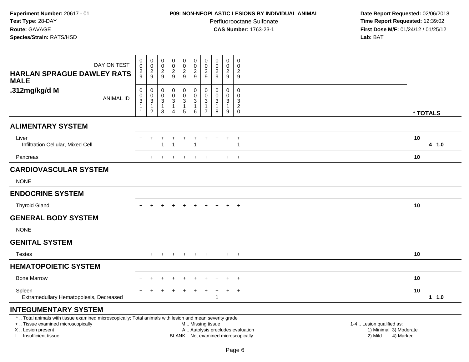# **P09: NON-NEOPLASTIC LESIONS BY INDIVIDUAL ANIMAL**

Perfluorooctane Sulfonate<br>CAS Number: 1763-23-1

| DAY ON TEST<br><b>HARLAN SPRAGUE DAWLEY RATS</b><br><b>MALE</b>                                                                                                                               | $\mathbf 0$<br>$\mathsf 0$<br>$\frac{2}{9}$                                   | $\boldsymbol{0}$<br>$\,0\,$<br>$\frac{2}{9}$                                              | $\pmb{0}$<br>$\pmb{0}$<br>$\frac{2}{9}$   | $\pmb{0}$<br>$\overline{0}$<br>$\frac{2}{9}$          | $\mathbf 0$<br>$\ddot{\mathbf{0}}$<br>$\frac{2}{9}$              | $\pmb{0}$<br>$\pmb{0}$<br>$\boldsymbol{2}$<br>9                                               | $\mathbf 0$<br>$\mathsf{O}\xspace$<br>$\frac{2}{9}$                  | $\mathsf{O}\xspace$<br>$\mathbf 0$<br>$\overline{c}$<br>9                      | $\pmb{0}$<br>$\pmb{0}$<br>$\frac{2}{9}$               | $\mathsf{O}\xspace$<br>$\mathbf 0$<br>$\overline{c}$<br>9 |                                                                             |
|-----------------------------------------------------------------------------------------------------------------------------------------------------------------------------------------------|-------------------------------------------------------------------------------|-------------------------------------------------------------------------------------------|-------------------------------------------|-------------------------------------------------------|------------------------------------------------------------------|-----------------------------------------------------------------------------------------------|----------------------------------------------------------------------|--------------------------------------------------------------------------------|-------------------------------------------------------|-----------------------------------------------------------|-----------------------------------------------------------------------------|
| .312mg/kg/d M<br><b>ANIMAL ID</b>                                                                                                                                                             | $\mathsf 0$<br>$\mathsf{O}$<br>$\sqrt{3}$<br>$\overline{1}$<br>$\overline{1}$ | $\pmb{0}$<br>$\mathbf 0$<br>$\ensuremath{\mathsf{3}}$<br>$\overline{1}$<br>$\overline{2}$ | $\mathbf 0$<br>$\mathbf 0$<br>3<br>1<br>3 | 0<br>$\mathbf 0$<br>$\mathbf{3}$<br>$\mathbf{1}$<br>4 | $\mathsf 0$<br>$\mathbf 0$<br>$\mathsf 3$<br>$\overline{1}$<br>5 | 0<br>$\pmb{0}$<br>$\sqrt{3}$<br>1<br>6                                                        | 0<br>$\mathbf 0$<br>$\mathbf{3}$<br>$\overline{1}$<br>$\overline{7}$ | $\mathbf 0$<br>$\mathbf 0$<br>$\ensuremath{\mathsf{3}}$<br>$\overline{1}$<br>8 | 0<br>$\mathbf 0$<br>$\mathbf{3}$<br>$\mathbf{1}$<br>9 | $\Omega$<br>$\mathbf 0$<br>3<br>$\sqrt{2}$<br>$\mathbf 0$ | * TOTALS                                                                    |
| <b>ALIMENTARY SYSTEM</b>                                                                                                                                                                      |                                                                               |                                                                                           |                                           |                                                       |                                                                  |                                                                                               |                                                                      |                                                                                |                                                       |                                                           |                                                                             |
| Liver<br>Infiltration Cellular, Mixed Cell                                                                                                                                                    | $\pm$                                                                         | $\ddot{}$                                                                                 | ٠                                         | $\ddot{}$<br>$\overline{1}$                           | $\pm$                                                            | $\ddot{}$                                                                                     |                                                                      |                                                                                | $\ddot{}$                                             | $\overline{+}$                                            | 10<br>4 1.0                                                                 |
| Pancreas                                                                                                                                                                                      |                                                                               |                                                                                           |                                           |                                                       |                                                                  |                                                                                               |                                                                      |                                                                                |                                                       | $\ddot{}$                                                 | 10                                                                          |
| <b>CARDIOVASCULAR SYSTEM</b>                                                                                                                                                                  |                                                                               |                                                                                           |                                           |                                                       |                                                                  |                                                                                               |                                                                      |                                                                                |                                                       |                                                           |                                                                             |
| <b>NONE</b>                                                                                                                                                                                   |                                                                               |                                                                                           |                                           |                                                       |                                                                  |                                                                                               |                                                                      |                                                                                |                                                       |                                                           |                                                                             |
| <b>ENDOCRINE SYSTEM</b>                                                                                                                                                                       |                                                                               |                                                                                           |                                           |                                                       |                                                                  |                                                                                               |                                                                      |                                                                                |                                                       |                                                           |                                                                             |
| <b>Thyroid Gland</b>                                                                                                                                                                          |                                                                               |                                                                                           |                                           |                                                       |                                                                  |                                                                                               |                                                                      |                                                                                | $\overline{+}$                                        | $+$                                                       | 10                                                                          |
| <b>GENERAL BODY SYSTEM</b>                                                                                                                                                                    |                                                                               |                                                                                           |                                           |                                                       |                                                                  |                                                                                               |                                                                      |                                                                                |                                                       |                                                           |                                                                             |
| <b>NONE</b>                                                                                                                                                                                   |                                                                               |                                                                                           |                                           |                                                       |                                                                  |                                                                                               |                                                                      |                                                                                |                                                       |                                                           |                                                                             |
| <b>GENITAL SYSTEM</b>                                                                                                                                                                         |                                                                               |                                                                                           |                                           |                                                       |                                                                  |                                                                                               |                                                                      |                                                                                |                                                       |                                                           |                                                                             |
| <b>Testes</b>                                                                                                                                                                                 | $+$                                                                           | $\ddot{}$                                                                                 |                                           | $\ddot{}$                                             | $\ddot{}$                                                        | $\ddot{}$                                                                                     | $\pm$                                                                | $+$                                                                            | $+$                                                   | $+$                                                       | 10                                                                          |
| <b>HEMATOPOIETIC SYSTEM</b>                                                                                                                                                                   |                                                                               |                                                                                           |                                           |                                                       |                                                                  |                                                                                               |                                                                      |                                                                                |                                                       |                                                           |                                                                             |
| <b>Bone Marrow</b>                                                                                                                                                                            |                                                                               |                                                                                           |                                           |                                                       |                                                                  |                                                                                               |                                                                      |                                                                                |                                                       | $\overline{ }$                                            | 10                                                                          |
| Spleen<br>Extramedullary Hematopoiesis, Decreased                                                                                                                                             |                                                                               |                                                                                           |                                           |                                                       |                                                                  |                                                                                               |                                                                      | 1                                                                              | $\ddot{}$                                             | $+$                                                       | 10<br>$1 \t1.0$                                                             |
| <b>INTEGUMENTARY SYSTEM</b>                                                                                                                                                                   |                                                                               |                                                                                           |                                           |                                                       |                                                                  |                                                                                               |                                                                      |                                                                                |                                                       |                                                           |                                                                             |
| *  Total animals with tissue examined microscopically; Total animals with lesion and mean severity grade<br>+  Tissue examined microscopically<br>X  Lesion present<br>I  Insufficient tissue |                                                                               |                                                                                           |                                           |                                                       |                                                                  | M  Missing tissue<br>A  Autolysis precludes evaluation<br>BLANK  Not examined microscopically |                                                                      |                                                                                |                                                       |                                                           | 1-4  Lesion qualified as:<br>1) Minimal 3) Moderate<br>4) Marked<br>2) Mild |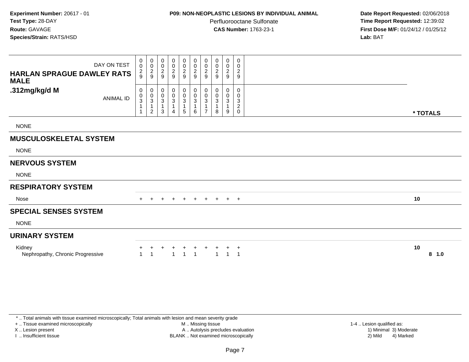# **P09: NON-NEOPLASTIC LESIONS BY INDIVIDUAL ANIMAL**

Perfluorooctane Sulfonate<br>CAS Number: 1763-23-1

 **Date Report Requested:** 02/06/2018 **Time Report Requested:** 12:39:02 **First Dose M/F:** 01/24/12 / 01/25/12<br>**Lab:** BAT **Lab:** BAT

| DAY ON TEST<br><b>HARLAN SPRAGUE DAWLEY RATS</b><br><b>MALE</b> | 0<br>$\mathbf 0$<br>$\frac{2}{9}$                       | $\begin{array}{c} 0 \\ 0 \\ 2 \\ 9 \end{array}$              | 0<br>$\pmb{0}$<br>$\frac{2}{9}$           | $\begin{matrix} 0 \\ 0 \\ 2 \\ 9 \end{matrix}$                         | 0<br>$\frac{0}{2}$                       | 0<br>$\begin{smallmatrix} 0\\2\\9 \end{smallmatrix}$  | 0<br>$\pmb{0}$<br>$\frac{2}{9}$                                               | $\overline{0}$<br>$\mathbf 0$<br>$\boldsymbol{2}$<br>9 | 0<br>$\begin{smallmatrix} 0\\2 \end{smallmatrix}$<br>9 | 0<br>0<br>$\overline{2}$<br>$\boldsymbol{9}$                |               |
|-----------------------------------------------------------------|---------------------------------------------------------|--------------------------------------------------------------|-------------------------------------------|------------------------------------------------------------------------|------------------------------------------|-------------------------------------------------------|-------------------------------------------------------------------------------|--------------------------------------------------------|--------------------------------------------------------|-------------------------------------------------------------|---------------|
| .312mg/kg/d M<br><b>ANIMAL ID</b>                               | 0<br>$_{3}^{\rm 0}$<br>$\overline{1}$<br>$\overline{1}$ | $\boldsymbol{0}$<br>$_3^0$<br>$\mathbf{1}$<br>$\overline{c}$ | 0<br>0<br>$\sqrt{3}$<br>$\mathbf{1}$<br>3 | $\boldsymbol{0}$<br>$_{3}^{\rm 0}$<br>$\overline{1}$<br>$\overline{4}$ | 0<br>$_{3}^{\rm 0}$<br>$\mathbf{1}$<br>5 | 0<br>$\pmb{0}$<br>$\ensuremath{\mathsf{3}}$<br>1<br>6 | 0<br>$\pmb{0}$<br>$\ensuremath{\mathsf{3}}$<br>$\mathbf{1}$<br>$\overline{7}$ | 0<br>0<br>3<br>$\mathbf{1}$<br>8                       | 0<br>$\pmb{0}$<br>$\sqrt{3}$<br>9                      | 0<br>$\mathbf 0$<br>$\sqrt{3}$<br>$\sqrt{2}$<br>$\mathbf 0$ | * TOTALS      |
| <b>NONE</b>                                                     |                                                         |                                                              |                                           |                                                                        |                                          |                                                       |                                                                               |                                                        |                                                        |                                                             |               |
| <b>MUSCULOSKELETAL SYSTEM</b>                                   |                                                         |                                                              |                                           |                                                                        |                                          |                                                       |                                                                               |                                                        |                                                        |                                                             |               |
| <b>NONE</b>                                                     |                                                         |                                                              |                                           |                                                                        |                                          |                                                       |                                                                               |                                                        |                                                        |                                                             |               |
| <b>NERVOUS SYSTEM</b>                                           |                                                         |                                                              |                                           |                                                                        |                                          |                                                       |                                                                               |                                                        |                                                        |                                                             |               |
| <b>NONE</b>                                                     |                                                         |                                                              |                                           |                                                                        |                                          |                                                       |                                                                               |                                                        |                                                        |                                                             |               |
| <b>RESPIRATORY SYSTEM</b>                                       |                                                         |                                                              |                                           |                                                                        |                                          |                                                       |                                                                               |                                                        |                                                        |                                                             |               |
| Nose                                                            |                                                         |                                                              |                                           |                                                                        | $+$                                      | $+$                                                   | $+$                                                                           | $+$                                                    | $+$                                                    | $+$                                                         | 10            |
| <b>SPECIAL SENSES SYSTEM</b>                                    |                                                         |                                                              |                                           |                                                                        |                                          |                                                       |                                                                               |                                                        |                                                        |                                                             |               |
| <b>NONE</b>                                                     |                                                         |                                                              |                                           |                                                                        |                                          |                                                       |                                                                               |                                                        |                                                        |                                                             |               |
| <b>URINARY SYSTEM</b>                                           |                                                         |                                                              |                                           |                                                                        |                                          |                                                       |                                                                               |                                                        |                                                        |                                                             |               |
| Kidney<br>Nephropathy, Chronic Progressive                      |                                                         |                                                              |                                           | -1                                                                     | 1                                        | -1                                                    |                                                                               |                                                        |                                                        | $\overline{a}$                                              | 10<br>$8$ 1.0 |

\* .. Total animals with tissue examined microscopically; Total animals with lesion and mean severity grade

+ .. Tissue examined microscopically

X .. Lesion present

I .. Insufficient tissue

 M .. Missing tissueA .. Autolysis precludes evaluation

BLANK .. Not examined microscopically 2) Mild 4) Marked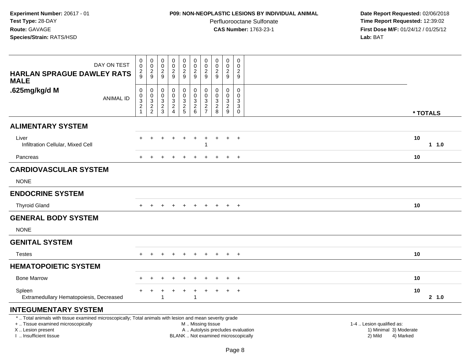# **P09: NON-NEOPLASTIC LESIONS BY INDIVIDUAL ANIMAL**

Perfluorooctane Sulfonate<br>CAS Number: 1763-23-1

| DAY ON TEST                                                                                                                                                                                   | $\pmb{0}$<br>$\mathbf 0$                                                   | $\pmb{0}$<br>$\mathbf 0$                                                 | $\pmb{0}$<br>$\pmb{0}$<br>$\overline{c}$                                 | $\pmb{0}$<br>$\frac{0}{2}$                                     | $\pmb{0}$<br>$\mathsf 0$                                              | $\pmb{0}$<br>$\pmb{0}$<br>$\overline{2}$                                                     | $\pmb{0}$<br>$\pmb{0}$                                                   | $\pmb{0}$<br>$\mathbf 0$<br>$\overline{2}$  | $\pmb{0}$<br>$\mathbf 0$                                      | $\boldsymbol{0}$<br>$\Omega$                                            |                                                                                                                                                         |
|-----------------------------------------------------------------------------------------------------------------------------------------------------------------------------------------------|----------------------------------------------------------------------------|--------------------------------------------------------------------------|--------------------------------------------------------------------------|----------------------------------------------------------------|-----------------------------------------------------------------------|----------------------------------------------------------------------------------------------|--------------------------------------------------------------------------|---------------------------------------------|---------------------------------------------------------------|-------------------------------------------------------------------------|---------------------------------------------------------------------------------------------------------------------------------------------------------|
| <b>HARLAN SPRAGUE DAWLEY RATS</b><br><b>MALE</b>                                                                                                                                              | $\overline{c}$<br>9                                                        | $\frac{2}{9}$                                                            | 9                                                                        |                                                                | $\frac{2}{9}$                                                         | $\overline{9}$                                                                               | $\frac{2}{9}$                                                            | 9                                           | $\frac{2}{9}$                                                 | $\overline{\mathbf{c}}$<br>9                                            |                                                                                                                                                         |
| .625mg/kg/d M<br><b>ANIMAL ID</b>                                                                                                                                                             | $\boldsymbol{0}$<br>$\mathsf{O}\xspace$<br>$\overline{3}$<br>$\frac{2}{1}$ | $\mathsf 0$<br>$\mathbf 0$<br>$\ensuremath{\mathsf{3}}$<br>$\frac{2}{2}$ | $\mathbf 0$<br>$\mathbf 0$<br>$\ensuremath{\mathsf{3}}$<br>$\frac{2}{3}$ | 0<br>$\mathbf 0$<br>$\ensuremath{\mathsf{3}}$<br>$\frac{2}{4}$ | $\mathsf 0$<br>$\mathsf{O}\xspace$<br>$\overline{3}$<br>$\frac{2}{5}$ | $\pmb{0}$<br>$\pmb{0}$<br>$\ensuremath{\mathsf{3}}$<br>$\begin{array}{c} 2 \\ 6 \end{array}$ | $\mathbf 0$<br>$\mathbf 0$<br>$\ensuremath{\mathsf{3}}$<br>$\frac{2}{7}$ | $\mathbf 0$<br>$\mathbf 0$<br>$\frac{3}{2}$ | $\mathbf 0$<br>$\mathbf 0$<br>$\overline{3}$<br>$\frac{2}{9}$ | $\mathbf 0$<br>$\mathbf 0$<br>$\mathbf{3}$<br>$\sqrt{3}$<br>$\mathbf 0$ | * TOTALS                                                                                                                                                |
| <b>ALIMENTARY SYSTEM</b>                                                                                                                                                                      |                                                                            |                                                                          |                                                                          |                                                                |                                                                       |                                                                                              |                                                                          |                                             |                                                               |                                                                         |                                                                                                                                                         |
| Liver<br>Infiltration Cellular, Mixed Cell                                                                                                                                                    |                                                                            |                                                                          |                                                                          |                                                                | $\ddot{}$                                                             | $\ddot{}$                                                                                    | ÷                                                                        |                                             | $\ddot{}$                                                     | $+$                                                                     | 10<br>1 1.0                                                                                                                                             |
| Pancreas                                                                                                                                                                                      |                                                                            |                                                                          |                                                                          |                                                                |                                                                       |                                                                                              |                                                                          |                                             |                                                               | $\div$                                                                  | 10                                                                                                                                                      |
| <b>CARDIOVASCULAR SYSTEM</b>                                                                                                                                                                  |                                                                            |                                                                          |                                                                          |                                                                |                                                                       |                                                                                              |                                                                          |                                             |                                                               |                                                                         |                                                                                                                                                         |
| <b>NONE</b>                                                                                                                                                                                   |                                                                            |                                                                          |                                                                          |                                                                |                                                                       |                                                                                              |                                                                          |                                             |                                                               |                                                                         |                                                                                                                                                         |
| <b>ENDOCRINE SYSTEM</b>                                                                                                                                                                       |                                                                            |                                                                          |                                                                          |                                                                |                                                                       |                                                                                              |                                                                          |                                             |                                                               |                                                                         |                                                                                                                                                         |
| <b>Thyroid Gland</b>                                                                                                                                                                          |                                                                            |                                                                          |                                                                          |                                                                |                                                                       |                                                                                              |                                                                          |                                             | $\ddot{}$                                                     | $\overline{+}$                                                          | 10                                                                                                                                                      |
| <b>GENERAL BODY SYSTEM</b>                                                                                                                                                                    |                                                                            |                                                                          |                                                                          |                                                                |                                                                       |                                                                                              |                                                                          |                                             |                                                               |                                                                         |                                                                                                                                                         |
| <b>NONE</b>                                                                                                                                                                                   |                                                                            |                                                                          |                                                                          |                                                                |                                                                       |                                                                                              |                                                                          |                                             |                                                               |                                                                         |                                                                                                                                                         |
| <b>GENITAL SYSTEM</b>                                                                                                                                                                         |                                                                            |                                                                          |                                                                          |                                                                |                                                                       |                                                                                              |                                                                          |                                             |                                                               |                                                                         |                                                                                                                                                         |
| <b>Testes</b>                                                                                                                                                                                 | $+$                                                                        | $\ddot{}$                                                                |                                                                          | $\ddot{}$                                                      | $+$                                                                   | $\ddot{}$                                                                                    | $+$                                                                      | $+$                                         | $+$                                                           | $+$                                                                     | 10                                                                                                                                                      |
| <b>HEMATOPOIETIC SYSTEM</b>                                                                                                                                                                   |                                                                            |                                                                          |                                                                          |                                                                |                                                                       |                                                                                              |                                                                          |                                             |                                                               |                                                                         |                                                                                                                                                         |
| <b>Bone Marrow</b>                                                                                                                                                                            |                                                                            |                                                                          |                                                                          |                                                                |                                                                       |                                                                                              |                                                                          |                                             |                                                               | $\ddot{}$                                                               | 10                                                                                                                                                      |
| Spleen<br>Extramedullary Hematopoiesis, Decreased                                                                                                                                             |                                                                            |                                                                          |                                                                          |                                                                | $\ddot{}$                                                             | $\ddot{}$<br>$\overline{1}$                                                                  | +                                                                        |                                             | $\ddot{}$                                                     | $\overline{+}$                                                          | 10<br>2, 1.0                                                                                                                                            |
| <b>INTEGUMENTARY SYSTEM</b>                                                                                                                                                                   |                                                                            |                                                                          |                                                                          |                                                                |                                                                       |                                                                                              |                                                                          |                                             |                                                               |                                                                         |                                                                                                                                                         |
| *  Total animals with tissue examined microscopically; Total animals with lesion and mean severity grade<br>+  Tissue examined microscopically<br>X  Lesion present<br>I  Insufficient tissue |                                                                            |                                                                          |                                                                          |                                                                |                                                                       | M  Missing tissue                                                                            |                                                                          |                                             |                                                               |                                                                         | 1-4  Lesion qualified as:<br>A  Autolysis precludes evaluation<br>1) Minimal 3) Moderate<br>BLANK  Not examined microscopically<br>2) Mild<br>4) Marked |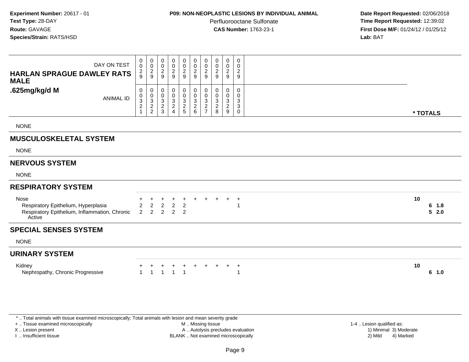### **P09: NON-NEOPLASTIC LESIONS BY INDIVIDUAL ANIMAL**

Perfluorooctane Sulfonate<br>CAS Number: 1763-23-1

 **Date Report Requested:** 02/06/2018 **Time Report Requested:** 12:39:02 **First Dose M/F:** 01/24/12 / 01/25/12<br>**Lab:** BAT **Lab:** BAT

| DAY ON TEST<br><b>HARLAN SPRAGUE DAWLEY RATS</b><br><b>MALE</b>                                        | $\overline{0}$<br>$\mathbf 0$<br>$\frac{2}{9}$                     | 0<br>$\frac{0}{2}$                     | 0<br>$\pmb{0}$<br>$\overline{c}$<br>$\mathsf g$ | 0<br>$\pmb{0}$<br>$\overline{2}$<br>$\overline{9}$       | 0<br>$\frac{0}{2}$                                   | 0<br>$\frac{0}{2}$                  | $\pmb{0}$<br>$\frac{0}{2}$                  | 0<br>0<br>$\sqrt{2}$<br>9      | $\pmb{0}$<br>$\begin{smallmatrix} 0\\2 \end{smallmatrix}$<br>$9$ | 0<br>$\mathbf 0$<br>$\overline{c}$<br>$\boldsymbol{9}$ |                         |
|--------------------------------------------------------------------------------------------------------|--------------------------------------------------------------------|----------------------------------------|-------------------------------------------------|----------------------------------------------------------|------------------------------------------------------|-------------------------------------|---------------------------------------------|--------------------------------|------------------------------------------------------------------|--------------------------------------------------------|-------------------------|
| .625mg/kg/d M<br><b>ANIMAL ID</b>                                                                      | 0<br>$\pmb{0}$<br>$\overline{3}$<br>$\overline{2}$<br>$\mathbf{1}$ | 0<br>$\boldsymbol{0}$<br>$\frac{3}{2}$ | 0<br>0<br>3<br>$\frac{2}{3}$                    | 0<br>0<br>$\sqrt{3}$<br>$\overline{2}$<br>$\overline{4}$ | 0<br>$\begin{array}{c} 0 \\ 3 \\ 2 \\ 5 \end{array}$ | 0<br>$\mathbf 0$<br>$\frac{3}{2}$ 6 | $\pmb{0}$<br>$\frac{0}{2}$<br>$\frac{3}{7}$ | 0<br>0<br>3<br>$\sqrt{2}$<br>8 | 0<br>$\mathbf 0$<br>$\sqrt{3}$<br>$\boldsymbol{2}$<br>9          | 0<br>0<br>3<br>$\sqrt{3}$<br>$\mathbf 0$               | * TOTALS                |
| <b>NONE</b>                                                                                            |                                                                    |                                        |                                                 |                                                          |                                                      |                                     |                                             |                                |                                                                  |                                                        |                         |
| <b>MUSCULOSKELETAL SYSTEM</b>                                                                          |                                                                    |                                        |                                                 |                                                          |                                                      |                                     |                                             |                                |                                                                  |                                                        |                         |
| <b>NONE</b>                                                                                            |                                                                    |                                        |                                                 |                                                          |                                                      |                                     |                                             |                                |                                                                  |                                                        |                         |
| <b>NERVOUS SYSTEM</b>                                                                                  |                                                                    |                                        |                                                 |                                                          |                                                      |                                     |                                             |                                |                                                                  |                                                        |                         |
| <b>NONE</b>                                                                                            |                                                                    |                                        |                                                 |                                                          |                                                      |                                     |                                             |                                |                                                                  |                                                        |                         |
| <b>RESPIRATORY SYSTEM</b>                                                                              |                                                                    |                                        |                                                 |                                                          |                                                      |                                     |                                             |                                |                                                                  |                                                        |                         |
| Nose<br>Respiratory Epithelium, Hyperplasia<br>Respiratory Epithelium, Inflammation, Chronic<br>Active | $\overline{2}$<br>$\overline{2}$                                   | $\overline{2}$<br>$\overline{2}$       | $\overline{c}$<br>$\overline{2}$                | $\ddot{}$<br>$\overline{2}$<br>$\overline{2}$            | +<br>$\overline{2}$<br>$\overline{2}$                |                                     |                                             | $\ddot{}$                      | $\pm$                                                            | $^{+}$                                                 | 10<br>6 1.8<br>5<br>2.0 |
| <b>SPECIAL SENSES SYSTEM</b>                                                                           |                                                                    |                                        |                                                 |                                                          |                                                      |                                     |                                             |                                |                                                                  |                                                        |                         |
| <b>NONE</b>                                                                                            |                                                                    |                                        |                                                 |                                                          |                                                      |                                     |                                             |                                |                                                                  |                                                        |                         |
| <b>URINARY SYSTEM</b>                                                                                  |                                                                    |                                        |                                                 |                                                          |                                                      |                                     |                                             |                                |                                                                  |                                                        |                         |
| Kidney<br>Nephropathy, Chronic Progressive                                                             | $\mathbf{1}$                                                       |                                        | +<br>$\overline{1}$                             | ÷                                                        | $\div$                                               | $\ddot{}$                           | $\ddot{}$                                   | $+$                            | $\ddot{}$                                                        | $\div$<br>1                                            | 10<br>6 1.0             |

\* .. Total animals with tissue examined microscopically; Total animals with lesion and mean severity grade

+ .. Tissue examined microscopically

X .. Lesion present

I .. Insufficient tissue

 M .. Missing tissueA .. Autolysis precludes evaluation

BLANK .. Not examined microscopically 2) Mild 4) Marked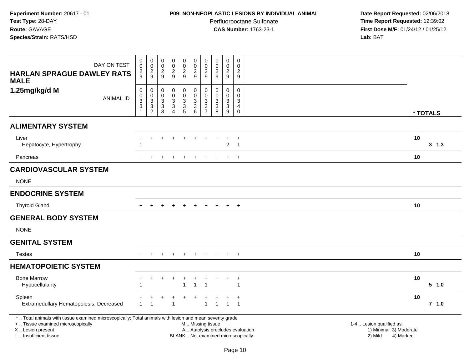## **P09: NON-NEOPLASTIC LESIONS BY INDIVIDUAL ANIMAL**

Perfluorooctane Sulfonate<br>CAS Number: 1763-23-1

| DAY ON TEST                                                                                                                                                                                   | $\pmb{0}$<br>$\pmb{0}$                                              | $\pmb{0}$<br>$\mathbf 0$                                                      | $\mathbf 0$<br>$\boldsymbol{0}$                        | $\pmb{0}$<br>$\pmb{0}$                                | $\pmb{0}$<br>$\mathbf 0$                        | $\pmb{0}$<br>$\pmb{0}$                                                                        | $\mathbf 0$<br>$\pmb{0}$                                            | $\pmb{0}$<br>$\mathsf 0$                                                   | $\mathbf 0$<br>$\pmb{0}$                                         | $\mathbf 0$<br>$\mathbf 0$                                                |                                                                             |    |          |
|-----------------------------------------------------------------------------------------------------------------------------------------------------------------------------------------------|---------------------------------------------------------------------|-------------------------------------------------------------------------------|--------------------------------------------------------|-------------------------------------------------------|-------------------------------------------------|-----------------------------------------------------------------------------------------------|---------------------------------------------------------------------|----------------------------------------------------------------------------|------------------------------------------------------------------|---------------------------------------------------------------------------|-----------------------------------------------------------------------------|----|----------|
| <b>HARLAN SPRAGUE DAWLEY RATS</b><br><b>MALE</b>                                                                                                                                              | $\frac{2}{9}$                                                       | $\frac{2}{9}$                                                                 | $\frac{2}{9}$                                          | $\frac{2}{9}$                                         | $\boldsymbol{2}$<br>$\overline{9}$              | $\boldsymbol{2}$<br>9                                                                         | $\frac{2}{9}$                                                       | $\overline{2}$<br>9                                                        | $\sqrt{2}$<br>$\overline{9}$                                     | $\overline{2}$<br>9                                                       |                                                                             |    |          |
| 1.25mg/kg/d M<br><b>ANIMAL ID</b>                                                                                                                                                             | $\boldsymbol{0}$<br>$\frac{0}{3}$<br>$\ensuremath{\mathsf{3}}$<br>1 | $\pmb{0}$<br>0<br>$\ensuremath{\mathsf{3}}$<br>$\mathbf{3}$<br>$\overline{2}$ | $\mathbf 0$<br>$\mathbf 0$<br>3<br>3<br>$\overline{3}$ | 0<br>$\mathbf 0$<br>$\mathbf{3}$<br>$\mathbf{3}$<br>4 | 0<br>$\mathbf 0$<br>$\sqrt{3}$<br>$\frac{3}{5}$ | $\pmb{0}$<br>$\mathbf 0$<br>$\mathbf{3}$<br>$\overline{3}$<br>$6\phantom{a}$                  | 0<br>$\mathbf{0}$<br>$\mathbf{3}$<br>$\mathbf{3}$<br>$\overline{7}$ | $\mathbf 0$<br>$\mathbf 0$<br>$\sqrt{3}$<br>$\mathbf{3}$<br>$\overline{8}$ | 0<br>$\mathbf 0$<br>$\mathbf 3$<br>$\mathbf 3$<br>$\overline{9}$ | $\mathbf 0$<br>$\mathbf{0}$<br>3<br>$\overline{4}$<br>$\mathsf{O}\xspace$ |                                                                             |    | * TOTALS |
| <b>ALIMENTARY SYSTEM</b>                                                                                                                                                                      |                                                                     |                                                                               |                                                        |                                                       |                                                 |                                                                                               |                                                                     |                                                                            |                                                                  |                                                                           |                                                                             |    |          |
| Liver<br>Hepatocyte, Hypertrophy                                                                                                                                                              | ٠                                                                   | $\ddot{}$                                                                     | $\div$                                                 | $\div$                                                | $\div$                                          | $\ddot{}$                                                                                     |                                                                     | $\div$                                                                     | $\ddot{}$<br>$\overline{c}$                                      | $+$<br>$\overline{1}$                                                     |                                                                             | 10 | 3, 1.3   |
| Pancreas                                                                                                                                                                                      | $\div$                                                              |                                                                               |                                                        |                                                       |                                                 |                                                                                               |                                                                     |                                                                            | $\ddot{}$                                                        | $+$                                                                       |                                                                             | 10 |          |
| <b>CARDIOVASCULAR SYSTEM</b>                                                                                                                                                                  |                                                                     |                                                                               |                                                        |                                                       |                                                 |                                                                                               |                                                                     |                                                                            |                                                                  |                                                                           |                                                                             |    |          |
| <b>NONE</b>                                                                                                                                                                                   |                                                                     |                                                                               |                                                        |                                                       |                                                 |                                                                                               |                                                                     |                                                                            |                                                                  |                                                                           |                                                                             |    |          |
| <b>ENDOCRINE SYSTEM</b>                                                                                                                                                                       |                                                                     |                                                                               |                                                        |                                                       |                                                 |                                                                                               |                                                                     |                                                                            |                                                                  |                                                                           |                                                                             |    |          |
| <b>Thyroid Gland</b>                                                                                                                                                                          | $\pm$                                                               | $\ddot{}$                                                                     |                                                        | $\overline{ }$                                        | $\ddot{}$                                       | $\ddot{}$                                                                                     | $\ddot{}$                                                           | $+$                                                                        | $+$                                                              | $^{+}$                                                                    |                                                                             | 10 |          |
| <b>GENERAL BODY SYSTEM</b>                                                                                                                                                                    |                                                                     |                                                                               |                                                        |                                                       |                                                 |                                                                                               |                                                                     |                                                                            |                                                                  |                                                                           |                                                                             |    |          |
| <b>NONE</b>                                                                                                                                                                                   |                                                                     |                                                                               |                                                        |                                                       |                                                 |                                                                                               |                                                                     |                                                                            |                                                                  |                                                                           |                                                                             |    |          |
| <b>GENITAL SYSTEM</b>                                                                                                                                                                         |                                                                     |                                                                               |                                                        |                                                       |                                                 |                                                                                               |                                                                     |                                                                            |                                                                  |                                                                           |                                                                             |    |          |
| <b>Testes</b>                                                                                                                                                                                 |                                                                     |                                                                               |                                                        |                                                       |                                                 |                                                                                               |                                                                     |                                                                            | $\pm$                                                            | $\overline{ }$                                                            |                                                                             | 10 |          |
| <b>HEMATOPOIETIC SYSTEM</b>                                                                                                                                                                   |                                                                     |                                                                               |                                                        |                                                       |                                                 |                                                                                               |                                                                     |                                                                            |                                                                  |                                                                           |                                                                             |    |          |
| <b>Bone Marrow</b><br>Hypocellularity                                                                                                                                                         | $\div$<br>-1                                                        | $\ddot{}$                                                                     | ÷                                                      | $\ddot{}$                                             | $\ddot{}$                                       | $\ddot{}$<br>$\overline{1}$                                                                   |                                                                     |                                                                            | $\ddot{}$                                                        | $\overline{ }$<br>-1                                                      |                                                                             | 10 | 5 1.0    |
| Spleen<br>Extramedullary Hematopoiesis, Decreased                                                                                                                                             | $\overline{1}$                                                      |                                                                               |                                                        | $\overline{1}$                                        |                                                 |                                                                                               | $\mathbf{1}$                                                        | $\overline{1}$                                                             | $\mathbf{1}$                                                     | $\ddot{}$<br>$\overline{1}$                                               |                                                                             | 10 | $7$ 1.0  |
| *  Total animals with tissue examined microscopically; Total animals with lesion and mean severity grade<br>+  Tissue examined microscopically<br>X  Lesion present<br>I  Insufficient tissue |                                                                     |                                                                               |                                                        |                                                       |                                                 | M  Missing tissue<br>A  Autolysis precludes evaluation<br>BLANK  Not examined microscopically |                                                                     |                                                                            |                                                                  |                                                                           | 1-4  Lesion qualified as:<br>1) Minimal 3) Moderate<br>2) Mild<br>4) Marked |    |          |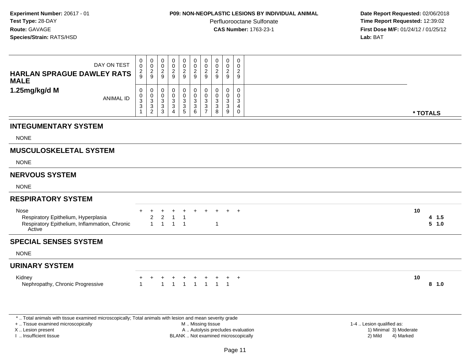### **P09: NON-NEOPLASTIC LESIONS BY INDIVIDUAL ANIMAL**

Perfluorooctane Sulfonate<br>CAS Number: 1763-23-1

 **Date Report Requested:** 02/06/2018 **Time Report Requested:** 12:39:02 **First Dose M/F:** 01/24/12 / 01/25/12<br>**Lab:** BAT **Lab:** BAT

| DAY ON TEST<br><b>HARLAN SPRAGUE DAWLEY RATS</b><br><b>MALE</b>                                        | 0<br>$\mathbf 0$<br>$\frac{2}{9}$                                  | $\begin{array}{c} 0 \\ 0 \\ 2 \\ 9 \end{array}$ | $_{\rm 0}^{\rm 0}$<br>$\boldsymbol{2}$<br>$\boldsymbol{9}$ | 0<br>0<br>$\overline{c}$<br>$\boldsymbol{9}$               | $\begin{array}{c} 0 \\ 0 \\ 2 \\ 9 \end{array}$ | 0<br>$\mathsf{O}\xspace$<br>$\sqrt{2}$<br>9        | 0<br>$\frac{0}{2}$<br>9                           | 0<br>$\pmb{0}$<br>$\overline{c}$<br>9 | $\begin{smallmatrix}0\0\0\end{smallmatrix}$<br>$\sqrt{2}$<br>$\boldsymbol{9}$ | $\mathbf 0$<br>$\mathbf 0$<br>$\overline{c}$<br>9 |                      |  |
|--------------------------------------------------------------------------------------------------------|--------------------------------------------------------------------|-------------------------------------------------|------------------------------------------------------------|------------------------------------------------------------|-------------------------------------------------|----------------------------------------------------|---------------------------------------------------|---------------------------------------|-------------------------------------------------------------------------------|---------------------------------------------------|----------------------|--|
| 1.25mg/kg/d M<br><b>ANIMAL ID</b>                                                                      | 0<br>$\mathbf 0$<br>$\mathbf{3}$<br>$\overline{3}$<br>$\mathbf{1}$ | 0<br>$\mathbf 0$<br>$\frac{3}{2}$               | 0<br>$\boldsymbol{0}$<br>$\frac{3}{3}$                     | 0<br>0<br>$\mathbf{3}$<br>$\overline{3}$<br>$\overline{4}$ | $\mathbf 0$<br>$\mathsf 0$<br>$\frac{3}{3}$     | 0<br>$\mathbf 0$<br>$\sqrt{3}$<br>$\overline{3}$ 6 | 0<br>$\mathbf 0$<br>$\mathbf{3}$<br>$\frac{3}{7}$ | 0<br>$\mathbf 0$<br>3<br>3<br>8       | 0<br>0<br>$_3^3$<br>9                                                         | $\mathbf 0$<br>$\mathbf 0$<br>3<br>4<br>0         | * TOTALS             |  |
| <b>INTEGUMENTARY SYSTEM</b><br><b>NONE</b>                                                             |                                                                    |                                                 |                                                            |                                                            |                                                 |                                                    |                                                   |                                       |                                                                               |                                                   |                      |  |
| <b>MUSCULOSKELETAL SYSTEM</b><br><b>NONE</b>                                                           |                                                                    |                                                 |                                                            |                                                            |                                                 |                                                    |                                                   |                                       |                                                                               |                                                   |                      |  |
| <b>NERVOUS SYSTEM</b><br><b>NONE</b>                                                                   |                                                                    |                                                 |                                                            |                                                            |                                                 |                                                    |                                                   |                                       |                                                                               |                                                   |                      |  |
| <b>RESPIRATORY SYSTEM</b>                                                                              |                                                                    |                                                 |                                                            |                                                            |                                                 |                                                    |                                                   |                                       |                                                                               |                                                   |                      |  |
| Nose<br>Respiratory Epithelium, Hyperplasia<br>Respiratory Epithelium, Inflammation, Chronic<br>Active |                                                                    | $\overline{\mathbf{c}}$<br>$\mathbf{1}$         | $\sqrt{2}$<br>$\overline{1}$                               | 1<br>$\mathbf{1}$                                          | -1<br>$\overline{1}$                            |                                                    |                                                   | $\mathbf 1$                           |                                                                               | $+$                                               | 10<br>4 1.5<br>5 1.0 |  |
| <b>SPECIAL SENSES SYSTEM</b>                                                                           |                                                                    |                                                 |                                                            |                                                            |                                                 |                                                    |                                                   |                                       |                                                                               |                                                   |                      |  |
| <b>NONE</b>                                                                                            |                                                                    |                                                 |                                                            |                                                            |                                                 |                                                    |                                                   |                                       |                                                                               |                                                   |                      |  |
| <b>URINARY SYSTEM</b>                                                                                  |                                                                    |                                                 |                                                            |                                                            |                                                 |                                                    |                                                   |                                       |                                                                               |                                                   |                      |  |
| Kidney<br>Nephropathy, Chronic Progressive                                                             | 1                                                                  |                                                 | $\ddot{}$<br>$\mathbf{1}$                                  | +<br>$\overline{1}$                                        | $\overline{1}$                                  | $\ddot{}$<br>$\overline{1}$                        | $\overline{1}$                                    | $\overline{1}$                        | $\mathbf{1}$                                                                  | $+$                                               | 10<br>8 1.0          |  |
|                                                                                                        |                                                                    |                                                 |                                                            |                                                            |                                                 |                                                    |                                                   |                                       |                                                                               |                                                   |                      |  |

\* .. Total animals with tissue examined microscopically; Total animals with lesion and mean severity grade

+ .. Tissue examined microscopically

X .. Lesion present

I .. Insufficient tissue

 M .. Missing tissueA .. Autolysis precludes evaluation

BLANK .. Not examined microscopically 2) Mild 4) Marked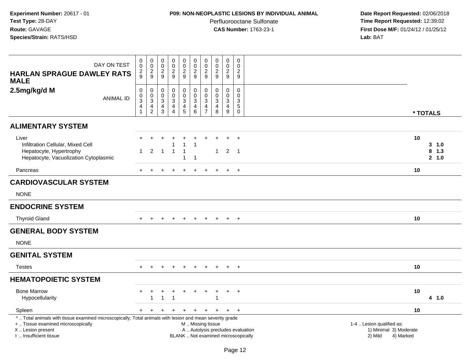## **P09: NON-NEOPLASTIC LESIONS BY INDIVIDUAL ANIMAL**

Perfluorooctane Sulfonate<br>CAS Number: 1763-23-1

| <b>HARLAN SPRAGUE DAWLEY RATS</b><br><b>MALE</b>                                                                                                                                              | DAY ON TEST      | 0<br>0<br>$\frac{2}{9}$                             | $\pmb{0}$<br>$\mathbf 0$<br>$\overline{c}$<br>9                                                  | $\mathbf 0$<br>$\boldsymbol{0}$<br>$\overline{2}$<br>9            | $\mathbf 0$<br>$\pmb{0}$<br>$\overline{2}$<br>9                                                         | $\mathbf 0$<br>$\pmb{0}$<br>$\frac{2}{9}$                                           | 0<br>$\mathbf 0$<br>$\overline{c}$<br>$\boldsymbol{9}$                              | 0<br>$\pmb{0}$<br>$\overline{c}$<br>9                             | 0<br>$\mathbf 0$<br>$\overline{2}$<br>9                                  | $\pmb{0}$<br>$\pmb{0}$<br>$\overline{2}$<br>9               | 0<br>$\mathbf{0}$<br>2<br>9                      |                                                                |           |                            |
|-----------------------------------------------------------------------------------------------------------------------------------------------------------------------------------------------|------------------|-----------------------------------------------------|--------------------------------------------------------------------------------------------------|-------------------------------------------------------------------|---------------------------------------------------------------------------------------------------------|-------------------------------------------------------------------------------------|-------------------------------------------------------------------------------------|-------------------------------------------------------------------|--------------------------------------------------------------------------|-------------------------------------------------------------|--------------------------------------------------|----------------------------------------------------------------|-----------|----------------------------|
| 2.5mg/kg/d M                                                                                                                                                                                  | <b>ANIMAL ID</b> | $\pmb{0}$<br>$\mathsf{O}\xspace$<br>$\sqrt{3}$<br>4 | $\pmb{0}$<br>$\pmb{0}$<br>$\ensuremath{\mathsf{3}}$<br>$\overline{\mathbf{4}}$<br>$\overline{2}$ | $\mathbf 0$<br>$\mathbf 0$<br>3<br>$\overline{4}$<br>$\mathbf{3}$ | $\boldsymbol{0}$<br>$\pmb{0}$<br>$\ensuremath{\mathsf{3}}$<br>$\overline{\mathbf{4}}$<br>$\overline{4}$ | $\boldsymbol{0}$<br>$\mathbf 0$<br>$\mathbf{3}$<br>$\overline{4}$<br>$\overline{5}$ | $\pmb{0}$<br>$\pmb{0}$<br>$\ensuremath{\mathsf{3}}$<br>$\overline{\mathbf{4}}$<br>6 | $\pmb{0}$<br>$\mathbf 0$<br>3<br>$\overline{4}$<br>$\overline{7}$ | $\pmb{0}$<br>$\Omega$<br>$\mathbf{3}$<br>$\overline{4}$<br>8             | $\pmb{0}$<br>$\pmb{0}$<br>$\sqrt{3}$<br>$\overline{4}$<br>9 | 0<br>$\Omega$<br>3<br>$\,$ 5 $\,$<br>$\mathbf 0$ |                                                                |           | * TOTALS                   |
| <b>ALIMENTARY SYSTEM</b>                                                                                                                                                                      |                  |                                                     |                                                                                                  |                                                                   |                                                                                                         |                                                                                     |                                                                                     |                                                                   |                                                                          |                                                             |                                                  |                                                                |           |                            |
| Liver<br>Infiltration Cellular, Mixed Cell<br>Hepatocyte, Hypertrophy<br>Hepatocyte, Vacuolization Cytoplasmic                                                                                |                  |                                                     | $\ddot{}$<br>$\overline{2}$                                                                      | $\overline{1}$                                                    | $\overline{1}$                                                                                          | $+$<br>1<br>$\mathbf{1}$<br>$\mathbf{1}$                                            | -1                                                                                  | $\ddot{}$                                                         | $\mathbf{1}$                                                             | $\ddot{+}$<br>$2 \quad 1$                                   | $+$                                              |                                                                | 10        | 3, 1.0<br>$8$ 1.3<br>2 1.0 |
| Pancreas                                                                                                                                                                                      |                  | $+$                                                 | $\div$                                                                                           |                                                                   |                                                                                                         | $\pm$                                                                               |                                                                                     |                                                                   |                                                                          | $\ddot{}$                                                   | $+$                                              |                                                                | 10        |                            |
| <b>CARDIOVASCULAR SYSTEM</b>                                                                                                                                                                  |                  |                                                     |                                                                                                  |                                                                   |                                                                                                         |                                                                                     |                                                                                     |                                                                   |                                                                          |                                                             |                                                  |                                                                |           |                            |
| <b>NONE</b>                                                                                                                                                                                   |                  |                                                     |                                                                                                  |                                                                   |                                                                                                         |                                                                                     |                                                                                     |                                                                   |                                                                          |                                                             |                                                  |                                                                |           |                            |
| <b>ENDOCRINE SYSTEM</b>                                                                                                                                                                       |                  |                                                     |                                                                                                  |                                                                   |                                                                                                         |                                                                                     |                                                                                     |                                                                   |                                                                          |                                                             |                                                  |                                                                |           |                            |
| <b>Thyroid Gland</b>                                                                                                                                                                          |                  |                                                     |                                                                                                  |                                                                   |                                                                                                         |                                                                                     |                                                                                     |                                                                   |                                                                          | $\pm$                                                       | $+$                                              |                                                                | 10        |                            |
| <b>GENERAL BODY SYSTEM</b>                                                                                                                                                                    |                  |                                                     |                                                                                                  |                                                                   |                                                                                                         |                                                                                     |                                                                                     |                                                                   |                                                                          |                                                             |                                                  |                                                                |           |                            |
| <b>NONE</b>                                                                                                                                                                                   |                  |                                                     |                                                                                                  |                                                                   |                                                                                                         |                                                                                     |                                                                                     |                                                                   |                                                                          |                                                             |                                                  |                                                                |           |                            |
| <b>GENITAL SYSTEM</b>                                                                                                                                                                         |                  |                                                     |                                                                                                  |                                                                   |                                                                                                         |                                                                                     |                                                                                     |                                                                   |                                                                          |                                                             |                                                  |                                                                |           |                            |
| <b>Testes</b>                                                                                                                                                                                 |                  | $+$                                                 | $\ddot{}$                                                                                        | +                                                                 | $\ddot{}$                                                                                               | $\ddot{}$                                                                           | $\ddot{}$                                                                           | $+$                                                               | $+$                                                                      | $+$                                                         | $+$                                              |                                                                | 10        |                            |
| <b>HEMATOPOIETIC SYSTEM</b>                                                                                                                                                                   |                  |                                                     |                                                                                                  |                                                                   |                                                                                                         |                                                                                     |                                                                                     |                                                                   |                                                                          |                                                             |                                                  |                                                                |           |                            |
| <b>Bone Marrow</b><br>Hypocellularity                                                                                                                                                         |                  |                                                     | $\overline{1}$                                                                                   | 1                                                                 | $\overline{\phantom{a}}$                                                                                | $\ddot{}$                                                                           |                                                                                     |                                                                   |                                                                          | $+$                                                         | $+$                                              |                                                                | 10        | 4 1.0                      |
| Spleen                                                                                                                                                                                        |                  | $+$                                                 | $\ddot{}$                                                                                        |                                                                   |                                                                                                         |                                                                                     |                                                                                     |                                                                   | $+$                                                                      | $+$                                                         | $+$                                              |                                                                | 10        |                            |
| *  Total animals with tissue examined microscopically; Total animals with lesion and mean severity grade<br>+  Tissue examined microscopically<br>X  Lesion present<br>I. Insufficient tissue |                  |                                                     |                                                                                                  |                                                                   |                                                                                                         |                                                                                     | M  Missing tissue                                                                   |                                                                   | A  Autolysis precludes evaluation<br>BLANK  Not examined microscopically |                                                             |                                                  | 1-4  Lesion qualified as:<br>1) Minimal 3) Moderate<br>2) Mild | 4) Marked |                            |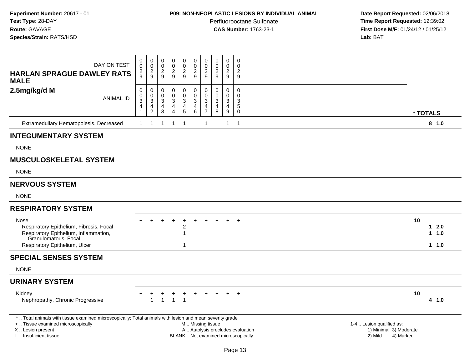### **P09: NON-NEOPLASTIC LESIONS BY INDIVIDUAL ANIMAL**

Perfluorooctane Sulfonate<br>CAS Number: 1763-23-1

| DAY ON TEST<br><b>HARLAN SPRAGUE DAWLEY RATS</b><br><b>MALE</b>                                                                                   | 0<br>0<br>$\frac{2}{9}$                            | 0<br>$\mathbf 0$<br>$\frac{2}{9}$            | 0<br>0<br>$\overline{c}$<br>9                   | 0<br>$\mathbf 0$<br>$\frac{2}{9}$                                                                  | $\mathbf 0$<br>$\pmb{0}$<br>$\overline{2}$<br>9                 | $\mathbf 0$<br>$\mathsf{O}\xspace$<br>$\frac{2}{9}$                      | 0<br>$\mathbf 0$<br>$\boldsymbol{2}$<br>9                                    | 0<br>$\mathbf 0$<br>$\overline{2}$<br>9              | $\pmb{0}$<br>$\pmb{0}$<br>$\sqrt{2}$<br>9                         | 0<br>$\mathbf 0$<br>$\overline{c}$<br>9                   |                                                |
|---------------------------------------------------------------------------------------------------------------------------------------------------|----------------------------------------------------|----------------------------------------------|-------------------------------------------------|----------------------------------------------------------------------------------------------------|-----------------------------------------------------------------|--------------------------------------------------------------------------|------------------------------------------------------------------------------|------------------------------------------------------|-------------------------------------------------------------------|-----------------------------------------------------------|------------------------------------------------|
| 2.5mg/kg/d M<br><b>ANIMAL ID</b>                                                                                                                  | $\mathbf 0$<br>$_{3}^{\rm 0}$<br>4<br>$\mathbf{1}$ | $\pmb{0}$<br>$\frac{0}{3}$<br>$\overline{2}$ | 0<br>$\boldsymbol{0}$<br>$\mathbf{3}$<br>4<br>3 | $\pmb{0}$<br>$\mathbf 0$<br>$\ensuremath{\mathsf{3}}$<br>$\overline{\mathbf{4}}$<br>$\overline{4}$ | $\pmb{0}$<br>$\overline{0}$<br>$\frac{3}{4}$<br>5               | $\mathbf 0$<br>$\overline{0}$<br>3<br>$\overline{\mathbf{4}}$<br>6       | $\pmb{0}$<br>$\mathbf 0$<br>$\mathbf{3}$<br>$\overline{4}$<br>$\overline{7}$ | $\pmb{0}$<br>$\mathbf 0$<br>3<br>$\overline{4}$<br>8 | $\mathbf 0$<br>$\mathbf 0$<br>$\ensuremath{\mathsf{3}}$<br>4<br>9 | $\mathbf 0$<br>$\Omega$<br>3<br>$\sqrt{5}$<br>$\mathbf 0$ | * TOTALS                                       |
| Extramedullary Hematopoiesis, Decreased                                                                                                           | 1                                                  | $\overline{1}$                               | $\overline{1}$                                  | $\mathbf{1}$                                                                                       | $\overline{1}$                                                  |                                                                          | $\overline{1}$                                                               |                                                      | $\mathbf{1}$                                                      | $\overline{\phantom{0}}$                                  | 8 1.0                                          |
| <b>INTEGUMENTARY SYSTEM</b>                                                                                                                       |                                                    |                                              |                                                 |                                                                                                    |                                                                 |                                                                          |                                                                              |                                                      |                                                                   |                                                           |                                                |
| <b>NONE</b>                                                                                                                                       |                                                    |                                              |                                                 |                                                                                                    |                                                                 |                                                                          |                                                                              |                                                      |                                                                   |                                                           |                                                |
| <b>MUSCULOSKELETAL SYSTEM</b>                                                                                                                     |                                                    |                                              |                                                 |                                                                                                    |                                                                 |                                                                          |                                                                              |                                                      |                                                                   |                                                           |                                                |
| <b>NONE</b>                                                                                                                                       |                                                    |                                              |                                                 |                                                                                                    |                                                                 |                                                                          |                                                                              |                                                      |                                                                   |                                                           |                                                |
| <b>NERVOUS SYSTEM</b>                                                                                                                             |                                                    |                                              |                                                 |                                                                                                    |                                                                 |                                                                          |                                                                              |                                                      |                                                                   |                                                           |                                                |
| <b>NONE</b>                                                                                                                                       |                                                    |                                              |                                                 |                                                                                                    |                                                                 |                                                                          |                                                                              |                                                      |                                                                   |                                                           |                                                |
| <b>RESPIRATORY SYSTEM</b>                                                                                                                         |                                                    |                                              |                                                 |                                                                                                    |                                                                 |                                                                          |                                                                              |                                                      |                                                                   |                                                           |                                                |
| Nose<br>Respiratory Epithelium, Fibrosis, Focal<br>Respiratory Epithelium, Inflammation,<br>Granulomatous, Focal<br>Respiratory Epithelium, Ulcer |                                                    |                                              |                                                 |                                                                                                    | $\ddot{}$<br>$\overline{c}$<br>$\overline{1}$<br>$\overline{1}$ | $\ddot{}$                                                                |                                                                              |                                                      |                                                                   | $\overline{+}$                                            | 10<br>$12.0$<br>$1 \t1.0$<br>1 1.0             |
| <b>SPECIAL SENSES SYSTEM</b>                                                                                                                      |                                                    |                                              |                                                 |                                                                                                    |                                                                 |                                                                          |                                                                              |                                                      |                                                                   |                                                           |                                                |
| <b>NONE</b>                                                                                                                                       |                                                    |                                              |                                                 |                                                                                                    |                                                                 |                                                                          |                                                                              |                                                      |                                                                   |                                                           |                                                |
| <b>URINARY SYSTEM</b>                                                                                                                             |                                                    |                                              |                                                 |                                                                                                    |                                                                 |                                                                          |                                                                              |                                                      |                                                                   |                                                           |                                                |
| Kidney<br>Nephropathy, Chronic Progressive                                                                                                        |                                                    |                                              | 1                                               | $\mathbf{1}$                                                                                       | $\ddot{}$<br>$\overline{\mathbf{1}}$                            |                                                                          |                                                                              |                                                      |                                                                   |                                                           | 10<br>4 1.0                                    |
| *  Total animals with tissue examined microscopically; Total animals with lesion and mean severity grade<br>+  Tissue examined microscopically    |                                                    |                                              |                                                 |                                                                                                    |                                                                 | M  Missing tissue                                                        |                                                                              |                                                      |                                                                   |                                                           | 1-4  Lesion qualified as:                      |
| X  Lesion present<br>I  Insufficient tissue                                                                                                       |                                                    |                                              |                                                 |                                                                                                    |                                                                 | A  Autolysis precludes evaluation<br>BLANK  Not examined microscopically |                                                                              |                                                      |                                                                   |                                                           | 1) Minimal 3) Moderate<br>2) Mild<br>4) Marked |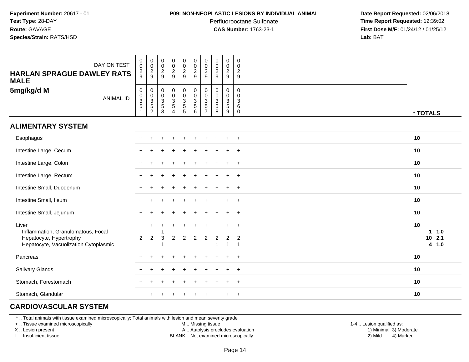#### **P09: NON-NEOPLASTIC LESIONS BY INDIVIDUAL ANIMAL**

Perfluorooctane Sulfonate<br>CAS Number: 1763-23-1

 **Date Report Requested:** 02/06/2018 **Time Report Requested:** 12:39:02 **First Dose M/F:** 01/24/12 / 01/25/12<br>**Lab:** BAT **Lab:** BAT

| DAY ON TEST<br><b>HARLAN SPRAGUE DAWLEY RATS</b><br><b>MALE</b>  | $\pmb{0}$<br>$\mathbf 0$<br>$\frac{2}{9}$  | 0002                     | $\begin{array}{c} 0 \\ 0 \\ 2 \\ 9 \end{array}$                 | $\pmb{0}$<br>$\frac{0}{2}$                                             | 0<br>$\frac{0}{2}$                                                     | $\pmb{0}$<br>$\frac{0}{2}$<br>$\boldsymbol{9}$                       | $\pmb{0}$<br>$\frac{0}{2}$<br>9                                         | $\pmb{0}$<br>$\pmb{0}$<br>$\overline{2}$<br>9             | 0<br>$_{2}^{\rm 0}$<br>$9\,$              | $\pmb{0}$<br>$\mathsf 0$<br>$\boldsymbol{2}$<br>9              |                                 |
|------------------------------------------------------------------|--------------------------------------------|--------------------------|-----------------------------------------------------------------|------------------------------------------------------------------------|------------------------------------------------------------------------|----------------------------------------------------------------------|-------------------------------------------------------------------------|-----------------------------------------------------------|-------------------------------------------|----------------------------------------------------------------|---------------------------------|
| 5mg/kg/d M<br><b>ANIMAL ID</b>                                   | $\mathbf 0$<br>$\frac{0}{3}$<br>$\sqrt{5}$ | $0$<br>$3$<br>$5$<br>$2$ | $\boldsymbol{0}$<br>$\frac{0}{3}$<br>$\sqrt{5}$<br>$\mathbf{3}$ | $\begin{smallmatrix} 0\\0\\3 \end{smallmatrix}$<br>$\overline{5}$<br>4 | $\begin{smallmatrix} 0\\0\\3 \end{smallmatrix}$<br>$\overline{5}$<br>5 | $\begin{smallmatrix}0\\0\\3\end{smallmatrix}$<br>$\overline{5}$<br>6 | $\mathbf 0$<br>$\pmb{0}$<br>$\sqrt{3}$<br>$\,$ 5 $\,$<br>$\overline{7}$ | $\mathbf 0$<br>$\pmb{0}$<br>$\sqrt{3}$<br>$\sqrt{5}$<br>8 | 0<br>$\frac{0}{3}$<br>$\overline{5}$<br>9 | $\mathbf 0$<br>$\mathbf 0$<br>$\mathbf{3}$<br>6<br>$\mathbf 0$ | * TOTALS                        |
| <b>ALIMENTARY SYSTEM</b>                                         |                                            |                          |                                                                 |                                                                        |                                                                        |                                                                      |                                                                         |                                                           |                                           |                                                                |                                 |
| Esophagus                                                        |                                            |                          |                                                                 |                                                                        |                                                                        |                                                                      |                                                                         |                                                           |                                           |                                                                | 10                              |
| Intestine Large, Cecum                                           |                                            |                          |                                                                 |                                                                        |                                                                        |                                                                      |                                                                         |                                                           |                                           | $+$                                                            | 10                              |
| Intestine Large, Colon                                           |                                            |                          |                                                                 |                                                                        |                                                                        |                                                                      |                                                                         |                                                           | $\ddot{}$                                 | $+$                                                            | 10                              |
| Intestine Large, Rectum                                          |                                            |                          |                                                                 |                                                                        |                                                                        |                                                                      |                                                                         |                                                           | $\ddot{}$                                 | $^{+}$                                                         | 10                              |
| Intestine Small, Duodenum                                        |                                            |                          |                                                                 |                                                                        |                                                                        |                                                                      |                                                                         |                                                           |                                           | $\ddot{}$                                                      | 10                              |
| Intestine Small, Ileum                                           |                                            |                          |                                                                 |                                                                        |                                                                        |                                                                      |                                                                         |                                                           |                                           | $\overline{+}$                                                 | 10                              |
| Intestine Small, Jejunum                                         |                                            |                          |                                                                 |                                                                        |                                                                        |                                                                      |                                                                         |                                                           |                                           | $+$                                                            | 10                              |
| Liver<br>Inflammation, Granulomatous, Focal                      | $\ddot{}$                                  | $\ddot{}$                |                                                                 |                                                                        |                                                                        |                                                                      |                                                                         |                                                           |                                           |                                                                | 10<br>$1 1.0$                   |
| Hepatocyte, Hypertrophy<br>Hepatocyte, Vacuolization Cytoplasmic | $\overline{2}$                             | $\overline{2}$           | 3                                                               | 2                                                                      | $\overline{2}$                                                         | $\overline{2}$                                                       | $\overline{2}$                                                          | $\boldsymbol{2}$<br>1                                     | $\overline{\mathbf{c}}$<br>$\mathbf{1}$   | $\overline{c}$<br>$\overline{1}$                               | 2.1<br>10 <sub>1</sub><br>4 1.0 |
| Pancreas                                                         |                                            |                          |                                                                 |                                                                        |                                                                        |                                                                      |                                                                         |                                                           |                                           | $\overline{ }$                                                 | 10                              |
| Salivary Glands                                                  |                                            |                          |                                                                 |                                                                        |                                                                        |                                                                      |                                                                         |                                                           |                                           | $\ddot{}$                                                      | 10                              |
| Stomach, Forestomach                                             |                                            |                          |                                                                 |                                                                        |                                                                        |                                                                      |                                                                         |                                                           |                                           | $\overline{1}$                                                 | 10                              |
| Stomach, Glandular                                               |                                            |                          |                                                                 |                                                                        |                                                                        |                                                                      |                                                                         |                                                           |                                           | $\ddot{}$                                                      | 10                              |

# **CARDIOVASCULAR SYSTEM**

\* .. Total animals with tissue examined microscopically; Total animals with lesion and mean severity grade

+ .. Tissue examined microscopically

X .. Lesion present

I .. Insufficient tissue

M .. Missing tissue

A .. Autolysis precludes evaluation

BLANK .. Not examined microscopically 2) Mild 4) Marked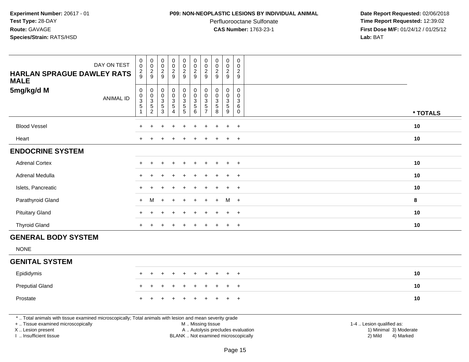#### **P09: NON-NEOPLASTIC LESIONS BY INDIVIDUAL ANIMAL**

Perfluorooctane Sulfonate<br>CAS Number: 1763-23-1

 **Date Report Requested:** 02/06/2018 **Time Report Requested:** 12:39:02 **First Dose M/F:** 01/24/12 / 01/25/12<br>**Lab:** BAT **Lab:** BAT

| DAY ON TEST                                                                                                                                                         | $_{\rm 0}^{\rm 0}$                         | $\begin{array}{c} 0 \\ 0 \\ 2 \\ 9 \end{array}$                              | 00029                                                  | $\pmb{0}$<br>$\ddot{\mathbf{0}}$                                               | $\pmb{0}$<br>$\mathbf 0$                                                       | $\pmb{0}$<br>$\mathbf 0$                                          | $\mathbf 0$<br>$\pmb{0}$                                                   | $\pmb{0}$<br>$\frac{0}{2}$                                                | $\mathsf 0$<br>$\pmb{0}$                                            | $\pmb{0}$<br>$\mathbf 0$                            |                                                     |
|---------------------------------------------------------------------------------------------------------------------------------------------------------------------|--------------------------------------------|------------------------------------------------------------------------------|--------------------------------------------------------|--------------------------------------------------------------------------------|--------------------------------------------------------------------------------|-------------------------------------------------------------------|----------------------------------------------------------------------------|---------------------------------------------------------------------------|---------------------------------------------------------------------|-----------------------------------------------------|-----------------------------------------------------|
| <b>HARLAN SPRAGUE DAWLEY RATS</b><br><b>MALE</b>                                                                                                                    | $\frac{2}{9}$                              |                                                                              |                                                        | $\frac{2}{9}$                                                                  | $\frac{2}{9}$                                                                  | $\frac{2}{9}$                                                     | $\sqrt{2}$<br>$\overline{9}$                                               |                                                                           | $\frac{2}{9}$                                                       | $\sqrt{2}$<br>9                                     |                                                     |
| 5mg/kg/d M<br><b>ANIMAL ID</b>                                                                                                                                      | $\pmb{0}$<br>$_3^0$<br>5<br>$\overline{1}$ | $\mathbf 0$<br>$\begin{smallmatrix}0\3\5\end{smallmatrix}$<br>$\overline{2}$ | $\mathsf{O}\xspace$<br>$_{3}^{\rm 0}$<br>$\frac{5}{3}$ | $\pmb{0}$<br>$\mathbf 0$<br>$\overline{3}$<br>$\overline{5}$<br>$\overline{4}$ | $\pmb{0}$<br>$\mathbf 0$<br>$\overline{3}$<br>$\overline{5}$<br>$\overline{5}$ | $\mathsf 0$<br>$\pmb{0}$<br>$\overline{3}$<br>$\overline{5}$<br>6 | $\mathbf 0$<br>$\mathbf 0$<br>$\mathbf{3}$<br>$\sqrt{5}$<br>$\overline{7}$ | $\mathsf{O}\xspace$<br>$\pmb{0}$<br>$\overline{3}$<br>$\overline{5}$<br>8 | $\mathbf 0$<br>$\mathbf 0$<br>$\overline{3}$<br>$\overline{5}$<br>9 | $\mathbf 0$<br>$\mathbf 0$<br>3<br>6<br>$\mathbf 0$ | * TOTALS                                            |
| <b>Blood Vessel</b>                                                                                                                                                 |                                            |                                                                              |                                                        |                                                                                |                                                                                |                                                                   |                                                                            |                                                                           | $\ddot{}$                                                           | $\overline{+}$                                      | 10                                                  |
| Heart                                                                                                                                                               | $\div$                                     |                                                                              |                                                        |                                                                                |                                                                                |                                                                   |                                                                            |                                                                           | $+$                                                                 | $+$                                                 | 10                                                  |
| <b>ENDOCRINE SYSTEM</b>                                                                                                                                             |                                            |                                                                              |                                                        |                                                                                |                                                                                |                                                                   |                                                                            |                                                                           |                                                                     |                                                     |                                                     |
| <b>Adrenal Cortex</b>                                                                                                                                               |                                            |                                                                              |                                                        |                                                                                |                                                                                |                                                                   |                                                                            |                                                                           |                                                                     | $\overline{+}$                                      | 10                                                  |
| Adrenal Medulla                                                                                                                                                     | $\ddot{}$                                  |                                                                              |                                                        |                                                                                |                                                                                |                                                                   |                                                                            |                                                                           | $\ddot{}$                                                           | $\overline{+}$                                      | 10                                                  |
| Islets, Pancreatic                                                                                                                                                  |                                            |                                                                              |                                                        |                                                                                |                                                                                |                                                                   |                                                                            |                                                                           | $\div$                                                              | $+$                                                 | 10                                                  |
| Parathyroid Gland                                                                                                                                                   | $\ddot{}$                                  | м                                                                            |                                                        |                                                                                |                                                                                |                                                                   |                                                                            |                                                                           | м                                                                   | $+$                                                 | 8                                                   |
| <b>Pituitary Gland</b>                                                                                                                                              | $\div$                                     |                                                                              |                                                        |                                                                                |                                                                                |                                                                   |                                                                            |                                                                           | $\ddot{}$                                                           | $+$                                                 | 10                                                  |
| <b>Thyroid Gland</b>                                                                                                                                                | $+$                                        |                                                                              |                                                        |                                                                                |                                                                                |                                                                   | $\pm$                                                                      | $\mathbf +$                                                               | $+$                                                                 | $+$                                                 | 10                                                  |
| <b>GENERAL BODY SYSTEM</b>                                                                                                                                          |                                            |                                                                              |                                                        |                                                                                |                                                                                |                                                                   |                                                                            |                                                                           |                                                                     |                                                     |                                                     |
| <b>NONE</b>                                                                                                                                                         |                                            |                                                                              |                                                        |                                                                                |                                                                                |                                                                   |                                                                            |                                                                           |                                                                     |                                                     |                                                     |
| <b>GENITAL SYSTEM</b>                                                                                                                                               |                                            |                                                                              |                                                        |                                                                                |                                                                                |                                                                   |                                                                            |                                                                           |                                                                     |                                                     |                                                     |
| Epididymis                                                                                                                                                          |                                            |                                                                              |                                                        |                                                                                |                                                                                |                                                                   |                                                                            |                                                                           |                                                                     | $\overline{+}$                                      | 10                                                  |
| <b>Preputial Gland</b>                                                                                                                                              |                                            |                                                                              |                                                        |                                                                                |                                                                                |                                                                   |                                                                            |                                                                           |                                                                     | $\overline{+}$                                      | 10                                                  |
| Prostate                                                                                                                                                            |                                            |                                                                              |                                                        |                                                                                |                                                                                |                                                                   |                                                                            |                                                                           |                                                                     | $+$                                                 | 10                                                  |
| *  Total animals with tissue examined microscopically; Total animals with lesion and mean severity grade<br>+  Tissue examined microscopically<br>X  Lesion present |                                            |                                                                              |                                                        |                                                                                |                                                                                |                                                                   |                                                                            | M  Missing tissue<br>A  Autolysis precludes evaluation                    |                                                                     |                                                     | 1-4  Lesion qualified as:<br>1) Minimal 3) Moderate |

I .. Insufficient tissue

BLANK .. Not examined microscopically 2) Mild 4) Marked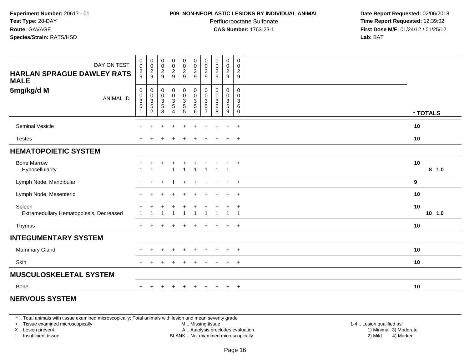#### **P09: NON-NEOPLASTIC LESIONS BY INDIVIDUAL ANIMAL**

Perfluorooctane Sulfonate<br>CAS Number: 1763-23-1

 **Date Report Requested:** 02/06/2018 **Time Report Requested:** 12:39:02 **First Dose M/F:** 01/24/12 / 01/25/12<br>**Lab:** BAT **Lab:** BAT

| DAY ON TEST<br><b>HARLAN SPRAGUE DAWLEY RATS</b><br><b>MALE</b> | $\begin{smallmatrix}0\\0\end{smallmatrix}$<br>$\frac{2}{9}$ | $\begin{array}{c} 0 \\ 0 \\ 2 \\ 9 \end{array}$ | 00029                                                | $\begin{array}{c} 0 \\ 0 \\ 2 \\ 9 \end{array}$                   | $\begin{array}{c} 0 \\ 0 \\ 2 \\ 9 \end{array}$      | 00029                                    | 0<br>$\mathbf 0$<br>$\sqrt{2}$<br>9                | 00029                                                                         | $\begin{smallmatrix} 0\\0 \end{smallmatrix}$<br>$\frac{2}{9}$ | $\boldsymbol{0}$<br>0<br>$\overline{2}$<br>9       |                |
|-----------------------------------------------------------------|-------------------------------------------------------------|-------------------------------------------------|------------------------------------------------------|-------------------------------------------------------------------|------------------------------------------------------|------------------------------------------|----------------------------------------------------|-------------------------------------------------------------------------------|---------------------------------------------------------------|----------------------------------------------------|----------------|
| 5mg/kg/d M<br><b>ANIMAL ID</b>                                  | 0<br>$\begin{array}{c} 0 \\ 3 \\ 5 \end{array}$             | 0<br>0<br>3<br>5<br>2                           | $\begin{array}{c} 0 \\ 0 \\ 3 \\ 5 \end{array}$<br>3 | $\begin{array}{c} 0 \\ 0 \\ 3 \\ 5 \end{array}$<br>$\overline{4}$ | $\begin{array}{c} 0 \\ 0 \\ 3 \\ 5 \end{array}$<br>5 | $_{\rm 0}^{\rm 0}$<br>$\frac{3}{5}$<br>6 | 0<br>$\mathbf 0$<br>$\ensuremath{\mathsf{3}}$<br>5 | $\begin{smallmatrix} 0\\0 \end{smallmatrix}$<br>$\sqrt{3}$<br>$\sqrt{5}$<br>8 | 0<br>$\pmb{0}$<br>$\overline{3}$<br>$\,$ 5 $\,$<br>9          | 0<br>$\mathbf 0$<br>$\sqrt{3}$<br>6<br>$\mathbf 0$ | * TOTALS       |
| Seminal Vesicle                                                 |                                                             |                                                 |                                                      | $\ddot{}$                                                         |                                                      | $\ddot{}$                                |                                                    |                                                                               | $\ddot{}$                                                     | $+$                                                | 10             |
| <b>Testes</b>                                                   | $\ddot{}$                                                   |                                                 |                                                      |                                                                   |                                                      |                                          |                                                    |                                                                               | $\ddot{}$                                                     | $\overline{+}$                                     | 10             |
| <b>HEMATOPOIETIC SYSTEM</b>                                     |                                                             |                                                 |                                                      |                                                                   |                                                      |                                          |                                                    |                                                                               |                                                               |                                                    |                |
| <b>Bone Marrow</b><br>Hypocellularity                           | $\div$<br>$\overline{\mathbf{1}}$                           | +                                               | ÷                                                    | $\ddot{}$<br>$\mathbf{1}$                                         | $\ddot{}$<br>$\overline{1}$                          | $\ddot{}$<br>$\overline{1}$              | $\ddot{}$<br>-1                                    | $\overline{1}$                                                                | $\ddot{}$<br>$\mathbf{1}$                                     | $+$                                                | 10<br>8 1.0    |
| Lymph Node, Mandibular                                          | $+$                                                         |                                                 |                                                      |                                                                   |                                                      |                                          |                                                    |                                                                               | $\ddot{}$                                                     | $+$                                                | 9              |
| Lymph Node, Mesenteric                                          | $\pm$                                                       |                                                 |                                                      |                                                                   |                                                      |                                          |                                                    |                                                                               | $\ddot{}$                                                     | $+$                                                | 10             |
| Spleen<br>Extramedullary Hematopoiesis, Decreased               |                                                             |                                                 |                                                      |                                                                   |                                                      |                                          |                                                    |                                                                               | $\mathbf{1}$                                                  | $\overline{ }$<br>-1                               | 10<br>$10$ 1.0 |
| Thymus                                                          | $+$                                                         |                                                 |                                                      |                                                                   |                                                      |                                          |                                                    |                                                                               | $\ddot{}$                                                     | $\overline{ }$                                     | 10             |
| <b>INTEGUMENTARY SYSTEM</b>                                     |                                                             |                                                 |                                                      |                                                                   |                                                      |                                          |                                                    |                                                                               |                                                               |                                                    |                |
| <b>Mammary Gland</b>                                            |                                                             |                                                 |                                                      |                                                                   |                                                      |                                          |                                                    |                                                                               |                                                               | $\overline{ }$                                     | 10             |
| Skin                                                            |                                                             |                                                 |                                                      |                                                                   |                                                      |                                          |                                                    |                                                                               |                                                               | $\overline{ }$                                     | 10             |
| <b>MUSCULOSKELETAL SYSTEM</b>                                   |                                                             |                                                 |                                                      |                                                                   |                                                      |                                          |                                                    |                                                                               |                                                               |                                                    |                |
| <b>Bone</b>                                                     | $+$                                                         | $\pm$                                           | $\pm$                                                | $\ddot{}$                                                         | $\ddot{}$                                            | $\ddot{}$                                | $\pm$                                              | $\pm$                                                                         | $+$                                                           | $^{+}$                                             | 10             |

# **NERVOUS SYSTEM**

\* .. Total animals with tissue examined microscopically; Total animals with lesion and mean severity grade

+ .. Tissue examined microscopically

X .. Lesion present

I .. Insufficient tissue

M .. Missing tissue

Lesion present A .. Autolysis precludes evaluation 1) Minimal 3) Moderate

 1-4 .. Lesion qualified as: BLANK .. Not examined microscopically 2) Mild 4) Marked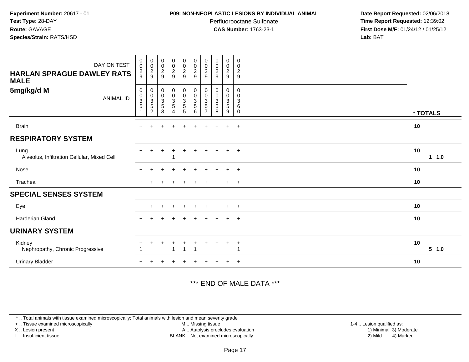#### **P09: NON-NEOPLASTIC LESIONS BY INDIVIDUAL ANIMAL**

Perfluorooctane Sulfonate<br>CAS Number: 1763-23-1

 **Date Report Requested:** 02/06/2018 **Time Report Requested:** 12:39:02 **First Dose M/F:** 01/24/12 / 01/25/12<br>**Lab:** BAT **Lab:** BAT

| DAY ON TEST<br><b>HARLAN SPRAGUE DAWLEY RATS</b><br><b>MALE</b> | $_{\rm 0}^{\rm 0}$<br>$\frac{2}{9}$                       | $\begin{array}{c} 0 \\ 0 \\ 2 \\ 9 \end{array}$              | $\begin{smallmatrix} 0\\0\\2 \end{smallmatrix}$<br>9 | $\begin{array}{c} 0 \\ 0 \\ 2 \\ 9 \end{array}$ | 00029                                                         | 00029                                                            | $\mathbf 0$<br>$\pmb{0}$<br>$\overline{c}$<br>9       | 00029                                                 | $\pmb{0}$<br>$\frac{0}{2}$                | $\boldsymbol{0}$<br>$\mathbf 0$<br>$\boldsymbol{2}$<br>9 |             |
|-----------------------------------------------------------------|-----------------------------------------------------------|--------------------------------------------------------------|------------------------------------------------------|-------------------------------------------------|---------------------------------------------------------------|------------------------------------------------------------------|-------------------------------------------------------|-------------------------------------------------------|-------------------------------------------|----------------------------------------------------------|-------------|
| 5mg/kg/d M<br>ANIMAL ID                                         | $\mathbf 0$<br>$\begin{array}{c} 0 \\ 3 \\ 5 \end{array}$ | $\pmb{0}$<br>$\begin{array}{c} 0 \\ 3 \\ 5 \\ 2 \end{array}$ | 0<br>$_{3}^{\rm 0}$<br>$\sqrt{5}$<br>3               | $\mathbf 0$<br>$\frac{0}{3}$<br>4               | $\begin{array}{c} 0 \\ 0 \\ 3 \\ 5 \end{array}$<br>$\sqrt{5}$ | $\begin{smallmatrix}0\\0\\3\end{smallmatrix}$<br>$\sqrt{5}$<br>6 | 0<br>$\pmb{0}$<br>$\mathbf{3}$<br>5<br>$\overline{ }$ | $\boldsymbol{0}$<br>$_{3}^{\rm 0}$<br>$\sqrt{5}$<br>8 | 0<br>$\frac{0}{3}$<br>$\sqrt{5}$<br>$9\,$ | 0<br>0<br>3<br>6<br>0                                    | * TOTALS    |
| <b>Brain</b>                                                    | $+$                                                       |                                                              | ÷                                                    | $\ddot{}$                                       | $\ddot{}$                                                     | $\ddot{}$                                                        | $\pm$                                                 | $\ddot{}$                                             | $\ddot{}$                                 | $+$                                                      | 10          |
| <b>RESPIRATORY SYSTEM</b>                                       |                                                           |                                                              |                                                      |                                                 |                                                               |                                                                  |                                                       |                                                       |                                           |                                                          |             |
| Lung<br>Alveolus, Infiltration Cellular, Mixed Cell             | $+$                                                       |                                                              | $\ddot{}$                                            | $\div$                                          | $\ddot{}$                                                     | $\ddot{}$                                                        | $\pm$                                                 |                                                       | $+$                                       | $+$                                                      | 10<br>1 1.0 |
| Nose                                                            | $\pm$                                                     |                                                              | $\div$                                               | $\ddot{}$                                       |                                                               | $\ddot{}$                                                        | $+$                                                   | $+$                                                   | $+$                                       | $^{+}$                                                   | 10          |
| Trachea                                                         | $\pm$                                                     |                                                              |                                                      |                                                 |                                                               |                                                                  |                                                       |                                                       | $+$                                       | $+$                                                      | 10          |
| <b>SPECIAL SENSES SYSTEM</b>                                    |                                                           |                                                              |                                                      |                                                 |                                                               |                                                                  |                                                       |                                                       |                                           |                                                          |             |
| Eye                                                             |                                                           |                                                              |                                                      |                                                 |                                                               |                                                                  |                                                       |                                                       |                                           | $\overline{ }$                                           | 10          |
| <b>Harderian Gland</b>                                          | $+$                                                       |                                                              |                                                      |                                                 |                                                               | $\ddot{}$                                                        | $\pm$                                                 |                                                       | $+$                                       | $+$                                                      | 10          |
| <b>URINARY SYSTEM</b>                                           |                                                           |                                                              |                                                      |                                                 |                                                               |                                                                  |                                                       |                                                       |                                           |                                                          |             |
| Kidney<br>Nephropathy, Chronic Progressive                      | $\ddot{}$                                                 |                                                              | ÷                                                    | +<br>1                                          | $\mathbf{1}$                                                  | $\ddot{}$<br>$\overline{1}$                                      |                                                       |                                                       | $\ddot{}$                                 | $\overline{+}$                                           | 10<br>5 1.0 |
| <b>Urinary Bladder</b>                                          |                                                           |                                                              |                                                      |                                                 |                                                               |                                                                  |                                                       |                                                       |                                           | $\overline{+}$                                           | 10          |

# \*\*\* END OF MALE DATA \*\*\*

\* .. Total animals with tissue examined microscopically; Total animals with lesion and mean severity grade

+ .. Tissue examined microscopically

X .. Lesion present

I .. Insufficient tissue

 M .. Missing tissueA .. Autolysis precludes evaluation

BLANK .. Not examined microscopically 2) Mild 4) Marked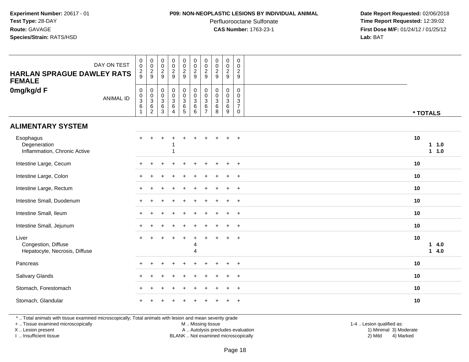#### **P09: NON-NEOPLASTIC LESIONS BY INDIVIDUAL ANIMAL**

Perfluorooctane Sulfonate<br>CAS Number: 1763-23-1

 **Date Report Requested:** 02/06/2018 **Time Report Requested:** 12:39:02 **First Dose M/F:** 01/24/12 / 01/25/12<br>**Lab:** BAT **Lab:** BAT

| DAY ON TEST<br><b>HARLAN SPRAGUE DAWLEY RATS</b><br><b>FEMALE</b> | $\mathbf 0$<br>$\pmb{0}$<br>$\frac{2}{9}$           | $\pmb{0}$<br>$\boldsymbol{0}$<br>$\overline{c}$<br>9                  | $\pmb{0}$<br>$\pmb{0}$<br>$\overline{c}$<br>9                   | $\pmb{0}$<br>$\mathbf 0$<br>$\overline{a}$<br>9                | $\begin{smallmatrix} 0\\0 \end{smallmatrix}$<br>$\frac{2}{9}$        | $\begin{smallmatrix} 0\\0 \end{smallmatrix}$<br>$\sqrt{2}$<br>9 | $\boldsymbol{0}$<br>$\mathbf 0$<br>$\overline{2}$<br>9           | $\pmb{0}$<br>$\pmb{0}$<br>$\overline{c}$<br>9            | $\pmb{0}$<br>$\pmb{0}$<br>$\overline{c}$<br>$9\,$      | $\begin{smallmatrix}0\\0\end{smallmatrix}$<br>$\overline{2}$<br>9 |                                |
|-------------------------------------------------------------------|-----------------------------------------------------|-----------------------------------------------------------------------|-----------------------------------------------------------------|----------------------------------------------------------------|----------------------------------------------------------------------|-----------------------------------------------------------------|------------------------------------------------------------------|----------------------------------------------------------|--------------------------------------------------------|-------------------------------------------------------------------|--------------------------------|
| 0mg/kg/d F<br><b>ANIMAL ID</b>                                    | $\,0\,$<br>$\frac{0}{3}$<br>$\,6$<br>$\overline{1}$ | $\mathbf 0$<br>$\mathbf 0$<br>$\overline{3}$<br>$\,6\,$<br>$\sqrt{2}$ | $\pmb{0}$<br>$\mathbf 0$<br>$\overline{3}$<br>6<br>$\mathbf{3}$ | $\mathbf 0$<br>$\mathsf{O}\xspace$<br>$\overline{3}$<br>6<br>4 | $\begin{smallmatrix}0\0\0\3\end{smallmatrix}$<br>$\overline{6}$<br>5 | $\begin{smallmatrix}0\\0\\3\end{smallmatrix}$<br>$^6_6$         | $\mathbf 0$<br>$\mathbf 0$<br>$\mathbf 3$<br>6<br>$\overline{7}$ | $\mathbf 0$<br>$\pmb{0}$<br>$\overline{3}$<br>$\,6$<br>8 | $\mathbf 0$<br>$\mathbf 0$<br>$\overline{3}$<br>6<br>9 | 0<br>$\mathbf 0$<br>$\frac{3}{7}$<br>0                            | * TOTALS                       |
| <b>ALIMENTARY SYSTEM</b>                                          |                                                     |                                                                       |                                                                 |                                                                |                                                                      |                                                                 |                                                                  |                                                          |                                                        |                                                                   |                                |
| Esophagus<br>Degeneration<br>Inflammation, Chronic Active         |                                                     |                                                                       |                                                                 |                                                                |                                                                      |                                                                 |                                                                  |                                                          |                                                        |                                                                   | 10<br>$1 \quad 1.0$<br>$1 1.0$ |
| Intestine Large, Cecum                                            | ÷                                                   |                                                                       |                                                                 |                                                                |                                                                      |                                                                 |                                                                  |                                                          | $\ddot{}$                                              | $^{+}$                                                            | 10                             |
| Intestine Large, Colon                                            |                                                     |                                                                       |                                                                 |                                                                |                                                                      |                                                                 |                                                                  |                                                          |                                                        |                                                                   | 10                             |
| Intestine Large, Rectum                                           |                                                     |                                                                       |                                                                 |                                                                |                                                                      |                                                                 |                                                                  |                                                          |                                                        | $\ddot{}$                                                         | 10                             |
| Intestine Small, Duodenum                                         |                                                     |                                                                       |                                                                 |                                                                |                                                                      |                                                                 |                                                                  |                                                          | ٠                                                      | $\overline{+}$                                                    | 10                             |
| Intestine Small, Ileum                                            |                                                     |                                                                       |                                                                 |                                                                |                                                                      |                                                                 |                                                                  |                                                          |                                                        | $\overline{+}$                                                    | 10                             |
| Intestine Small, Jejunum                                          |                                                     |                                                                       |                                                                 |                                                                |                                                                      |                                                                 |                                                                  |                                                          |                                                        | $+$                                                               | 10                             |
| Liver<br>Congestion, Diffuse<br>Hepatocyte, Necrosis, Diffuse     |                                                     |                                                                       |                                                                 |                                                                |                                                                      | 4<br>$\boldsymbol{\Lambda}$                                     |                                                                  |                                                          |                                                        | $\ddot{}$                                                         | 10<br>14.0<br>14.0             |
| Pancreas                                                          |                                                     |                                                                       |                                                                 |                                                                |                                                                      |                                                                 |                                                                  |                                                          | $\div$                                                 | $^{+}$                                                            | 10                             |
| Salivary Glands                                                   |                                                     |                                                                       |                                                                 |                                                                |                                                                      |                                                                 |                                                                  |                                                          | $\ddot{}$                                              | $\overline{+}$                                                    | 10                             |
| Stomach, Forestomach                                              | $\ddot{}$                                           | $\ddot{}$                                                             |                                                                 | $\div$                                                         |                                                                      |                                                                 |                                                                  |                                                          | $\pm$                                                  | $\overline{+}$                                                    | 10                             |
| Stomach, Glandular                                                |                                                     |                                                                       |                                                                 |                                                                |                                                                      |                                                                 |                                                                  |                                                          |                                                        | $\ddot{}$                                                         | 10                             |

\* .. Total animals with tissue examined microscopically; Total animals with lesion and mean severity grade

+ .. Tissue examined microscopically

X .. Lesion present

I .. Insufficient tissue

M .. Missing tissue

Lesion present A .. Autolysis precludes evaluation 1) Minimal 3) Moderate

 1-4 .. Lesion qualified as: BLANK .. Not examined microscopically 2) Mild 4) Marked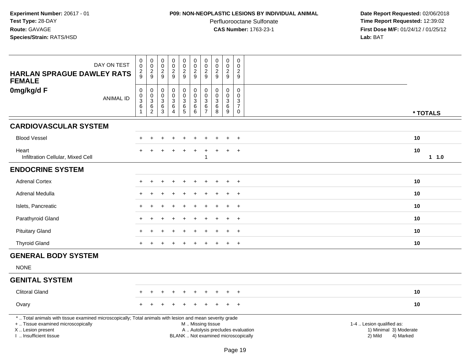#### **P09: NON-NEOPLASTIC LESIONS BY INDIVIDUAL ANIMAL**

Perfluorooctane Sulfonate<br>CAS Number: 1763-23-1

| DAY ON TEST<br><b>HARLAN SPRAGUE DAWLEY RATS</b><br><b>FEMALE</b>                                                                                                                             | $\mathbf 0$<br>0<br>$\overline{c}$<br>9                       | $\mathbf 0$<br>$\mathsf{O}$<br>$\sqrt{2}$<br>9                    | $\pmb{0}$<br>$\mathbf 0$<br>$\sqrt{2}$<br>9                          | $\pmb{0}$<br>$\overline{0}$<br>$\overline{2}$<br>9 | $\pmb{0}$<br>$\mathbf 0$<br>$\overline{2}$<br>$\boldsymbol{9}$      | $_{\rm 0}^{\rm 0}$<br>$\overline{2}$<br>9                  | $\pmb{0}$<br>$\mathbf 0$<br>$\overline{2}$<br>9              | $\pmb{0}$<br>$\pmb{0}$<br>$\overline{2}$<br>9              | $\pmb{0}$<br>$\mathbf 0$<br>$\sqrt{2}$<br>9     | $\pmb{0}$<br>$\mathbf 0$<br>$\overline{c}$<br>9                                                    |                                                                                                                  |
|-----------------------------------------------------------------------------------------------------------------------------------------------------------------------------------------------|---------------------------------------------------------------|-------------------------------------------------------------------|----------------------------------------------------------------------|----------------------------------------------------|---------------------------------------------------------------------|------------------------------------------------------------|--------------------------------------------------------------|------------------------------------------------------------|-------------------------------------------------|----------------------------------------------------------------------------------------------------|------------------------------------------------------------------------------------------------------------------|
| 0mg/kg/d F<br><b>ANIMAL ID</b>                                                                                                                                                                | $\mathsf 0$<br>$\mathbf 0$<br>$\sqrt{3}$<br>6<br>$\mathbf{1}$ | $\mathbf 0$<br>$\boldsymbol{0}$<br>3<br>$\,6\,$<br>$\overline{c}$ | $\pmb{0}$<br>$\pmb{0}$<br>$\ensuremath{\mathsf{3}}$<br>$\frac{6}{3}$ | 0<br>0<br>3<br>$\,6\,$<br>4                        | $\pmb{0}$<br>$\mathsf{O}\xspace$<br>$\overline{3}$<br>$\frac{6}{5}$ | $\pmb{0}$<br>$\pmb{0}$<br>$\sqrt{3}$<br>$\,6\,$<br>$\,6\,$ | $\mathbf 0$<br>$\mathbf 0$<br>3<br>$\,6\,$<br>$\overline{7}$ | $\mathbf 0$<br>$\mathbf 0$<br>$\mathbf{3}$<br>$\,6\,$<br>8 | $\mathbf 0$<br>$\mathbf 0$<br>3<br>$\,6\,$<br>9 | $\mathbf 0$<br>$\mathsf{O}\xspace$<br>$\ensuremath{\mathsf{3}}$<br>$\boldsymbol{7}$<br>$\mathbf 0$ | * TOTALS                                                                                                         |
| <b>CARDIOVASCULAR SYSTEM</b>                                                                                                                                                                  |                                                               |                                                                   |                                                                      |                                                    |                                                                     |                                                            |                                                              |                                                            |                                                 |                                                                                                    |                                                                                                                  |
| <b>Blood Vessel</b>                                                                                                                                                                           |                                                               | ÷                                                                 |                                                                      |                                                    |                                                                     |                                                            |                                                              |                                                            | $\ddot{}$                                       | $\overline{+}$                                                                                     | 10                                                                                                               |
| Heart<br>Infiltration Cellular, Mixed Cell                                                                                                                                                    |                                                               |                                                                   |                                                                      |                                                    |                                                                     |                                                            | 1                                                            |                                                            | $\overline{1}$                                  | $\overline{+}$                                                                                     | 10<br>$1 1.0$                                                                                                    |
| <b>ENDOCRINE SYSTEM</b>                                                                                                                                                                       |                                                               |                                                                   |                                                                      |                                                    |                                                                     |                                                            |                                                              |                                                            |                                                 |                                                                                                    |                                                                                                                  |
| <b>Adrenal Cortex</b>                                                                                                                                                                         |                                                               |                                                                   |                                                                      |                                                    |                                                                     |                                                            |                                                              |                                                            |                                                 | $\pm$                                                                                              | 10                                                                                                               |
| Adrenal Medulla                                                                                                                                                                               |                                                               |                                                                   |                                                                      |                                                    |                                                                     |                                                            |                                                              |                                                            |                                                 | $\overline{+}$                                                                                     | 10                                                                                                               |
| Islets, Pancreatic                                                                                                                                                                            |                                                               |                                                                   |                                                                      |                                                    |                                                                     |                                                            |                                                              |                                                            |                                                 | $\overline{+}$                                                                                     | 10                                                                                                               |
| Parathyroid Gland                                                                                                                                                                             |                                                               |                                                                   |                                                                      |                                                    |                                                                     |                                                            |                                                              |                                                            | ÷                                               | $\overline{+}$                                                                                     | 10                                                                                                               |
| <b>Pituitary Gland</b>                                                                                                                                                                        |                                                               |                                                                   |                                                                      |                                                    |                                                                     |                                                            |                                                              |                                                            |                                                 | $\ddot{}$                                                                                          | 10                                                                                                               |
| <b>Thyroid Gland</b>                                                                                                                                                                          |                                                               |                                                                   |                                                                      |                                                    |                                                                     |                                                            |                                                              |                                                            | $\ddot{}$                                       | $^{+}$                                                                                             | 10                                                                                                               |
| <b>GENERAL BODY SYSTEM</b>                                                                                                                                                                    |                                                               |                                                                   |                                                                      |                                                    |                                                                     |                                                            |                                                              |                                                            |                                                 |                                                                                                    |                                                                                                                  |
| <b>NONE</b>                                                                                                                                                                                   |                                                               |                                                                   |                                                                      |                                                    |                                                                     |                                                            |                                                              |                                                            |                                                 |                                                                                                    |                                                                                                                  |
| <b>GENITAL SYSTEM</b>                                                                                                                                                                         |                                                               |                                                                   |                                                                      |                                                    |                                                                     |                                                            |                                                              |                                                            |                                                 |                                                                                                    |                                                                                                                  |
| <b>Clitoral Gland</b>                                                                                                                                                                         |                                                               |                                                                   |                                                                      |                                                    |                                                                     |                                                            |                                                              |                                                            |                                                 |                                                                                                    | 10                                                                                                               |
| Ovary                                                                                                                                                                                         |                                                               |                                                                   |                                                                      |                                                    |                                                                     |                                                            |                                                              |                                                            |                                                 | $\div$                                                                                             | 10                                                                                                               |
| *  Total animals with tissue examined microscopically; Total animals with lesion and mean severity grade<br>+  Tissue examined microscopically<br>X  Lesion present<br>I  Insufficient tissue |                                                               |                                                                   |                                                                      |                                                    |                                                                     | M  Missing tissue<br>BLANK  Not examined microscopically   |                                                              |                                                            |                                                 |                                                                                                    | 1-4  Lesion qualified as:<br>A  Autolysis precludes evaluation<br>1) Minimal 3) Moderate<br>2) Mild<br>4) Marked |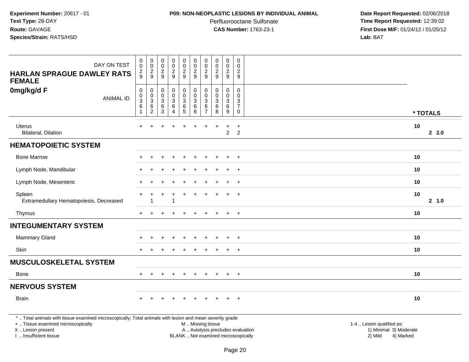#### **P09: NON-NEOPLASTIC LESIONS BY INDIVIDUAL ANIMAL**

Perfluorooctane Sulfonate<br>CAS Number: 1763-23-1

 **Date Report Requested:** 02/06/2018 **Time Report Requested:** 12:39:02 **First Dose M/F:** 01/24/12 / 01/25/12<br>**Lab:** BAT **Lab:** BAT

| DAY ON TEST<br><b>HARLAN SPRAGUE DAWLEY RATS</b>                                                                                                                    | $\pmb{0}$<br>$\mathbf 0$<br>$\overline{2}$<br>9 | $\pmb{0}$<br>$\mathbf 0$<br>$\overline{c}$<br>9 | 0<br>$\mathbf 0$<br>$\overline{c}$<br>9 | $\pmb{0}$<br>$\pmb{0}$<br>$\overline{a}$<br>9                               | $\pmb{0}$<br>$\mathbf 0$<br>$\overline{c}$<br>9           | $\pmb{0}$<br>$\pmb{0}$<br>$\overline{2}$<br>$\overline{9}$ | $\mathbf 0$<br>$\pmb{0}$<br>$\sqrt{2}$                | $\mathsf{O}\xspace$<br>$\mathbf 0$<br>$\overline{2}$<br>9 | $\pmb{0}$<br>$\pmb{0}$<br>$\boldsymbol{2}$           | $\boldsymbol{0}$<br>0<br>$\overline{c}$             |                                                     |
|---------------------------------------------------------------------------------------------------------------------------------------------------------------------|-------------------------------------------------|-------------------------------------------------|-----------------------------------------|-----------------------------------------------------------------------------|-----------------------------------------------------------|------------------------------------------------------------|-------------------------------------------------------|-----------------------------------------------------------|------------------------------------------------------|-----------------------------------------------------|-----------------------------------------------------|
| <b>FEMALE</b>                                                                                                                                                       |                                                 |                                                 |                                         |                                                                             |                                                           |                                                            | 9                                                     |                                                           | $9\,$                                                | 9                                                   |                                                     |
| 0mg/kg/d F<br><b>ANIMAL ID</b>                                                                                                                                      | 0<br>$_3^{\rm 0}$<br>6<br>-1                    | 0<br>0<br>$\ensuremath{\mathsf{3}}$<br>6<br>2   | 0<br>0<br>$\mathbf{3}$<br>6<br>3        | 0<br>$\pmb{0}$<br>$\ensuremath{\mathsf{3}}$<br>6<br>$\overline{\mathbf{4}}$ | 0<br>$\mathsf 0$<br>$\mathfrak{Z}$<br>6<br>$\overline{5}$ | $\pmb{0}$<br>$\pmb{0}$<br>$\sqrt{3}$<br>$\,6$<br>6         | $\mathbf 0$<br>0<br>$\sqrt{3}$<br>6<br>$\overline{7}$ | 0<br>$\mathbf 0$<br>$\mathbf{3}$<br>6<br>8                | 0<br>0<br>$\mathbf 3$<br>$\,6\,$<br>$\boldsymbol{9}$ | $\mathbf 0$<br>$\Omega$<br>3<br>$\overline{7}$<br>0 | * TOTALS                                            |
| <b>Uterus</b><br>Bilateral, Dilation                                                                                                                                |                                                 |                                                 |                                         |                                                                             |                                                           |                                                            |                                                       |                                                           | +<br>$\overline{c}$                                  | $\ddot{}$<br>$\overline{2}$                         | 10<br>2.0                                           |
| <b>HEMATOPOIETIC SYSTEM</b>                                                                                                                                         |                                                 |                                                 |                                         |                                                                             |                                                           |                                                            |                                                       |                                                           |                                                      |                                                     |                                                     |
| <b>Bone Marrow</b>                                                                                                                                                  |                                                 |                                                 |                                         |                                                                             |                                                           |                                                            |                                                       |                                                           |                                                      | $\overline{ }$                                      | 10                                                  |
| Lymph Node, Mandibular                                                                                                                                              |                                                 |                                                 |                                         |                                                                             |                                                           |                                                            |                                                       |                                                           |                                                      | $+$                                                 | 10                                                  |
| Lymph Node, Mesenteric                                                                                                                                              |                                                 |                                                 |                                         |                                                                             |                                                           |                                                            |                                                       |                                                           |                                                      | $\div$                                              | 10                                                  |
| Spleen<br>Extramedullary Hematopoiesis, Decreased                                                                                                                   |                                                 |                                                 |                                         |                                                                             |                                                           |                                                            |                                                       |                                                           |                                                      | $\overline{ }$                                      | 10<br>2, 1.0                                        |
| Thymus                                                                                                                                                              | $+$                                             | $\ddot{}$                                       |                                         | $\ddot{}$                                                                   | $\ddot{}$                                                 | $\ddot{}$                                                  | $\ddot{}$                                             | $\ddot{}$                                                 | $\ddot{}$                                            | $+$                                                 | 10                                                  |
| <b>INTEGUMENTARY SYSTEM</b>                                                                                                                                         |                                                 |                                                 |                                         |                                                                             |                                                           |                                                            |                                                       |                                                           |                                                      |                                                     |                                                     |
| <b>Mammary Gland</b>                                                                                                                                                |                                                 |                                                 |                                         |                                                                             |                                                           |                                                            |                                                       |                                                           |                                                      | $\overline{1}$                                      | 10                                                  |
| Skin                                                                                                                                                                |                                                 |                                                 |                                         |                                                                             |                                                           |                                                            |                                                       |                                                           |                                                      | $+$                                                 | 10                                                  |
| <b>MUSCULOSKELETAL SYSTEM</b>                                                                                                                                       |                                                 |                                                 |                                         |                                                                             |                                                           |                                                            |                                                       |                                                           |                                                      |                                                     |                                                     |
| Bone                                                                                                                                                                |                                                 |                                                 |                                         |                                                                             |                                                           |                                                            |                                                       |                                                           |                                                      | $+$                                                 | 10                                                  |
| <b>NERVOUS SYSTEM</b>                                                                                                                                               |                                                 |                                                 |                                         |                                                                             |                                                           |                                                            |                                                       |                                                           |                                                      |                                                     |                                                     |
| <b>Brain</b>                                                                                                                                                        |                                                 |                                                 |                                         |                                                                             |                                                           |                                                            |                                                       |                                                           | $+$                                                  | $+$                                                 | 10                                                  |
| *  Total animals with tissue examined microscopically; Total animals with lesion and mean severity grade<br>+  Tissue examined microscopically<br>X  Lesion present |                                                 |                                                 |                                         |                                                                             |                                                           | M  Missing tissue<br>A  Autolysis precludes evaluation     |                                                       |                                                           |                                                      |                                                     | 1-4  Lesion qualified as:<br>1) Minimal 3) Moderate |

I .. Insufficient tissue

BLANK .. Not examined microscopically 2) Mild 4) Marked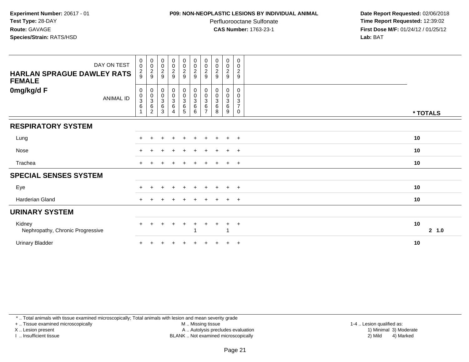#### **P09: NON-NEOPLASTIC LESIONS BY INDIVIDUAL ANIMAL**

Perfluorooctane Sulfonate<br>CAS Number: 1763-23-1

 **Date Report Requested:** 02/06/2018 **Time Report Requested:** 12:39:02 **First Dose M/F:** 01/24/12 / 01/25/12<br>**Lab:** BAT **Lab:** BAT

| DAY ON TEST<br><b>HARLAN SPRAGUE DAWLEY RATS</b><br><b>FEMALE</b> | $\begin{smallmatrix}0\\0\end{smallmatrix}$<br>$\frac{2}{9}$ | $_{\rm 0}^{\rm 0}$<br>$\frac{2}{9}$           | $\begin{array}{c} 0 \\ 0 \\ 2 \\ 9 \end{array}$ | $\begin{array}{c} 0 \\ 0 \\ 2 \\ 9 \end{array}$                            | $\begin{array}{c} 0 \\ 0 \\ 2 \\ 9 \end{array}$                   | $\begin{array}{c} 0 \\ 0 \\ 2 \\ 9 \end{array}$ | $\begin{smallmatrix} 0\\0 \end{smallmatrix}$<br>$\sqrt{2}$<br>$\boldsymbol{9}$ | 00029                            | $\begin{array}{c} 0 \\ 0 \\ 2 \\ 9 \end{array}$ | $\pmb{0}$<br>$\pmb{0}$<br>$\frac{2}{9}$               |             |
|-------------------------------------------------------------------|-------------------------------------------------------------|-----------------------------------------------|-------------------------------------------------|----------------------------------------------------------------------------|-------------------------------------------------------------------|-------------------------------------------------|--------------------------------------------------------------------------------|----------------------------------|-------------------------------------------------|-------------------------------------------------------|-------------|
| 0mg/kg/d F<br><b>ANIMAL ID</b>                                    | $\pmb{0}$<br>$_{3}^{\rm 0}$<br>$\,6\,$<br>$\overline{1}$    | 0<br>$\frac{0}{3}$<br>$\,6$<br>$\overline{c}$ | $\,0\,$<br>6<br>3                               | $\begin{smallmatrix} 0\\0\\3 \end{smallmatrix}$<br>$\frac{0}{3}$<br>6<br>4 | $\begin{array}{c} 0 \\ 0 \\ 3 \\ 6 \end{array}$<br>$\overline{5}$ | $\begin{matrix}0\\0\\3\\6\end{matrix}$<br>6     | $\pmb{0}$<br>$\frac{0}{3}$<br>$\,6\,$<br>$\overline{ }$                        | 0<br>$\frac{0}{3}$<br>$\,6$<br>8 | 0<br>$\frac{0}{3}$<br>6<br>9                    | 0<br>0<br>$\sqrt{3}$<br>$\overline{\mathcal{I}}$<br>0 | * TOTALS    |
| <b>RESPIRATORY SYSTEM</b>                                         |                                                             |                                               |                                                 |                                                                            |                                                                   |                                                 |                                                                                |                                  |                                                 |                                                       |             |
| Lung                                                              |                                                             |                                               |                                                 | $\pm$                                                                      | $\pm$                                                             | $\ddot{}$                                       |                                                                                |                                  | $\pm$                                           | $+$                                                   | 10          |
| Nose                                                              |                                                             |                                               |                                                 |                                                                            |                                                                   |                                                 |                                                                                |                                  | $\overline{+}$                                  | $+$                                                   | 10          |
| Trachea                                                           | $+$                                                         |                                               |                                                 |                                                                            | $\pm$                                                             | $\pm$                                           | $\ddot{}$                                                                      |                                  | $+$                                             | $+$                                                   | 10          |
| <b>SPECIAL SENSES SYSTEM</b>                                      |                                                             |                                               |                                                 |                                                                            |                                                                   |                                                 |                                                                                |                                  |                                                 |                                                       |             |
| Eye                                                               |                                                             |                                               |                                                 |                                                                            |                                                                   |                                                 |                                                                                |                                  | $\pm$                                           | $\overline{+}$                                        | 10          |
| Harderian Gland                                                   | $+$                                                         |                                               |                                                 |                                                                            | $\div$                                                            |                                                 |                                                                                |                                  | $+$                                             | $+$                                                   | 10          |
| <b>URINARY SYSTEM</b>                                             |                                                             |                                               |                                                 |                                                                            |                                                                   |                                                 |                                                                                |                                  |                                                 |                                                       |             |
| Kidney<br>Nephropathy, Chronic Progressive                        |                                                             |                                               |                                                 | $\ddot{}$                                                                  | $\ddot{}$                                                         | $\pm$                                           | $\ddot{}$                                                                      |                                  | $+$                                             | $+$                                                   | 10<br>2 1.0 |
| <b>Urinary Bladder</b>                                            |                                                             |                                               |                                                 |                                                                            |                                                                   |                                                 |                                                                                |                                  | $+$                                             | $+$                                                   | 10          |

\* .. Total animals with tissue examined microscopically; Total animals with lesion and mean severity grade

+ .. Tissue examined microscopically

X .. Lesion present

I .. Insufficient tissue

M .. Missing tissue

 Lesion present A .. Autolysis precludes evaluation 1) Minimal 3) ModerateBLANK .. Not examined microscopically 2) Mild 4) Marked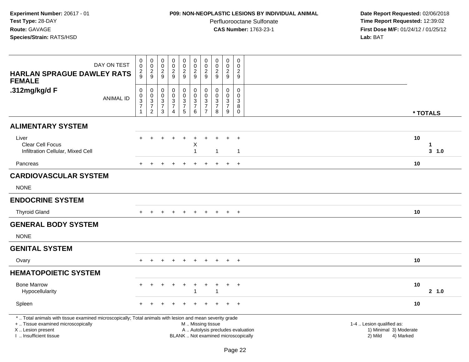## **P09: NON-NEOPLASTIC LESIONS BY INDIVIDUAL ANIMAL**

Perfluorooctane Sulfonate<br>CAS Number: 1763-23-1

| DAY ON TEST<br><b>HARLAN SPRAGUE DAWLEY RATS</b>                                                                                                                                              | $\pmb{0}$<br>$\pmb{0}$<br>$\frac{2}{9}$                                                   | $\mathbf 0$<br>$\pmb{0}$<br>$\frac{2}{9}$                           | $\pmb{0}$<br>0<br>$\boldsymbol{2}$                                    | $\pmb{0}$<br>$\pmb{0}$<br>$\boldsymbol{2}$                                                  | $\pmb{0}$<br>$\mathsf{O}\xspace$<br>$\frac{2}{9}$             | $\pmb{0}$<br>$\mathbf 0$<br>$\overline{c}$                                     | $\pmb{0}$<br>$\mathbf 0$<br>$\sqrt{2}$                              | $\pmb{0}$<br>$\pmb{0}$<br>$\boldsymbol{2}$                                     | $\pmb{0}$<br>$\mathbf 0$<br>$\overline{a}$ | $\mathsf 0$<br>$\Omega$<br>$\overline{c}$                 |                                                                                                                  |                |
|-----------------------------------------------------------------------------------------------------------------------------------------------------------------------------------------------|-------------------------------------------------------------------------------------------|---------------------------------------------------------------------|-----------------------------------------------------------------------|---------------------------------------------------------------------------------------------|---------------------------------------------------------------|--------------------------------------------------------------------------------|---------------------------------------------------------------------|--------------------------------------------------------------------------------|--------------------------------------------|-----------------------------------------------------------|------------------------------------------------------------------------------------------------------------------|----------------|
| <b>FEMALE</b>                                                                                                                                                                                 |                                                                                           |                                                                     | 9                                                                     | 9                                                                                           |                                                               | 9                                                                              | 9                                                                   | 9                                                                              | 9                                          | 9                                                         |                                                                                                                  |                |
| .312mg/kg/d F<br><b>ANIMAL ID</b>                                                                                                                                                             | $\pmb{0}$<br>$\mathbf 0$<br>$\ensuremath{\mathsf{3}}$<br>$\boldsymbol{7}$<br>$\mathbf{1}$ | 0<br>$\mathbf 0$<br>3<br>$\overline{\mathcal{I}}$<br>$\overline{c}$ | 0<br>0<br>$\ensuremath{\mathsf{3}}$<br>$\overline{7}$<br>$\mathbf{3}$ | $\mathbf 0$<br>$\pmb{0}$<br>$\ensuremath{\mathsf{3}}$<br>$\boldsymbol{7}$<br>$\overline{4}$ | $\mathbf 0$<br>$\mathsf 0$<br>$\frac{3}{7}$<br>$\overline{5}$ | $\mathbf 0$<br>$\pmb{0}$<br>$\ensuremath{\mathsf{3}}$<br>$\boldsymbol{7}$<br>6 | $\mathbf 0$<br>$\mathbf 0$<br>3<br>$\overline{7}$<br>$\overline{7}$ | $\mathbf 0$<br>$\mathbf 0$<br>$\ensuremath{\mathsf{3}}$<br>$\overline{7}$<br>8 | 0<br>0<br>3<br>$\overline{7}$<br>9         | 0<br>$\Omega$<br>$\mathsf 3$<br>$\bf 8$<br>$\overline{0}$ |                                                                                                                  | * TOTALS       |
| <b>ALIMENTARY SYSTEM</b>                                                                                                                                                                      |                                                                                           |                                                                     |                                                                       |                                                                                             |                                                               |                                                                                |                                                                     |                                                                                |                                            |                                                           |                                                                                                                  |                |
| Liver<br>Clear Cell Focus<br>Infiltration Cellular, Mixed Cell                                                                                                                                |                                                                                           |                                                                     |                                                                       | ÷                                                                                           | $\ddot{}$                                                     | $\div$<br>X<br>$\overline{1}$                                                  |                                                                     | 1                                                                              |                                            | $\ddot{}$<br>$\mathbf{1}$                                 | 10                                                                                                               | 1<br>$3 - 1.0$ |
| Pancreas                                                                                                                                                                                      | $+$                                                                                       | $\ddot{}$                                                           | $\ddot{}$                                                             | $\ddot{}$                                                                                   | $+$                                                           | $\ddot{}$                                                                      | $\ddot{}$                                                           |                                                                                | $\ddot{}$                                  | $+$                                                       | 10                                                                                                               |                |
| <b>CARDIOVASCULAR SYSTEM</b>                                                                                                                                                                  |                                                                                           |                                                                     |                                                                       |                                                                                             |                                                               |                                                                                |                                                                     |                                                                                |                                            |                                                           |                                                                                                                  |                |
| <b>NONE</b>                                                                                                                                                                                   |                                                                                           |                                                                     |                                                                       |                                                                                             |                                                               |                                                                                |                                                                     |                                                                                |                                            |                                                           |                                                                                                                  |                |
| <b>ENDOCRINE SYSTEM</b>                                                                                                                                                                       |                                                                                           |                                                                     |                                                                       |                                                                                             |                                                               |                                                                                |                                                                     |                                                                                |                                            |                                                           |                                                                                                                  |                |
| <b>Thyroid Gland</b>                                                                                                                                                                          |                                                                                           | $\pm$                                                               |                                                                       | $\div$                                                                                      | $\ddot{}$                                                     |                                                                                |                                                                     |                                                                                | $+$                                        | $^{+}$                                                    | 10                                                                                                               |                |
| <b>GENERAL BODY SYSTEM</b>                                                                                                                                                                    |                                                                                           |                                                                     |                                                                       |                                                                                             |                                                               |                                                                                |                                                                     |                                                                                |                                            |                                                           |                                                                                                                  |                |
| <b>NONE</b>                                                                                                                                                                                   |                                                                                           |                                                                     |                                                                       |                                                                                             |                                                               |                                                                                |                                                                     |                                                                                |                                            |                                                           |                                                                                                                  |                |
| <b>GENITAL SYSTEM</b>                                                                                                                                                                         |                                                                                           |                                                                     |                                                                       |                                                                                             |                                                               |                                                                                |                                                                     |                                                                                |                                            |                                                           |                                                                                                                  |                |
| Ovary                                                                                                                                                                                         |                                                                                           |                                                                     |                                                                       |                                                                                             |                                                               |                                                                                |                                                                     |                                                                                | $\ddot{}$                                  | $\overline{+}$                                            | 10                                                                                                               |                |
| <b>HEMATOPOIETIC SYSTEM</b>                                                                                                                                                                   |                                                                                           |                                                                     |                                                                       |                                                                                             |                                                               |                                                                                |                                                                     |                                                                                |                                            |                                                           |                                                                                                                  |                |
| <b>Bone Marrow</b><br>Hypocellularity                                                                                                                                                         |                                                                                           |                                                                     |                                                                       | $\div$                                                                                      | $\ddot{}$                                                     | ÷<br>1                                                                         | +                                                                   | 1                                                                              | $\ddot{}$                                  | $+$                                                       | 10                                                                                                               | 2, 1.0         |
| Spleen                                                                                                                                                                                        |                                                                                           |                                                                     |                                                                       |                                                                                             |                                                               |                                                                                |                                                                     |                                                                                |                                            | $+$                                                       | 10                                                                                                               |                |
| *  Total animals with tissue examined microscopically; Total animals with lesion and mean severity grade<br>+  Tissue examined microscopically<br>X  Lesion present<br>I. Insufficient tissue |                                                                                           |                                                                     |                                                                       |                                                                                             |                                                               | M  Missing tissue                                                              |                                                                     | BLANK  Not examined microscopically                                            |                                            |                                                           | 1-4  Lesion qualified as:<br>A  Autolysis precludes evaluation<br>1) Minimal 3) Moderate<br>2) Mild<br>4) Marked |                |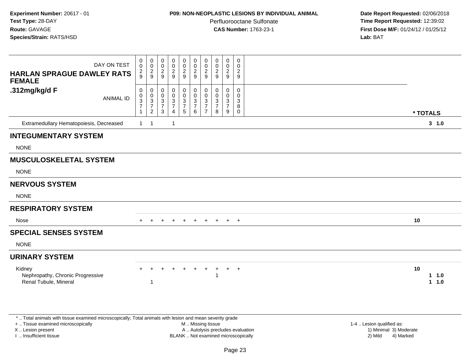# **P09: NON-NEOPLASTIC LESIONS BY INDIVIDUAL ANIMAL**

Perfluorooctane Sulfonate<br>CAS Number: 1763-23-1

 **Date Report Requested:** 02/06/2018 **Time Report Requested:** 12:39:02 **First Dose M/F:** 01/24/12 / 01/25/12<br>**Lab:** BAT

| DAY ON TEST<br><b>HARLAN SPRAGUE DAWLEY RATS</b><br><b>FEMALE</b>                                                                              | 0<br>$\mathbf 0$<br>$\overline{c}$<br>9           | 0<br>$\mathbf 0$<br>$\frac{2}{9}$                   | 0<br>$\pmb{0}$<br>$\boldsymbol{2}$<br>9                       | 0<br>$\pmb{0}$<br>$\overline{2}$<br>9               | 0<br>$\mathbf 0$<br>$\overline{a}$<br>9                 | 0<br>$\mathbf 0$<br>$\sqrt{2}$<br>9                                  | 0<br>$\mathbf 0$<br>$\overline{2}$<br>9                          | 0<br>0<br>$\boldsymbol{2}$<br>9                     | 0<br>0<br>$\overline{c}$<br>9                        | 0<br>$\mathbf 0$<br>$\overline{2}$<br>9 |                           |
|------------------------------------------------------------------------------------------------------------------------------------------------|---------------------------------------------------|-----------------------------------------------------|---------------------------------------------------------------|-----------------------------------------------------|---------------------------------------------------------|----------------------------------------------------------------------|------------------------------------------------------------------|-----------------------------------------------------|------------------------------------------------------|-----------------------------------------|---------------------------|
| .312mg/kg/d F<br><b>ANIMAL ID</b>                                                                                                              | 0<br>$\mathbf 0$<br>$\frac{3}{7}$<br>$\mathbf{1}$ | $\mathbf 0$<br>0<br>$\frac{3}{7}$<br>$\overline{2}$ | $\mathbf 0$<br>$\mathbf 0$<br>$\frac{3}{7}$<br>$\mathfrak{Z}$ | 0<br>$\mathbf 0$<br>$\frac{3}{7}$<br>$\overline{4}$ | 0<br>$\mathbf 0$<br>$\mathbf{3}$<br>$\overline{7}$<br>5 | 0<br>$\mathbf 0$<br>$\ensuremath{\mathsf{3}}$<br>$\overline{7}$<br>6 | $\mathbf 0$<br>$\Omega$<br>3<br>$\overline{7}$<br>$\overline{7}$ | $\mathbf 0$<br>$\Omega$<br>3<br>$\overline{7}$<br>8 | $\mathbf 0$<br>$\mathbf 0$<br>$\frac{3}{7}$<br>$9\,$ | 0<br>0<br>3<br>8<br>$\mathbf 0$         | * TOTALS                  |
| Extramedullary Hematopoiesis, Decreased                                                                                                        | $\mathbf{1}$                                      | $\overline{1}$                                      |                                                               | $\mathbf{1}$                                        |                                                         |                                                                      |                                                                  |                                                     |                                                      |                                         | $3 - 1.0$                 |
| <b>INTEGUMENTARY SYSTEM</b>                                                                                                                    |                                                   |                                                     |                                                               |                                                     |                                                         |                                                                      |                                                                  |                                                     |                                                      |                                         |                           |
| <b>NONE</b>                                                                                                                                    |                                                   |                                                     |                                                               |                                                     |                                                         |                                                                      |                                                                  |                                                     |                                                      |                                         |                           |
| <b>MUSCULOSKELETAL SYSTEM</b>                                                                                                                  |                                                   |                                                     |                                                               |                                                     |                                                         |                                                                      |                                                                  |                                                     |                                                      |                                         |                           |
| <b>NONE</b>                                                                                                                                    |                                                   |                                                     |                                                               |                                                     |                                                         |                                                                      |                                                                  |                                                     |                                                      |                                         |                           |
| <b>NERVOUS SYSTEM</b>                                                                                                                          |                                                   |                                                     |                                                               |                                                     |                                                         |                                                                      |                                                                  |                                                     |                                                      |                                         |                           |
| <b>NONE</b>                                                                                                                                    |                                                   |                                                     |                                                               |                                                     |                                                         |                                                                      |                                                                  |                                                     |                                                      |                                         |                           |
| <b>RESPIRATORY SYSTEM</b>                                                                                                                      |                                                   |                                                     |                                                               |                                                     |                                                         |                                                                      |                                                                  |                                                     |                                                      |                                         |                           |
| Nose                                                                                                                                           | $+$                                               | $\overline{+}$                                      | $+$                                                           | $+$                                                 | $+$                                                     |                                                                      |                                                                  | + + + +                                             |                                                      | $+$                                     | 10                        |
| <b>SPECIAL SENSES SYSTEM</b>                                                                                                                   |                                                   |                                                     |                                                               |                                                     |                                                         |                                                                      |                                                                  |                                                     |                                                      |                                         |                           |
| <b>NONE</b>                                                                                                                                    |                                                   |                                                     |                                                               |                                                     |                                                         |                                                                      |                                                                  |                                                     |                                                      |                                         |                           |
| <b>URINARY SYSTEM</b>                                                                                                                          |                                                   |                                                     |                                                               |                                                     |                                                         |                                                                      |                                                                  |                                                     |                                                      |                                         |                           |
| Kidney<br>Nephropathy, Chronic Progressive<br>Renal Tubule, Mineral                                                                            |                                                   | 1                                                   |                                                               |                                                     |                                                         | $+$                                                                  | $+$                                                              | -1                                                  | $+$                                                  | $+$                                     | 10<br>$1 1.0$<br>1 1.0    |
| *  Total animals with tissue examined microscopically; Total animals with lesion and mean severity grade<br>+  Tissue examined microscopically |                                                   |                                                     |                                                               |                                                     |                                                         | M  Missing tissue                                                    |                                                                  |                                                     |                                                      |                                         | 1-4  Lesion qualified as: |
| X  Lesion present                                                                                                                              |                                                   |                                                     |                                                               |                                                     |                                                         | A  Autolysis precludes evaluation                                    |                                                                  |                                                     |                                                      |                                         | 1) Minimal 3) Moderate    |

I .. Insufficient tissue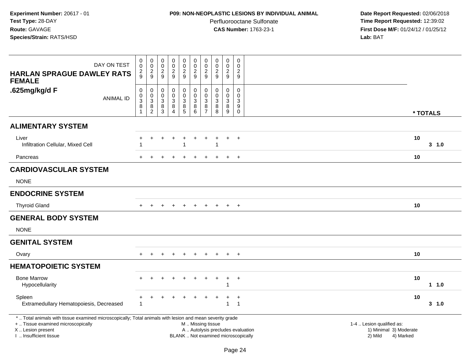## **P09: NON-NEOPLASTIC LESIONS BY INDIVIDUAL ANIMAL**

Perfluorooctane Sulfonate<br>CAS Number: 1763-23-1

| DAY ON TEST                                                                                                                                                                                   | $\pmb{0}$<br>$\boldsymbol{0}$                             | $\pmb{0}$<br>$\mathbf 0$                                                       | $\mathbf 0$<br>$\boldsymbol{0}$                        | $\pmb{0}$<br>$\pmb{0}$                     | $\pmb{0}$<br>$\mathbf 0$                                | $\pmb{0}$<br>$\pmb{0}$                                                                        | $\mathbf 0$<br>$\pmb{0}$                                 | $\pmb{0}$<br>$\mathsf 0$                   | $\mathbf 0$<br>$\mathbf 0$                              | $\mathbf 0$<br>$\mathbf 0$                 |                                                                             |           |
|-----------------------------------------------------------------------------------------------------------------------------------------------------------------------------------------------|-----------------------------------------------------------|--------------------------------------------------------------------------------|--------------------------------------------------------|--------------------------------------------|---------------------------------------------------------|-----------------------------------------------------------------------------------------------|----------------------------------------------------------|--------------------------------------------|---------------------------------------------------------|--------------------------------------------|-----------------------------------------------------------------------------|-----------|
| <b>HARLAN SPRAGUE DAWLEY RATS</b><br><b>FEMALE</b>                                                                                                                                            | $\frac{2}{9}$                                             | $\frac{2}{9}$                                                                  | $\frac{2}{9}$                                          | $\frac{2}{9}$                              | $\boldsymbol{2}$<br>$\overline{9}$                      | $\boldsymbol{2}$<br>9                                                                         | $\frac{2}{9}$                                            | $\overline{2}$<br>9                        | $\boldsymbol{2}$<br>$\overline{9}$                      | $\overline{2}$<br>9                        |                                                                             |           |
| .625mg/kg/d F<br><b>ANIMAL ID</b>                                                                                                                                                             | $\boldsymbol{0}$<br>$\pmb{0}$<br>$\overline{3}$<br>8<br>1 | $\mathbf 0$<br>$\mathbf 0$<br>$\ensuremath{\mathsf{3}}$<br>8<br>$\overline{2}$ | $\mathbf 0$<br>$\mathbf 0$<br>3<br>8<br>$\overline{3}$ | 0<br>$\mathbf 0$<br>$\mathbf{3}$<br>8<br>4 | 0<br>$\mathbf 0$<br>$\mathbf{3}$<br>8<br>$\overline{5}$ | $\pmb{0}$<br>$\mathsf 0$<br>$\mathbf{3}$<br>$\bf 8$<br>$6\overline{6}$                        | 0<br>$\mathbf{0}$<br>$\mathbf{3}$<br>8<br>$\overline{7}$ | 0<br>$\mathbf 0$<br>$\mathbf{3}$<br>8<br>8 | 0<br>$\mathbf 0$<br>$\mathbf{3}$<br>8<br>$\overline{9}$ | 0<br>$\mathbf{0}$<br>3<br>9<br>$\mathbf 0$ | * TOTALS                                                                    |           |
| <b>ALIMENTARY SYSTEM</b>                                                                                                                                                                      |                                                           |                                                                                |                                                        |                                            |                                                         |                                                                                               |                                                          |                                            |                                                         |                                            |                                                                             |           |
| Liver<br>Infiltration Cellular, Mixed Cell                                                                                                                                                    |                                                           | $\div$                                                                         | $\div$                                                 | $\ddot{}$                                  | $\div$                                                  | $\overline{+}$                                                                                | ÷                                                        |                                            | $+$                                                     | $+$                                        | 10                                                                          | 3, 1.0    |
| Pancreas                                                                                                                                                                                      | $\div$                                                    | ÷                                                                              |                                                        | $\ddot{}$                                  | $\ddot{}$                                               |                                                                                               |                                                          |                                            | $\ddot{+}$                                              | $+$                                        | 10                                                                          |           |
| <b>CARDIOVASCULAR SYSTEM</b>                                                                                                                                                                  |                                                           |                                                                                |                                                        |                                            |                                                         |                                                                                               |                                                          |                                            |                                                         |                                            |                                                                             |           |
| <b>NONE</b>                                                                                                                                                                                   |                                                           |                                                                                |                                                        |                                            |                                                         |                                                                                               |                                                          |                                            |                                                         |                                            |                                                                             |           |
| <b>ENDOCRINE SYSTEM</b>                                                                                                                                                                       |                                                           |                                                                                |                                                        |                                            |                                                         |                                                                                               |                                                          |                                            |                                                         |                                            |                                                                             |           |
| <b>Thyroid Gland</b>                                                                                                                                                                          | $\pm$                                                     | $\ddot{}$                                                                      |                                                        | $\overline{ }$                             | $\ddot{}$                                               | $\ddot{}$                                                                                     | $\ddot{}$                                                | $+$                                        | $+$                                                     | $^{+}$                                     | 10                                                                          |           |
| <b>GENERAL BODY SYSTEM</b>                                                                                                                                                                    |                                                           |                                                                                |                                                        |                                            |                                                         |                                                                                               |                                                          |                                            |                                                         |                                            |                                                                             |           |
| <b>NONE</b>                                                                                                                                                                                   |                                                           |                                                                                |                                                        |                                            |                                                         |                                                                                               |                                                          |                                            |                                                         |                                            |                                                                             |           |
| <b>GENITAL SYSTEM</b>                                                                                                                                                                         |                                                           |                                                                                |                                                        |                                            |                                                         |                                                                                               |                                                          |                                            |                                                         |                                            |                                                                             |           |
| Ovary                                                                                                                                                                                         |                                                           |                                                                                |                                                        |                                            |                                                         |                                                                                               |                                                          |                                            | $\pm$                                                   | $\overline{ }$                             | 10                                                                          |           |
| <b>HEMATOPOIETIC SYSTEM</b>                                                                                                                                                                   |                                                           |                                                                                |                                                        |                                            |                                                         |                                                                                               |                                                          |                                            |                                                         |                                            |                                                                             |           |
| <b>Bone Marrow</b><br>Hypocellularity                                                                                                                                                         |                                                           | $+$                                                                            |                                                        | $\overline{ }$                             |                                                         |                                                                                               |                                                          |                                            | $\ddot{}$<br>1                                          | $\overline{+}$                             | 10                                                                          | 1.0       |
| Spleen<br>Extramedullary Hematopoiesis, Decreased                                                                                                                                             | +<br>-1                                                   | $\div$                                                                         |                                                        |                                            |                                                         |                                                                                               |                                                          |                                            | $\ddot{}$<br>$\mathbf{1}$                               | $\ddot{}$<br>$\overline{1}$                | 10                                                                          | $3 - 1.0$ |
| *  Total animals with tissue examined microscopically; Total animals with lesion and mean severity grade<br>+  Tissue examined microscopically<br>X  Lesion present<br>I  Insufficient tissue |                                                           |                                                                                |                                                        |                                            |                                                         | M  Missing tissue<br>A  Autolysis precludes evaluation<br>BLANK  Not examined microscopically |                                                          |                                            |                                                         |                                            | 1-4  Lesion qualified as:<br>1) Minimal 3) Moderate<br>2) Mild<br>4) Marked |           |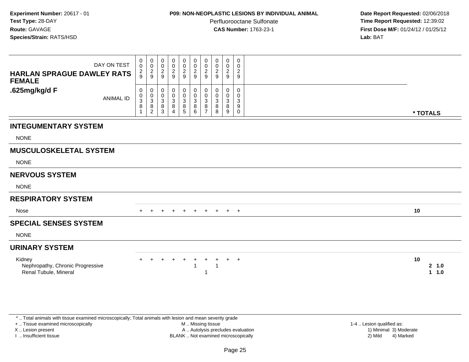#### **P09: NON-NEOPLASTIC LESIONS BY INDIVIDUAL ANIMAL**

Perfluorooctane Sulfonate<br>CAS Number: 1763-23-1

 **Date Report Requested:** 02/06/2018 **Time Report Requested:** 12:39:02 **First Dose M/F:** 01/24/12 / 01/25/12<br>**Lab:** BAT **Lab:** BAT

| DAY ON TEST<br><b>HARLAN SPRAGUE DAWLEY RATS</b><br><b>FEMALE</b>   | 0<br>$\mathbf 0$<br>$\frac{2}{9}$             | 0<br>$\mathbf 0$<br>$\frac{2}{9}$ | $\mathbf 0$<br>$\mathbf 0$<br>$\overline{c}$<br>9 | 0<br>$\pmb{0}$<br>$\overline{c}$<br>9                              | $\overline{0}$<br>$\mathbf 0$<br>$\overline{2}$<br>9 | $\begin{smallmatrix}0\\0\end{smallmatrix}$<br>$\boldsymbol{2}$<br>9 | $\mathbf 0$<br>0<br>2<br>9                | 0<br>0<br>$\boldsymbol{2}$<br>9 | 0<br>0<br>$\overline{c}$<br>9   | 0<br>$\mathbf 0$<br>$\overline{c}$<br>$9\,$             |          |                |
|---------------------------------------------------------------------|-----------------------------------------------|-----------------------------------|---------------------------------------------------|--------------------------------------------------------------------|------------------------------------------------------|---------------------------------------------------------------------|-------------------------------------------|---------------------------------|---------------------------------|---------------------------------------------------------|----------|----------------|
| .625mg/kg/d F<br><b>ANIMAL ID</b>                                   | 0<br>0<br>$\ensuremath{\mathsf{3}}$<br>8<br>1 | 0<br>0<br>$\mathbf{3}$<br>8<br>2  | 0<br>0<br>$\sqrt{3}$<br>8<br>3                    | 0<br>$\pmb{0}$<br>$\ensuremath{\mathsf{3}}$<br>8<br>$\overline{4}$ | 0<br>$\ddot{\mathbf{0}}$<br>$\mathbf{3}$<br>$^8$ 5   | $\boldsymbol{0}$<br>$\mathbf 0$<br>$\sqrt{3}$<br>$^8_6$             | 0<br>$\Omega$<br>3<br>8<br>$\overline{7}$ | 0<br>$\mathbf 0$<br>3<br>8<br>8 | 0<br>$\mathbf 0$<br>3<br>8<br>9 | 0<br>0<br>$\ensuremath{\mathsf{3}}$<br>9<br>$\mathbf 0$ | * TOTALS |                |
| <b>INTEGUMENTARY SYSTEM</b>                                         |                                               |                                   |                                                   |                                                                    |                                                      |                                                                     |                                           |                                 |                                 |                                                         |          |                |
| <b>NONE</b>                                                         |                                               |                                   |                                                   |                                                                    |                                                      |                                                                     |                                           |                                 |                                 |                                                         |          |                |
| <b>MUSCULOSKELETAL SYSTEM</b>                                       |                                               |                                   |                                                   |                                                                    |                                                      |                                                                     |                                           |                                 |                                 |                                                         |          |                |
| <b>NONE</b>                                                         |                                               |                                   |                                                   |                                                                    |                                                      |                                                                     |                                           |                                 |                                 |                                                         |          |                |
| <b>NERVOUS SYSTEM</b>                                               |                                               |                                   |                                                   |                                                                    |                                                      |                                                                     |                                           |                                 |                                 |                                                         |          |                |
| <b>NONE</b>                                                         |                                               |                                   |                                                   |                                                                    |                                                      |                                                                     |                                           |                                 |                                 |                                                         |          |                |
| <b>RESPIRATORY SYSTEM</b>                                           |                                               |                                   |                                                   |                                                                    |                                                      |                                                                     |                                           |                                 |                                 |                                                         |          |                |
| Nose                                                                |                                               |                                   |                                                   | $\pm$                                                              | $\pm$                                                | $\pm$                                                               | $+$                                       | $+$                             | $^{+}$                          | $+$                                                     | 10       |                |
| <b>SPECIAL SENSES SYSTEM</b>                                        |                                               |                                   |                                                   |                                                                    |                                                      |                                                                     |                                           |                                 |                                 |                                                         |          |                |
| <b>NONE</b>                                                         |                                               |                                   |                                                   |                                                                    |                                                      |                                                                     |                                           |                                 |                                 |                                                         |          |                |
| <b>URINARY SYSTEM</b>                                               |                                               |                                   |                                                   |                                                                    |                                                      |                                                                     |                                           |                                 |                                 |                                                         |          |                |
| Kidney<br>Nephropathy, Chronic Progressive<br>Renal Tubule, Mineral |                                               |                                   |                                                   | $\pm$                                                              | $\pm$                                                | $\pm$                                                               | $\ddot{}$                                 |                                 | $\div$                          | $+$                                                     | 10       | 2, 1.0<br>11.0 |

\* .. Total animals with tissue examined microscopically; Total animals with lesion and mean severity grade

+ .. Tissue examined microscopically

X .. Lesion present

I .. Insufficient tissue

 M .. Missing tissueA .. Autolysis precludes evaluation

 1-4 .. Lesion qualified as: BLANK .. Not examined microscopically 2) Mild 4) Marked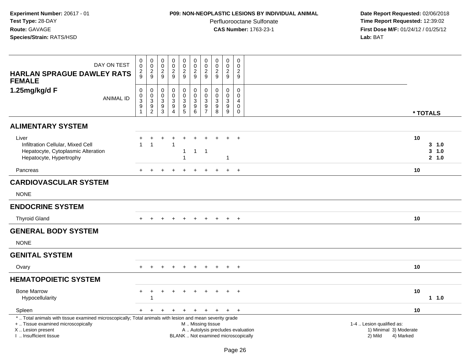### **P09: NON-NEOPLASTIC LESIONS BY INDIVIDUAL ANIMAL**

Perfluorooctane Sulfonate<br>CAS Number: 1763-23-1

| DAY ON TEST<br><b>HARLAN SPRAGUE DAWLEY RATS</b><br><b>FEMALE</b>                                                                                                                             | $\pmb{0}$<br>$\bar{0}$<br>$\frac{2}{9}$           | $\begin{array}{c} 0 \\ 0 \\ 2 \\ 9 \end{array}$              | $\mathbf 0$<br>$\mathbf 0$<br>$\frac{2}{9}$                              | $_{\rm 0}^{\rm 0}$<br>$\frac{2}{9}$                                            | 0<br>$\mathbf 0$<br>$\frac{2}{9}$                                                      | $\mathbf 0$<br>$\pmb{0}$<br>$\boldsymbol{2}$<br>$\overline{9}$                              | $\pmb{0}$<br>$\pmb{0}$<br>$\boldsymbol{2}$<br>9                                   | $\pmb{0}$<br>$\mathsf{O}\xspace$<br>$\overline{c}$<br>9 | $\pmb{0}$<br>$\pmb{0}$<br>$\sqrt{2}$<br>9                                         | $\mathsf 0$<br>$\Omega$<br>$\overline{c}$<br>9          |                                                                                                                  |                                  |
|-----------------------------------------------------------------------------------------------------------------------------------------------------------------------------------------------|---------------------------------------------------|--------------------------------------------------------------|--------------------------------------------------------------------------|--------------------------------------------------------------------------------|----------------------------------------------------------------------------------------|---------------------------------------------------------------------------------------------|-----------------------------------------------------------------------------------|---------------------------------------------------------|-----------------------------------------------------------------------------------|---------------------------------------------------------|------------------------------------------------------------------------------------------------------------------|----------------------------------|
| 1.25mg/kg/d F<br><b>ANIMAL ID</b>                                                                                                                                                             | 0<br>$\pmb{0}$<br>$\mathbf 3$<br>$\boldsymbol{9}$ | $\pmb{0}$<br>$\begin{array}{c} 0 \\ 3 \\ 9 \\ 2 \end{array}$ | $\mathbf 0$<br>$\mathbf 0$<br>$\ensuremath{\mathsf{3}}$<br>$\frac{9}{3}$ | $\mathbf 0$<br>$\pmb{0}$<br>$\mathbf{3}$<br>$\boldsymbol{9}$<br>$\overline{4}$ | 0<br>$\mathbf 0$<br>$\ensuremath{\mathsf{3}}$<br>$\begin{array}{c} 9 \\ 5 \end{array}$ | $\mathbf 0$<br>$\pmb{0}$<br>$\ensuremath{\mathsf{3}}$<br>$\boldsymbol{9}$<br>$\overline{6}$ | 0<br>$\pmb{0}$<br>$\ensuremath{\mathsf{3}}$<br>$\boldsymbol{9}$<br>$\overline{7}$ | 0<br>$\Omega$<br>$\sqrt{3}$<br>$\boldsymbol{9}$<br>8    | 0<br>$\pmb{0}$<br>$\ensuremath{\mathsf{3}}$<br>$\boldsymbol{9}$<br>$\overline{9}$ | $\mathbf 0$<br>$\Omega$<br>4<br>$\mathbf 0$<br>$\Omega$ | * TOTALS                                                                                                         |                                  |
| <b>ALIMENTARY SYSTEM</b>                                                                                                                                                                      |                                                   |                                                              |                                                                          |                                                                                |                                                                                        |                                                                                             |                                                                                   |                                                         |                                                                                   |                                                         |                                                                                                                  |                                  |
| Liver<br>Infiltration Cellular, Mixed Cell<br>Hepatocyte, Cytoplasmic Alteration<br>Hepatocyte, Hypertrophy                                                                                   |                                                   | -1                                                           |                                                                          |                                                                                | ÷.<br>1<br>$\mathbf{1}$                                                                |                                                                                             | $1 \quad 1$                                                                       |                                                         | $\overline{1}$                                                                    | $\div$                                                  | 10                                                                                                               | $3 - 1.0$<br>$3 - 1.0$<br>2, 1.0 |
| Pancreas                                                                                                                                                                                      | $+$                                               | $\pm$                                                        |                                                                          |                                                                                | $\ddot{}$                                                                              |                                                                                             |                                                                                   |                                                         | $+$                                                                               | $+$                                                     | 10                                                                                                               |                                  |
| <b>CARDIOVASCULAR SYSTEM</b>                                                                                                                                                                  |                                                   |                                                              |                                                                          |                                                                                |                                                                                        |                                                                                             |                                                                                   |                                                         |                                                                                   |                                                         |                                                                                                                  |                                  |
| <b>NONE</b>                                                                                                                                                                                   |                                                   |                                                              |                                                                          |                                                                                |                                                                                        |                                                                                             |                                                                                   |                                                         |                                                                                   |                                                         |                                                                                                                  |                                  |
| <b>ENDOCRINE SYSTEM</b>                                                                                                                                                                       |                                                   |                                                              |                                                                          |                                                                                |                                                                                        |                                                                                             |                                                                                   |                                                         |                                                                                   |                                                         |                                                                                                                  |                                  |
| <b>Thyroid Gland</b>                                                                                                                                                                          |                                                   |                                                              |                                                                          |                                                                                |                                                                                        |                                                                                             |                                                                                   |                                                         | $\pm$                                                                             | $+$                                                     | 10                                                                                                               |                                  |
| <b>GENERAL BODY SYSTEM</b>                                                                                                                                                                    |                                                   |                                                              |                                                                          |                                                                                |                                                                                        |                                                                                             |                                                                                   |                                                         |                                                                                   |                                                         |                                                                                                                  |                                  |
| <b>NONE</b>                                                                                                                                                                                   |                                                   |                                                              |                                                                          |                                                                                |                                                                                        |                                                                                             |                                                                                   |                                                         |                                                                                   |                                                         |                                                                                                                  |                                  |
| <b>GENITAL SYSTEM</b>                                                                                                                                                                         |                                                   |                                                              |                                                                          |                                                                                |                                                                                        |                                                                                             |                                                                                   |                                                         |                                                                                   |                                                         |                                                                                                                  |                                  |
| Ovary                                                                                                                                                                                         | $+$                                               | $\overline{+}$                                               | $+$                                                                      | $\ddot{}$                                                                      | $+$                                                                                    | $\ddot{}$                                                                                   | $+$                                                                               | $+$                                                     | $+$                                                                               | $+$                                                     | 10                                                                                                               |                                  |
| <b>HEMATOPOIETIC SYSTEM</b>                                                                                                                                                                   |                                                   |                                                              |                                                                          |                                                                                |                                                                                        |                                                                                             |                                                                                   |                                                         |                                                                                   |                                                         |                                                                                                                  |                                  |
| <b>Bone Marrow</b><br>Hypocellularity                                                                                                                                                         | $\pm$                                             | -1                                                           |                                                                          |                                                                                |                                                                                        |                                                                                             |                                                                                   |                                                         |                                                                                   | $\ddot{}$                                               | 10                                                                                                               | $1 1.0$                          |
| Spleen                                                                                                                                                                                        | $+$                                               | $\ddot{}$                                                    |                                                                          |                                                                                |                                                                                        |                                                                                             |                                                                                   |                                                         | $\ddot{}$                                                                         | $+$                                                     | 10                                                                                                               |                                  |
| *  Total animals with tissue examined microscopically; Total animals with lesion and mean severity grade<br>+  Tissue examined microscopically<br>X  Lesion present<br>I. Insufficient tissue |                                                   |                                                              |                                                                          |                                                                                |                                                                                        | M  Missing tissue<br>BLANK  Not examined microscopically                                    |                                                                                   |                                                         |                                                                                   |                                                         | 1-4  Lesion qualified as:<br>A  Autolysis precludes evaluation<br>1) Minimal 3) Moderate<br>2) Mild<br>4) Marked |                                  |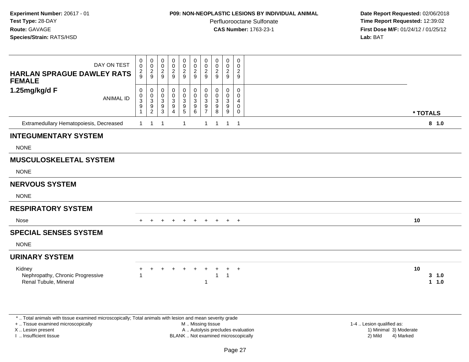## **P09: NON-NEOPLASTIC LESIONS BY INDIVIDUAL ANIMAL**

Perfluorooctane Sulfonate<br>CAS Number: 1763-23-1

 **Date Report Requested:** 02/06/2018 **Time Report Requested:** 12:39:02 **First Dose M/F:** 01/24/12 / 01/25/12<br>**Lab:** BAT

| DAY ON TEST<br><b>HARLAN SPRAGUE DAWLEY RATS</b><br><b>FEMALE</b>                                                                                                   |                  | 0<br>$\mathsf{O}\xspace$<br>$\frac{2}{9}$            | $\mathbf 0$<br>0<br>$\frac{2}{9}$               | 0<br>0<br>$\frac{2}{9}$                                      | $_{\rm 0}^{\rm 0}$<br>$\frac{2}{9}$                                   | $\pmb{0}$<br>$\pmb{0}$<br>$\frac{2}{9}$                                             | $\pmb{0}$<br>$\mathbf 0$<br>$\frac{2}{9}$                       | 0<br>$\Omega$<br>$\overline{c}$<br>9      | 0<br>$\pmb{0}$<br>$\frac{2}{9}$               | $\mathbf 0$<br>0<br>$\frac{2}{9}$               | $\mathbf 0$<br>0<br>$\frac{2}{9}$ |                                                     |
|---------------------------------------------------------------------------------------------------------------------------------------------------------------------|------------------|------------------------------------------------------|-------------------------------------------------|--------------------------------------------------------------|-----------------------------------------------------------------------|-------------------------------------------------------------------------------------|-----------------------------------------------------------------|-------------------------------------------|-----------------------------------------------|-------------------------------------------------|-----------------------------------|-----------------------------------------------------|
| 1.25mg/kg/d F                                                                                                                                                       | <b>ANIMAL ID</b> | $\pmb{0}$<br>$_{3}^{\rm 0}$<br>$\boldsymbol{9}$<br>1 | 0<br>0<br>$\overline{3}$<br>9<br>$\overline{2}$ | 0<br>0<br>$\ensuremath{\mathsf{3}}$<br>$\boldsymbol{9}$<br>3 | $\mathbf 0$<br>$\ddot{\mathbf{0}}$<br>$\frac{3}{9}$<br>$\overline{4}$ | $\mathbf 0$<br>$\overline{0}$<br>$\mathbf{3}$<br>$\boldsymbol{9}$<br>$\overline{5}$ | $\boldsymbol{0}$<br>$\ddot{\mathbf{0}}$<br>$\sqrt{3}$<br>9<br>6 | 0<br>$\Omega$<br>3<br>9<br>$\overline{7}$ | 0<br>0<br>$\sqrt{3}$<br>$\boldsymbol{9}$<br>8 | 0<br>0<br>$\mathbf{3}$<br>$\boldsymbol{9}$<br>9 | 0<br>0<br>4<br>0<br>0             | * TOTALS                                            |
| Extramedullary Hematopoiesis, Decreased                                                                                                                             |                  | $\mathbf{1}$                                         | $\mathbf{1}$                                    | $\mathbf 1$                                                  |                                                                       | $\overline{1}$                                                                      |                                                                 | $\mathbf{1}$                              | $\overline{1}$                                | $\mathbf{1}$                                    | $\overline{\phantom{0}}$ 1        | 8 1.0                                               |
| <b>INTEGUMENTARY SYSTEM</b>                                                                                                                                         |                  |                                                      |                                                 |                                                              |                                                                       |                                                                                     |                                                                 |                                           |                                               |                                                 |                                   |                                                     |
| <b>NONE</b>                                                                                                                                                         |                  |                                                      |                                                 |                                                              |                                                                       |                                                                                     |                                                                 |                                           |                                               |                                                 |                                   |                                                     |
| <b>MUSCULOSKELETAL SYSTEM</b>                                                                                                                                       |                  |                                                      |                                                 |                                                              |                                                                       |                                                                                     |                                                                 |                                           |                                               |                                                 |                                   |                                                     |
| <b>NONE</b>                                                                                                                                                         |                  |                                                      |                                                 |                                                              |                                                                       |                                                                                     |                                                                 |                                           |                                               |                                                 |                                   |                                                     |
| <b>NERVOUS SYSTEM</b>                                                                                                                                               |                  |                                                      |                                                 |                                                              |                                                                       |                                                                                     |                                                                 |                                           |                                               |                                                 |                                   |                                                     |
| <b>NONE</b>                                                                                                                                                         |                  |                                                      |                                                 |                                                              |                                                                       |                                                                                     |                                                                 |                                           |                                               |                                                 |                                   |                                                     |
| <b>RESPIRATORY SYSTEM</b>                                                                                                                                           |                  |                                                      |                                                 |                                                              |                                                                       |                                                                                     |                                                                 |                                           |                                               |                                                 |                                   |                                                     |
| Nose                                                                                                                                                                |                  |                                                      | $+$                                             | $+$                                                          | $+$                                                                   | $+$                                                                                 | $+$                                                             | $+$                                       | $+$                                           | $+$                                             | $+$                               | 10                                                  |
| <b>SPECIAL SENSES SYSTEM</b>                                                                                                                                        |                  |                                                      |                                                 |                                                              |                                                                       |                                                                                     |                                                                 |                                           |                                               |                                                 |                                   |                                                     |
| <b>NONE</b>                                                                                                                                                         |                  |                                                      |                                                 |                                                              |                                                                       |                                                                                     |                                                                 |                                           |                                               |                                                 |                                   |                                                     |
| <b>URINARY SYSTEM</b>                                                                                                                                               |                  |                                                      |                                                 |                                                              |                                                                       |                                                                                     |                                                                 |                                           |                                               |                                                 |                                   |                                                     |
| Kidney<br>Nephropathy, Chronic Progressive<br>Renal Tubule, Mineral                                                                                                 |                  |                                                      | $\ddot{}$                                       | $+$                                                          | $\ddot{}$                                                             | $\ddot{}$                                                                           |                                                                 | 1                                         | $\mathbf{1}$                                  | $\ddot{}$<br>$\overline{1}$                     | $+$                               | 10<br>3, 1.0<br>1 1.0                               |
| *  Total animals with tissue examined microscopically; Total animals with lesion and mean severity grade<br>+  Tissue examined microscopically<br>X  Lesion present |                  |                                                      |                                                 |                                                              |                                                                       |                                                                                     | M  Missing tissue                                               |                                           | A  Autolysis precludes evaluation             |                                                 |                                   | 1-4  Lesion qualified as:<br>1) Minimal 3) Moderate |

X .. Lesion present

I .. Insufficient tissue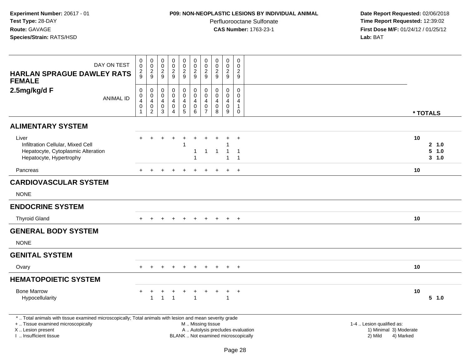### **P09: NON-NEOPLASTIC LESIONS BY INDIVIDUAL ANIMAL**

Perfluorooctane Sulfonate<br>CAS Number: 1763-23-1

| DAY ON TEST<br><b>HARLAN SPRAGUE DAWLEY RATS</b>                                                                                                                                              | $\mathbf 0$<br>0<br>$\overline{c}$<br>9                                    | $\begin{smallmatrix} 0\\0 \end{smallmatrix}$<br>$\overline{2}$<br>$\boldsymbol{9}$                | $\mathsf{O}\xspace$<br>$\mathbf 0$<br>$\overline{c}$<br>9 | $\pmb{0}$<br>$\mathsf{O}\xspace$<br>$\boldsymbol{2}$<br>9                             | $\pmb{0}$<br>$\mathbf 0$<br>$\overline{c}$<br>9                               | $\pmb{0}$<br>0<br>$\sqrt{2}$<br>9 | $\pmb{0}$<br>$\mathsf{O}\xspace$<br>$\overline{c}$<br>9 | $\pmb{0}$<br>0<br>$\overline{c}$<br>9                            | $\pmb{0}$<br>$\mathsf{O}\xspace$<br>$\overline{c}$<br>9                  | $\mathbf 0$<br>$\mathbf 0$<br>$\sqrt{2}$<br>9                  |                                                                             |    |                           |
|-----------------------------------------------------------------------------------------------------------------------------------------------------------------------------------------------|----------------------------------------------------------------------------|---------------------------------------------------------------------------------------------------|-----------------------------------------------------------|---------------------------------------------------------------------------------------|-------------------------------------------------------------------------------|-----------------------------------|---------------------------------------------------------|------------------------------------------------------------------|--------------------------------------------------------------------------|----------------------------------------------------------------|-----------------------------------------------------------------------------|----|---------------------------|
| <b>FEMALE</b><br>2.5mg/kg/d F<br><b>ANIMAL ID</b>                                                                                                                                             | $\pmb{0}$<br>$\mathbf 0$<br>$\overline{\mathbf{4}}$<br>0<br>$\overline{1}$ | $\pmb{0}$<br>$\pmb{0}$<br>$\overline{\mathbf{4}}$<br>$\begin{smallmatrix} 0\\2 \end{smallmatrix}$ | $\mathbf 0$<br>$\mathbf 0$<br>4<br>$\mathbf 0$<br>3       | $\mathbf 0$<br>$\mathsf{O}\xspace$<br>$\overline{4}$<br>$\mathbf 0$<br>$\overline{4}$ | $\mathbf 0$<br>$\mathbf 0$<br>$\overline{4}$<br>$\mathbf 0$<br>$\overline{5}$ | 0<br>$\pmb{0}$<br>4<br>0<br>6     | 0<br>$\mathbf 0$<br>4<br>0<br>$\overline{7}$            | $\mathbf 0$<br>$\mathbf 0$<br>$\overline{4}$<br>$\mathbf 0$<br>8 | $\mathbf 0$<br>$\mathsf{O}\xspace$<br>$\overline{4}$<br>0<br>9           | $\mathbf 0$<br>$\mathbf 0$<br>4<br>$\mathbf{1}$<br>$\mathbf 0$ |                                                                             |    | * TOTALS                  |
| <b>ALIMENTARY SYSTEM</b>                                                                                                                                                                      |                                                                            |                                                                                                   |                                                           |                                                                                       |                                                                               |                                   |                                                         |                                                                  |                                                                          |                                                                |                                                                             |    |                           |
| Liver<br>Infiltration Cellular, Mixed Cell<br>Hepatocyte, Cytoplasmic Alteration<br>Hepatocyte, Hypertrophy                                                                                   | $+$                                                                        | $+$                                                                                               | $\ddot{}$                                                 | $\ddot{}$                                                                             | $\ddot{}$<br>1                                                                | $\ddot{}$                         | $\mathbf{1}$                                            | $\ddot{}$<br>$\mathbf{1}$                                        | $\ddot{}$<br>$\mathbf{1}$<br>$\overline{1}$                              | $+$<br>$\overline{1}$<br>$\overline{1}$                        |                                                                             | 10 | 2, 1.0<br>5 1.0<br>3, 1.0 |
| Pancreas                                                                                                                                                                                      |                                                                            |                                                                                                   |                                                           |                                                                                       |                                                                               |                                   |                                                         |                                                                  | $\pm$                                                                    | $+$                                                            |                                                                             | 10 |                           |
| <b>CARDIOVASCULAR SYSTEM</b>                                                                                                                                                                  |                                                                            |                                                                                                   |                                                           |                                                                                       |                                                                               |                                   |                                                         |                                                                  |                                                                          |                                                                |                                                                             |    |                           |
| <b>NONE</b>                                                                                                                                                                                   |                                                                            |                                                                                                   |                                                           |                                                                                       |                                                                               |                                   |                                                         |                                                                  |                                                                          |                                                                |                                                                             |    |                           |
| <b>ENDOCRINE SYSTEM</b>                                                                                                                                                                       |                                                                            |                                                                                                   |                                                           |                                                                                       |                                                                               |                                   |                                                         |                                                                  |                                                                          |                                                                |                                                                             |    |                           |
| <b>Thyroid Gland</b>                                                                                                                                                                          |                                                                            | $\pm$                                                                                             | $\div$                                                    | $\div$                                                                                | $^{+}$                                                                        | $\pm$                             | $\pm$                                                   | $+$                                                              | $+$                                                                      | $+$                                                            |                                                                             | 10 |                           |
| <b>GENERAL BODY SYSTEM</b>                                                                                                                                                                    |                                                                            |                                                                                                   |                                                           |                                                                                       |                                                                               |                                   |                                                         |                                                                  |                                                                          |                                                                |                                                                             |    |                           |
| <b>NONE</b>                                                                                                                                                                                   |                                                                            |                                                                                                   |                                                           |                                                                                       |                                                                               |                                   |                                                         |                                                                  |                                                                          |                                                                |                                                                             |    |                           |
| <b>GENITAL SYSTEM</b>                                                                                                                                                                         |                                                                            |                                                                                                   |                                                           |                                                                                       |                                                                               |                                   |                                                         |                                                                  |                                                                          |                                                                |                                                                             |    |                           |
| Ovary                                                                                                                                                                                         | $+$                                                                        | $+$                                                                                               | $\ddot{}$                                                 | $\ddot{}$                                                                             | $+$                                                                           | $\ddot{}$                         | $+$                                                     | $+$                                                              | $+$                                                                      | $+$                                                            |                                                                             | 10 |                           |
| <b>HEMATOPOIETIC SYSTEM</b>                                                                                                                                                                   |                                                                            |                                                                                                   |                                                           |                                                                                       |                                                                               |                                   |                                                         |                                                                  |                                                                          |                                                                |                                                                             |    |                           |
| <b>Bone Marrow</b><br>Hypocellularity                                                                                                                                                         | +                                                                          | $\overline{1}$                                                                                    | $\mathbf{1}$                                              | $\overline{1}$                                                                        |                                                                               | $\mathbf{1}$                      |                                                         |                                                                  | $\ddot{}$<br>$\mathbf{1}$                                                | $+$                                                            |                                                                             | 10 | 5 1.0                     |
| *  Total animals with tissue examined microscopically; Total animals with lesion and mean severity grade<br>+  Tissue examined microscopically<br>X  Lesion present<br>I  Insufficient tissue |                                                                            |                                                                                                   |                                                           |                                                                                       |                                                                               |                                   | M  Missing tissue                                       |                                                                  | A  Autolysis precludes evaluation<br>BLANK  Not examined microscopically |                                                                | 1-4  Lesion qualified as:<br>1) Minimal 3) Moderate<br>2) Mild<br>4) Marked |    |                           |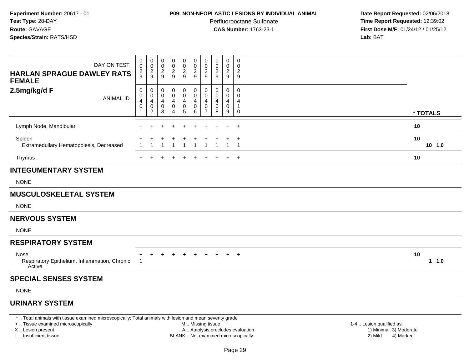#### **P09: NON-NEOPLASTIC LESIONS BY INDIVIDUAL ANIMAL**

Perfluorooctane Sulfonate<br>CAS Number: 1763-23-1

 **Date Report Requested:** 02/06/2018 **Time Report Requested:** 12:39:02 **First Dose M/F:** 01/24/12 / 01/25/12<br>**Lab:** BAT **Lab:** BAT

| DAY ON TEST<br><b>HARLAN SPRAGUE DAWLEY RATS</b><br><b>FEMALE</b>                                                                                                                                                                                                                                                                                                                                                                                                  | 0<br>0<br>$\frac{2}{9}$            | 0<br>$\mathbf 0$<br>$\frac{2}{9}$                                 | 0<br>0<br>$\overline{c}$<br>9 | 0<br>$\mathbf 0$<br>$\overline{c}$<br>9            | 0<br>$\pmb{0}$<br>$\frac{2}{9}$ | $\mathbf 0$<br>$\mathsf{O}\xspace$<br>$\frac{2}{9}$  | 0<br>$\mathbf 0$<br>$\overline{c}$<br>9   | 0<br>0<br>$\overline{c}$<br>$9\,$ | 0<br>$\pmb{0}$<br>$\sqrt{2}$<br>$\boldsymbol{9}$         | 0<br>0<br>$\frac{2}{9}$                    |                  |
|--------------------------------------------------------------------------------------------------------------------------------------------------------------------------------------------------------------------------------------------------------------------------------------------------------------------------------------------------------------------------------------------------------------------------------------------------------------------|------------------------------------|-------------------------------------------------------------------|-------------------------------|----------------------------------------------------|---------------------------------|------------------------------------------------------|-------------------------------------------|-----------------------------------|----------------------------------------------------------|--------------------------------------------|------------------|
| 2.5mg/kg/d F<br><b>ANIMAL ID</b>                                                                                                                                                                                                                                                                                                                                                                                                                                   | 0<br>$\mathbf 0$<br>4<br>$\pmb{0}$ | 0<br>$\pmb{0}$<br>$\overline{4}$<br>$\mathbf 0$<br>$\overline{2}$ | 0<br>0<br>4<br>0<br>3         | 0<br>0<br>4<br>$\pmb{0}$<br>$\boldsymbol{\Lambda}$ | 0<br>0<br>4<br>$\pmb{0}$<br>5   | 0<br>$\mathbf 0$<br>4<br>$\pmb{0}$<br>$6\phantom{1}$ | 0<br>$\Omega$<br>4<br>0<br>$\overline{7}$ | 0<br>0<br>4<br>$\pmb{0}$<br>8     | 0<br>$\mathbf 0$<br>4<br>$\mathsf 0$<br>$\boldsymbol{9}$ | 0<br>0<br>4<br>$\mathbf{1}$<br>$\mathbf 0$ | * TOTALS         |
| Lymph Node, Mandibular                                                                                                                                                                                                                                                                                                                                                                                                                                             |                                    |                                                                   |                               |                                                    | $\div$                          |                                                      | $\div$                                    |                                   | $\div$                                                   | $\overline{+}$                             | 10               |
| Spleen<br>Extramedullary Hematopoiesis, Decreased                                                                                                                                                                                                                                                                                                                                                                                                                  |                                    |                                                                   |                               |                                                    |                                 |                                                      |                                           |                                   |                                                          | $\ddot{}$                                  | 10<br>$10$ $1.0$ |
| Thymus                                                                                                                                                                                                                                                                                                                                                                                                                                                             | $+$                                | $\overline{+}$                                                    | $\ddot{}$                     | $\ddot{}$                                          | $\ddot{}$                       | $\ddot{}$                                            | $\ddot{}$                                 | $\ddot{}$                         | $\ddot{}$                                                | $+$                                        | 10               |
| <b>INTEGUMENTARY SYSTEM</b>                                                                                                                                                                                                                                                                                                                                                                                                                                        |                                    |                                                                   |                               |                                                    |                                 |                                                      |                                           |                                   |                                                          |                                            |                  |
| <b>NONE</b>                                                                                                                                                                                                                                                                                                                                                                                                                                                        |                                    |                                                                   |                               |                                                    |                                 |                                                      |                                           |                                   |                                                          |                                            |                  |
| <b>MUSCULOSKELETAL SYSTEM</b>                                                                                                                                                                                                                                                                                                                                                                                                                                      |                                    |                                                                   |                               |                                                    |                                 |                                                      |                                           |                                   |                                                          |                                            |                  |
| <b>NONE</b>                                                                                                                                                                                                                                                                                                                                                                                                                                                        |                                    |                                                                   |                               |                                                    |                                 |                                                      |                                           |                                   |                                                          |                                            |                  |
| <b>NERVOUS SYSTEM</b>                                                                                                                                                                                                                                                                                                                                                                                                                                              |                                    |                                                                   |                               |                                                    |                                 |                                                      |                                           |                                   |                                                          |                                            |                  |
| <b>NONE</b>                                                                                                                                                                                                                                                                                                                                                                                                                                                        |                                    |                                                                   |                               |                                                    |                                 |                                                      |                                           |                                   |                                                          |                                            |                  |
| <b>RESPIRATORY SYSTEM</b>                                                                                                                                                                                                                                                                                                                                                                                                                                          |                                    |                                                                   |                               |                                                    |                                 |                                                      |                                           |                                   |                                                          |                                            |                  |
| Nose<br>Respiratory Epithelium, Inflammation, Chronic<br>Active                                                                                                                                                                                                                                                                                                                                                                                                    |                                    |                                                                   |                               |                                                    |                                 |                                                      |                                           |                                   |                                                          | $\ddot{}$                                  | 10<br>1 1.0      |
| <b>SPECIAL SENSES SYSTEM</b>                                                                                                                                                                                                                                                                                                                                                                                                                                       |                                    |                                                                   |                               |                                                    |                                 |                                                      |                                           |                                   |                                                          |                                            |                  |
| <b>NONE</b>                                                                                                                                                                                                                                                                                                                                                                                                                                                        |                                    |                                                                   |                               |                                                    |                                 |                                                      |                                           |                                   |                                                          |                                            |                  |
| <b>URINARY SYSTEM</b>                                                                                                                                                                                                                                                                                                                                                                                                                                              |                                    |                                                                   |                               |                                                    |                                 |                                                      |                                           |                                   |                                                          |                                            |                  |
| $\sim$ . The second contract of the second contract of the second contract of the second second second second second second second second second second second second second second second second second second second second s<br>$\Phi$ . The first probability of the contribution of the contribution of the contribution of the contribution of the contribution of the contribution of the contribution of the contribution of the contribution of the contr |                                    |                                                                   |                               |                                                    |                                 | وحداراته والمناور                                    |                                           | and the co-                       |                                                          |                                            |                  |

\* .. Total animals with tissue examined microscopically; Total animals with lesion and mean severity grade

+ .. Tissue examined microscopically

X .. Lesion present

I .. Insufficient tissue

 M .. Missing tissueA .. Autolysis precludes evaluation

BLANK .. Not examined microscopically 2) Mild 4) Marked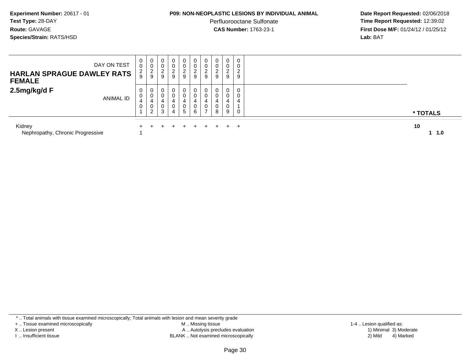#### **P09: NON-NEOPLASTIC LESIONS BY INDIVIDUAL ANIMAL**

Perfluorooctane Sulfonate<br>CAS Number: 1763-23-1

 **Date Report Requested:** 02/06/2018 **Time Report Requested:** 12:39:02 **First Dose M/F:** 01/24/12 / 01/25/12<br>**Lab:** BAT **Lab:** BAT

| DAY ON TEST<br><b>HARLAN SPRAGUE DAWLEY RATS</b><br><b>FEMALE</b> | 0<br>U<br>2               | υ<br>$\sim$<br>$\epsilon$ | 0<br>0<br>$\sim$<br>9 | 0<br>0<br>ົ<br>∠<br>9 | 0<br>0<br>$\overline{c}$<br>9 | 0<br>0<br>$\overline{2}$<br>9 | 0<br>0<br>$\sim$<br>∸<br>9 | 0<br>∠<br>9           | 0<br>0<br>$\sim$<br>$\epsilon$<br>9 | 0<br>0<br>$\Omega$<br>ے<br>9 |           |
|-------------------------------------------------------------------|---------------------------|---------------------------|-----------------------|-----------------------|-------------------------------|-------------------------------|----------------------------|-----------------------|-------------------------------------|------------------------------|-----------|
| 2.5mg/kg/d F<br><b>ANIMAL ID</b>                                  | 0<br>$\sqrt{2}$<br>4<br>U | 4<br>$\sim$<br>$\epsilon$ | 0<br>0<br>0<br>3      | 0<br>0<br>4<br>0<br>4 | 0<br>0<br>4<br>0<br>5         | 0<br>0<br>4<br>0<br>6         | 0<br>0<br>4<br>0           | $\mathbf 0$<br>4<br>8 | 0<br>0<br>4<br>0<br>9               | 0<br>0<br>4<br>0             | * TOTALS  |
| Kidney<br>Nephropathy, Chronic Progressive                        |                           |                           |                       |                       |                               | $+$                           |                            |                       |                                     | $\pm$                        | 10<br>1.0 |

\* .. Total animals with tissue examined microscopically; Total animals with lesion and mean severity grade

+ .. Tissue examined microscopically

X .. Lesion present

I .. Insufficient tissue

 M .. Missing tissueA .. Autolysis precludes evaluation

BLANK .. Not examined microscopically 2) Mild 4) Marked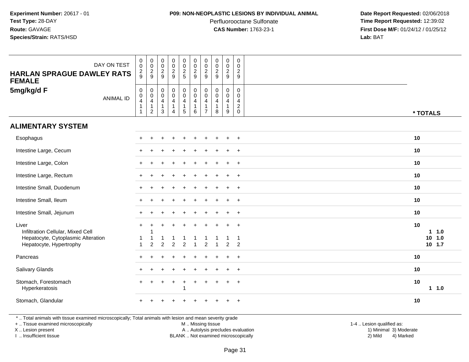#### **P09: NON-NEOPLASTIC LESIONS BY INDIVIDUAL ANIMAL**

Perfluorooctane Sulfonate<br>CAS Number: 1763-23-1

 **Date Report Requested:** 02/06/2018 **Time Report Requested:** 12:39:02 **First Dose M/F:** 01/24/12 / 01/25/12<br>**Lab:** BAT **Lab:** BAT

| DAY ON TEST<br><b>HARLAN SPRAGUE DAWLEY RATS</b><br><b>FEMALE</b>                                           | $\begin{smallmatrix} 0\\0 \end{smallmatrix}$<br>$\frac{2}{9}$                              | $\pmb{0}$<br>$\mathbf 0$<br>$\frac{2}{9}$                                     | $\pmb{0}$<br>$\pmb{0}$<br>$\sqrt{2}$<br>9                                           | $\pmb{0}$<br>$\frac{0}{2}$                                                | $\pmb{0}$<br>$\mathbf 0$<br>$\frac{2}{5}$                                   | $_{\rm 0}^{\rm 0}$<br>$\overline{2}$<br>9 | $\pmb{0}$<br>$\frac{0}{2}$                                           | $\mathsf 0$<br>$\frac{0}{2}$                                      | $\pmb{0}$<br>$\mathsf 0$<br>$\overline{c}$<br>9   | $\pmb{0}$<br>$\mathbf 0$<br>$\frac{2}{9}$                            |                                         |
|-------------------------------------------------------------------------------------------------------------|--------------------------------------------------------------------------------------------|-------------------------------------------------------------------------------|-------------------------------------------------------------------------------------|---------------------------------------------------------------------------|-----------------------------------------------------------------------------|-------------------------------------------|----------------------------------------------------------------------|-------------------------------------------------------------------|---------------------------------------------------|----------------------------------------------------------------------|-----------------------------------------|
| 5mg/kg/d F<br><b>ANIMAL ID</b>                                                                              | $\mathbf 0$<br>$\begin{smallmatrix}0\\4\end{smallmatrix}$<br>$\mathbf 1$<br>$\overline{1}$ | $\mathbf 0$<br>$\boldsymbol{0}$<br>$\overline{\mathbf{4}}$<br>1<br>$\sqrt{2}$ | $\mathbf 0$<br>$\boldsymbol{0}$<br>$\overline{4}$<br>$\overline{1}$<br>$\mathbf{3}$ | 0<br>$\boldsymbol{0}$<br>$\overline{4}$<br>$\mathbf{1}$<br>$\overline{4}$ | $\begin{matrix} 0 \\ 0 \\ 4 \end{matrix}$<br>$\mathbf{1}$<br>$\overline{5}$ | $_{\rm 0}^{\rm 0}$<br>4<br>$\,6\,$        | $\mathbf 0$<br>$\mathbf 0$<br>$\overline{4}$<br>-1<br>$\overline{7}$ | $\mathbf 0$<br>$\mathbf 0$<br>$\overline{4}$<br>$\mathbf{1}$<br>8 | $\mathbf 0$<br>$\mathbf 0$<br>$\overline{4}$<br>9 | $\mathsf{O}\xspace$<br>$\mathbf 0$<br>$\overline{4}$<br>$^2_{\rm 0}$ | * TOTALS                                |
| <b>ALIMENTARY SYSTEM</b>                                                                                    |                                                                                            |                                                                               |                                                                                     |                                                                           |                                                                             |                                           |                                                                      |                                                                   |                                                   |                                                                      |                                         |
| Esophagus                                                                                                   |                                                                                            |                                                                               |                                                                                     |                                                                           |                                                                             |                                           |                                                                      |                                                                   |                                                   | $\ddot{}$                                                            | 10                                      |
| Intestine Large, Cecum                                                                                      |                                                                                            |                                                                               |                                                                                     |                                                                           |                                                                             |                                           |                                                                      |                                                                   |                                                   | $+$                                                                  | 10                                      |
| Intestine Large, Colon                                                                                      |                                                                                            |                                                                               |                                                                                     |                                                                           |                                                                             |                                           |                                                                      |                                                                   |                                                   | $\ddot{}$                                                            | 10                                      |
| Intestine Large, Rectum                                                                                     |                                                                                            |                                                                               |                                                                                     |                                                                           |                                                                             |                                           |                                                                      |                                                                   |                                                   | $\ddot{}$                                                            | 10                                      |
| Intestine Small, Duodenum                                                                                   |                                                                                            |                                                                               |                                                                                     |                                                                           |                                                                             |                                           |                                                                      |                                                                   | $\ddot{}$                                         | $+$                                                                  | 10                                      |
| Intestine Small, Ileum                                                                                      |                                                                                            |                                                                               |                                                                                     |                                                                           |                                                                             |                                           |                                                                      |                                                                   | $\ddot{}$                                         | $^{+}$                                                               | 10                                      |
| Intestine Small, Jejunum                                                                                    |                                                                                            |                                                                               |                                                                                     |                                                                           |                                                                             |                                           |                                                                      |                                                                   |                                                   | $\overline{+}$                                                       | 10                                      |
| Liver<br>Infiltration Cellular, Mixed Cell<br>Hepatocyte, Cytoplasmic Alteration<br>Hepatocyte, Hypertrophy | $\ddot{}$<br>-1<br>$\overline{1}$                                                          | $\ddot{}$<br>$\overline{2}$                                                   | 2                                                                                   | $\mathcal{P}$                                                             | 2                                                                           |                                           | 2                                                                    |                                                                   | $\overline{2}$                                    | $^{+}$<br>-1<br>$\mathcal{P}$                                        | 10<br>$1 1.0$<br>$10$ $1.0$<br>$10$ 1.7 |
| Pancreas                                                                                                    |                                                                                            |                                                                               |                                                                                     |                                                                           |                                                                             |                                           |                                                                      |                                                                   | $\ddot{}$                                         | $\overline{+}$                                                       | 10                                      |
| Salivary Glands                                                                                             |                                                                                            |                                                                               |                                                                                     |                                                                           |                                                                             |                                           |                                                                      |                                                                   | $\ddot{}$                                         | $+$                                                                  | 10                                      |
| Stomach, Forestomach<br>Hyperkeratosis                                                                      |                                                                                            |                                                                               |                                                                                     |                                                                           | $\ddot{}$<br>1                                                              |                                           |                                                                      |                                                                   | $\ddot{}$                                         | $\overline{+}$                                                       | 10<br>1 1.0                             |
| Stomach, Glandular                                                                                          |                                                                                            |                                                                               |                                                                                     |                                                                           |                                                                             |                                           |                                                                      |                                                                   |                                                   | $\ddot{}$                                                            | 10                                      |

\* .. Total animals with tissue examined microscopically; Total animals with lesion and mean severity grade

+ .. Tissue examined microscopically

X .. Lesion present

I .. Insufficient tissue

M .. Missing tissue

Lesion present A .. Autolysis precludes evaluation 1) Minimal 3) Moderate

 1-4 .. Lesion qualified as: BLANK .. Not examined microscopically 2) Mild 4) Marked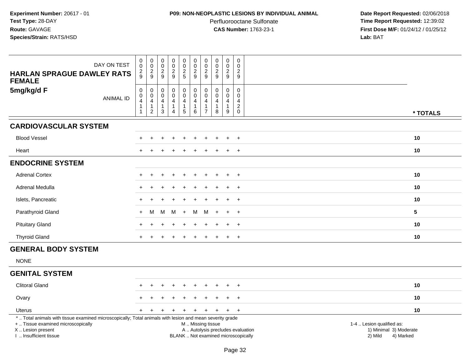#### **P09: NON-NEOPLASTIC LESIONS BY INDIVIDUAL ANIMAL**

Perfluorooctane Sulfonate<br>CAS Number: 1763-23-1

| DAY ON TEST<br><b>HARLAN SPRAGUE DAWLEY RATS</b><br><b>FEMALE</b>                                                                                                                             | $\pmb{0}$<br>$\mathbf 0$<br>$\overline{c}$<br>9 | $\pmb{0}$<br>$\pmb{0}$<br>$\frac{2}{9}$                                      | $\pmb{0}$<br>$\pmb{0}$<br>$\frac{2}{9}$                                | $\pmb{0}$<br>$\pmb{0}$<br>$\overline{c}$<br>9     | $\pmb{0}$<br>$\mathbf 0$<br>$\frac{2}{5}$                                        | $\pmb{0}$<br>$\mathsf{O}\xspace$<br>$\overline{2}$<br>$\mathsf g$                             | 0<br>0<br>$\overline{a}$<br>9        | $\pmb{0}$<br>$\frac{0}{2}$                                      | 0<br>$\mathbf 0$<br>$\frac{2}{9}$                       | $\mathbf 0$<br>$\Omega$<br>2<br>9                          |                                                                             |
|-----------------------------------------------------------------------------------------------------------------------------------------------------------------------------------------------|-------------------------------------------------|------------------------------------------------------------------------------|------------------------------------------------------------------------|---------------------------------------------------|----------------------------------------------------------------------------------|-----------------------------------------------------------------------------------------------|--------------------------------------|-----------------------------------------------------------------|---------------------------------------------------------|------------------------------------------------------------|-----------------------------------------------------------------------------|
| 5mg/kg/d F<br><b>ANIMAL ID</b>                                                                                                                                                                | $\pmb{0}$<br>$\mathbf 0$<br>4<br>1              | $\pmb{0}$<br>$\mathbf 0$<br>$\overline{4}$<br>$\mathbf{1}$<br>$\overline{c}$ | $\pmb{0}$<br>$\boldsymbol{0}$<br>$\overline{a}$<br>$\overline{1}$<br>3 | $\mathbf 0$<br>$\mathbf 0$<br>$\overline{4}$<br>4 | $\pmb{0}$<br>$\ddot{\mathbf{0}}$<br>$\overline{4}$<br>$\mathbf{1}$<br>$\sqrt{5}$ | $\mathsf 0$<br>$\mathsf{O}\xspace$<br>4<br>1<br>6                                             | 0<br>$\Omega$<br>4<br>$\overline{7}$ | $\pmb{0}$<br>$\mathbf 0$<br>$\overline{4}$<br>$\mathbf{1}$<br>8 | 0<br>$\mathbf 0$<br>$\overline{4}$<br>$\mathbf{1}$<br>9 | $\pmb{0}$<br>$\mathbf 0$<br>4<br>$\sqrt{2}$<br>$\mathbf 0$ | * TOTALS                                                                    |
| <b>CARDIOVASCULAR SYSTEM</b>                                                                                                                                                                  |                                                 |                                                                              |                                                                        |                                                   |                                                                                  |                                                                                               |                                      |                                                                 |                                                         |                                                            |                                                                             |
| <b>Blood Vessel</b>                                                                                                                                                                           |                                                 |                                                                              |                                                                        |                                                   |                                                                                  |                                                                                               |                                      |                                                                 | $\ddot{}$                                               | $+$                                                        | 10                                                                          |
| Heart                                                                                                                                                                                         |                                                 |                                                                              |                                                                        |                                                   |                                                                                  |                                                                                               |                                      |                                                                 |                                                         | $\overline{+}$                                             | 10                                                                          |
| <b>ENDOCRINE SYSTEM</b>                                                                                                                                                                       |                                                 |                                                                              |                                                                        |                                                   |                                                                                  |                                                                                               |                                      |                                                                 |                                                         |                                                            |                                                                             |
| <b>Adrenal Cortex</b>                                                                                                                                                                         |                                                 |                                                                              |                                                                        |                                                   |                                                                                  |                                                                                               |                                      |                                                                 | $\ddot{}$                                               | $+$                                                        | 10                                                                          |
| Adrenal Medulla                                                                                                                                                                               |                                                 |                                                                              |                                                                        |                                                   |                                                                                  |                                                                                               |                                      |                                                                 | $\ddot{}$                                               | $+$                                                        | 10                                                                          |
| Islets, Pancreatic                                                                                                                                                                            |                                                 |                                                                              |                                                                        |                                                   |                                                                                  |                                                                                               |                                      |                                                                 | ÷                                                       | $+$                                                        | 10                                                                          |
| Parathyroid Gland                                                                                                                                                                             | $\ddot{}$                                       | M                                                                            | M                                                                      | M                                                 | $\ddot{}$                                                                        | M                                                                                             | M                                    | $\ddot{}$                                                       | $\ddot{}$                                               | $+$                                                        | 5                                                                           |
| <b>Pituitary Gland</b>                                                                                                                                                                        |                                                 |                                                                              |                                                                        |                                                   |                                                                                  |                                                                                               |                                      |                                                                 | $\ddot{}$                                               | $+$                                                        | 10                                                                          |
| <b>Thyroid Gland</b>                                                                                                                                                                          |                                                 |                                                                              |                                                                        |                                                   |                                                                                  |                                                                                               |                                      |                                                                 | $\ddot{}$                                               | $+$                                                        | 10                                                                          |
| <b>GENERAL BODY SYSTEM</b>                                                                                                                                                                    |                                                 |                                                                              |                                                                        |                                                   |                                                                                  |                                                                                               |                                      |                                                                 |                                                         |                                                            |                                                                             |
| <b>NONE</b>                                                                                                                                                                                   |                                                 |                                                                              |                                                                        |                                                   |                                                                                  |                                                                                               |                                      |                                                                 |                                                         |                                                            |                                                                             |
| <b>GENITAL SYSTEM</b>                                                                                                                                                                         |                                                 |                                                                              |                                                                        |                                                   |                                                                                  |                                                                                               |                                      |                                                                 |                                                         |                                                            |                                                                             |
| <b>Clitoral Gland</b>                                                                                                                                                                         |                                                 |                                                                              |                                                                        |                                                   |                                                                                  |                                                                                               |                                      |                                                                 | $\ddot{}$                                               | $+$                                                        | 10                                                                          |
| Ovary                                                                                                                                                                                         |                                                 |                                                                              |                                                                        |                                                   |                                                                                  |                                                                                               |                                      |                                                                 | ÷                                                       | $+$                                                        | 10                                                                          |
| <b>Uterus</b>                                                                                                                                                                                 |                                                 |                                                                              |                                                                        |                                                   |                                                                                  |                                                                                               |                                      |                                                                 | $+$                                                     | $+$                                                        | 10                                                                          |
| *  Total animals with tissue examined microscopically; Total animals with lesion and mean severity grade<br>+  Tissue examined microscopically<br>X  Lesion present<br>I  Insufficient tissue |                                                 |                                                                              |                                                                        |                                                   |                                                                                  | M  Missing tissue<br>A  Autolysis precludes evaluation<br>BLANK  Not examined microscopically |                                      |                                                                 |                                                         |                                                            | 1-4  Lesion qualified as:<br>1) Minimal 3) Moderate<br>2) Mild<br>4) Marked |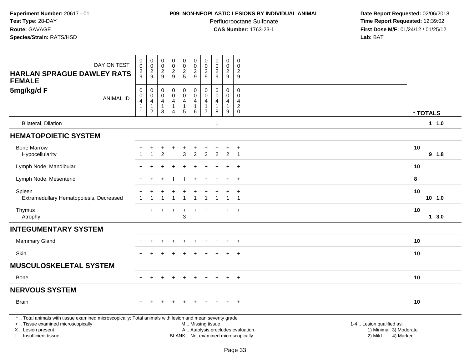#### **P09: NON-NEOPLASTIC LESIONS BY INDIVIDUAL ANIMAL**

Perfluorooctane Sulfonate<br>CAS Number: 1763-23-1

| DAY ON TEST                                                                                                                                                                                   | $\mathbf 0$<br>$\mathbf 0$                                          | $\pmb{0}$<br>$\pmb{0}$                                                            | $\pmb{0}$<br>$\mathbf 0$                                        | $\pmb{0}$<br>$\pmb{0}$                                                  | $\pmb{0}$<br>$\frac{0}{2}$                                                    | $\pmb{0}$<br>$\pmb{0}$                                                | 0<br>$\mathsf{O}\xspace$                             | 00029                                                        | $\pmb{0}$<br>$\overline{0}$<br>$\overline{2}$           | $\pmb{0}$<br>$\mathbf 0$                                    |                                                                                                                  |          |
|-----------------------------------------------------------------------------------------------------------------------------------------------------------------------------------------------|---------------------------------------------------------------------|-----------------------------------------------------------------------------------|-----------------------------------------------------------------|-------------------------------------------------------------------------|-------------------------------------------------------------------------------|-----------------------------------------------------------------------|------------------------------------------------------|--------------------------------------------------------------|---------------------------------------------------------|-------------------------------------------------------------|------------------------------------------------------------------------------------------------------------------|----------|
| <b>HARLAN SPRAGUE DAWLEY RATS</b><br><b>FEMALE</b>                                                                                                                                            | $\frac{2}{9}$                                                       | $\frac{2}{9}$                                                                     | $\frac{2}{9}$                                                   | $\frac{2}{9}$                                                           |                                                                               | $\frac{2}{9}$                                                         | $\overline{c}$<br>$\bar{9}$                          |                                                              | 9                                                       | $\overline{2}$<br>9                                         |                                                                                                                  |          |
| 5mg/kg/d F<br><b>ANIMAL ID</b>                                                                                                                                                                | $\mathbf 0$<br>$\mathbf 0$<br>4<br>$\overline{1}$<br>$\overline{1}$ | $\,0\,$<br>$\pmb{0}$<br>$\overline{\mathbf{4}}$<br>$\mathbf{1}$<br>$\overline{2}$ | $\mathbf 0$<br>$\mathbf 0$<br>4<br>$\mathbf{1}$<br>$\mathbf{3}$ | $\pmb{0}$<br>$\ddot{\mathbf{0}}$<br>$\overline{4}$<br>$\mathbf{1}$<br>4 | $\mathbf 0$<br>$\overline{0}$<br>$\overline{4}$<br>$\mathbf{1}$<br>$\sqrt{5}$ | $\pmb{0}$<br>$\mathbf 0$<br>$\overline{4}$<br>$\mathbf{1}$<br>$\,6\,$ | 0<br>$\Omega$<br>4<br>$\mathbf{1}$<br>$\overline{7}$ | $\mathbf 0$<br>$\ddot{\mathbf{0}}$<br>4<br>$\mathbf{1}$<br>8 | 0<br>$\mathbf 0$<br>$\overline{4}$<br>$\mathbf{1}$<br>9 | 0<br>$\Omega$<br>4<br>$\overline{2}$<br>$\mathsf{O}\xspace$ |                                                                                                                  | * TOTALS |
| <b>Bilateral, Dilation</b>                                                                                                                                                                    |                                                                     |                                                                                   |                                                                 |                                                                         |                                                                               |                                                                       |                                                      | $\overline{1}$                                               |                                                         |                                                             |                                                                                                                  | 1 1.0    |
| <b>HEMATOPOIETIC SYSTEM</b>                                                                                                                                                                   |                                                                     |                                                                                   |                                                                 |                                                                         |                                                                               |                                                                       |                                                      |                                                              |                                                         |                                                             |                                                                                                                  |          |
| <b>Bone Marrow</b><br>Hypocellularity                                                                                                                                                         |                                                                     | $\mathbf{1}$                                                                      | $\overline{2}$                                                  | $\ddot{}$                                                               | 3                                                                             | $\overline{c}$                                                        | $\overline{2}$                                       | 2                                                            | +<br>$\overline{2}$                                     | $\ddot{}$<br>$\overline{1}$                                 | 10                                                                                                               | 9 1.8    |
| Lymph Node, Mandibular                                                                                                                                                                        |                                                                     |                                                                                   |                                                                 |                                                                         |                                                                               |                                                                       |                                                      |                                                              |                                                         | $\ddot{}$                                                   | 10                                                                                                               |          |
| Lymph Node, Mesenteric                                                                                                                                                                        |                                                                     | $\div$                                                                            |                                                                 |                                                                         |                                                                               | $\ddot{}$                                                             | ÷                                                    |                                                              | $\overline{+}$                                          | $+$                                                         | 8                                                                                                                |          |
| Spleen<br>Extramedullary Hematopoiesis, Decreased                                                                                                                                             |                                                                     | $\overline{1}$                                                                    | ÷<br>1                                                          | $\ddot{}$<br>$\mathbf{1}$                                               | ÷<br>$\overline{1}$                                                           | ٠<br>$\mathbf{1}$                                                     | +<br>$\mathbf{1}$                                    | $\mathbf 1$                                                  | $\ddot{}$<br>$\mathbf{1}$                               | $+$<br>$\overline{1}$                                       | 10                                                                                                               | $10$ 1.0 |
| Thymus<br>Atrophy                                                                                                                                                                             | $+$                                                                 |                                                                                   |                                                                 | $\div$                                                                  | $\ddot{}$<br>3                                                                | $\ddot{}$                                                             | $\div$                                               |                                                              | $\ddot{}$                                               | $+$                                                         | 10                                                                                                               | 13.0     |
| <b>INTEGUMENTARY SYSTEM</b>                                                                                                                                                                   |                                                                     |                                                                                   |                                                                 |                                                                         |                                                                               |                                                                       |                                                      |                                                              |                                                         |                                                             |                                                                                                                  |          |
| Mammary Gland                                                                                                                                                                                 |                                                                     |                                                                                   |                                                                 |                                                                         | $\div$                                                                        |                                                                       |                                                      |                                                              | $\ddot{}$                                               | $+$                                                         | 10                                                                                                               |          |
| Skin                                                                                                                                                                                          |                                                                     |                                                                                   |                                                                 |                                                                         |                                                                               |                                                                       |                                                      |                                                              |                                                         | $+$                                                         | 10                                                                                                               |          |
| <b>MUSCULOSKELETAL SYSTEM</b>                                                                                                                                                                 |                                                                     |                                                                                   |                                                                 |                                                                         |                                                                               |                                                                       |                                                      |                                                              |                                                         |                                                             |                                                                                                                  |          |
| Bone                                                                                                                                                                                          | $+$                                                                 | $+$                                                                               | $\ddot{}$                                                       | $+$                                                                     | $+$                                                                           | $+$                                                                   | $+$                                                  | $+$                                                          | $+$                                                     | $+$                                                         | 10                                                                                                               |          |
| <b>NERVOUS SYSTEM</b>                                                                                                                                                                         |                                                                     |                                                                                   |                                                                 |                                                                         |                                                                               |                                                                       |                                                      |                                                              |                                                         |                                                             |                                                                                                                  |          |
| <b>Brain</b>                                                                                                                                                                                  |                                                                     |                                                                                   |                                                                 |                                                                         |                                                                               |                                                                       |                                                      |                                                              | $\ddot{}$                                               | $+$                                                         | 10                                                                                                               |          |
| *  Total animals with tissue examined microscopically; Total animals with lesion and mean severity grade<br>+  Tissue examined microscopically<br>X  Lesion present<br>I  Insufficient tissue |                                                                     |                                                                                   |                                                                 |                                                                         |                                                                               | M  Missing tissue<br>BLANK  Not examined microscopically              |                                                      |                                                              |                                                         |                                                             | 1-4  Lesion qualified as:<br>A  Autolysis precludes evaluation<br>1) Minimal 3) Moderate<br>2) Mild<br>4) Marked |          |